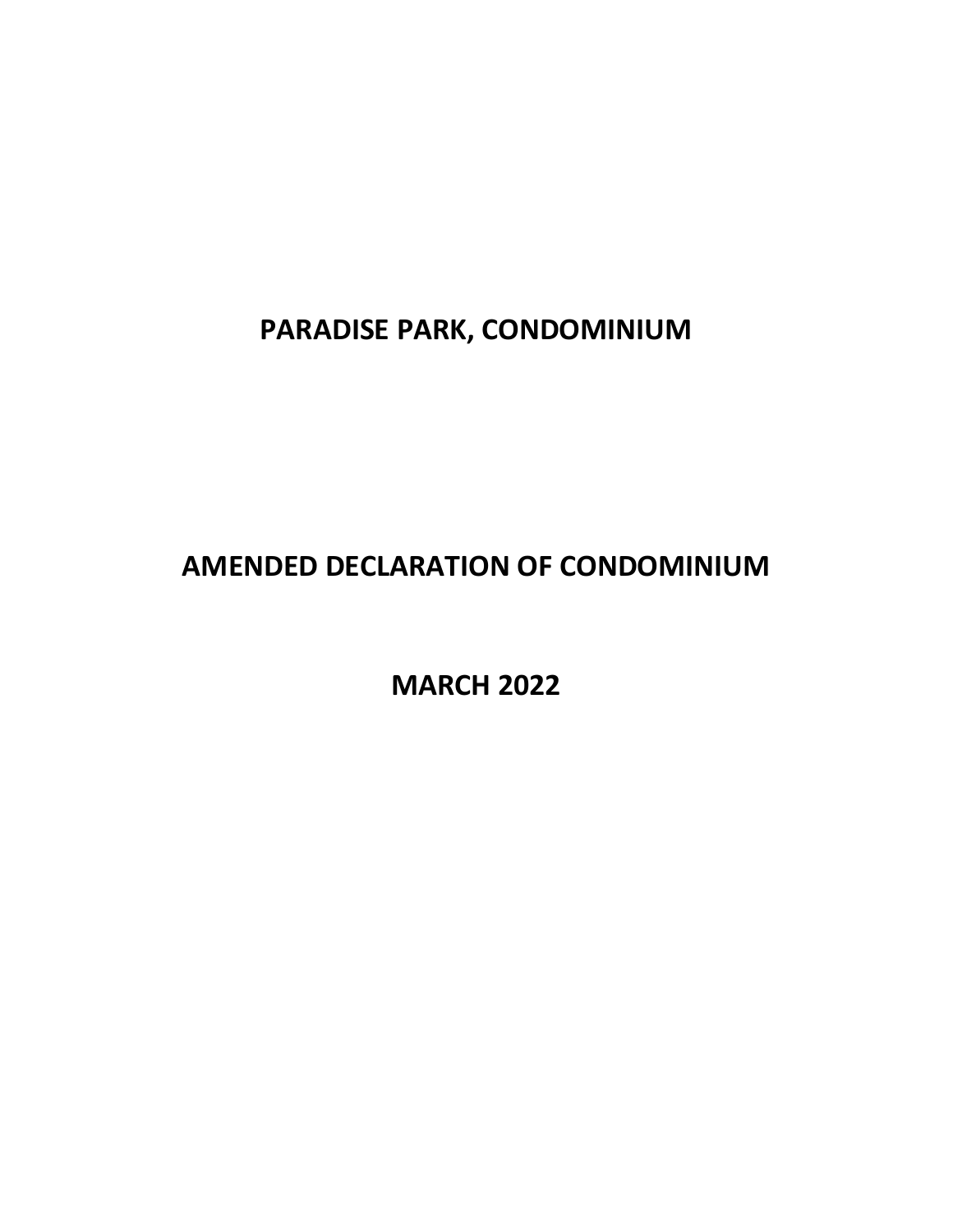**PARADISE PARK, CONDOMINIUM**

**AMENDED DECLARATION OF CONDOMINIUM**

**MARCH 2022**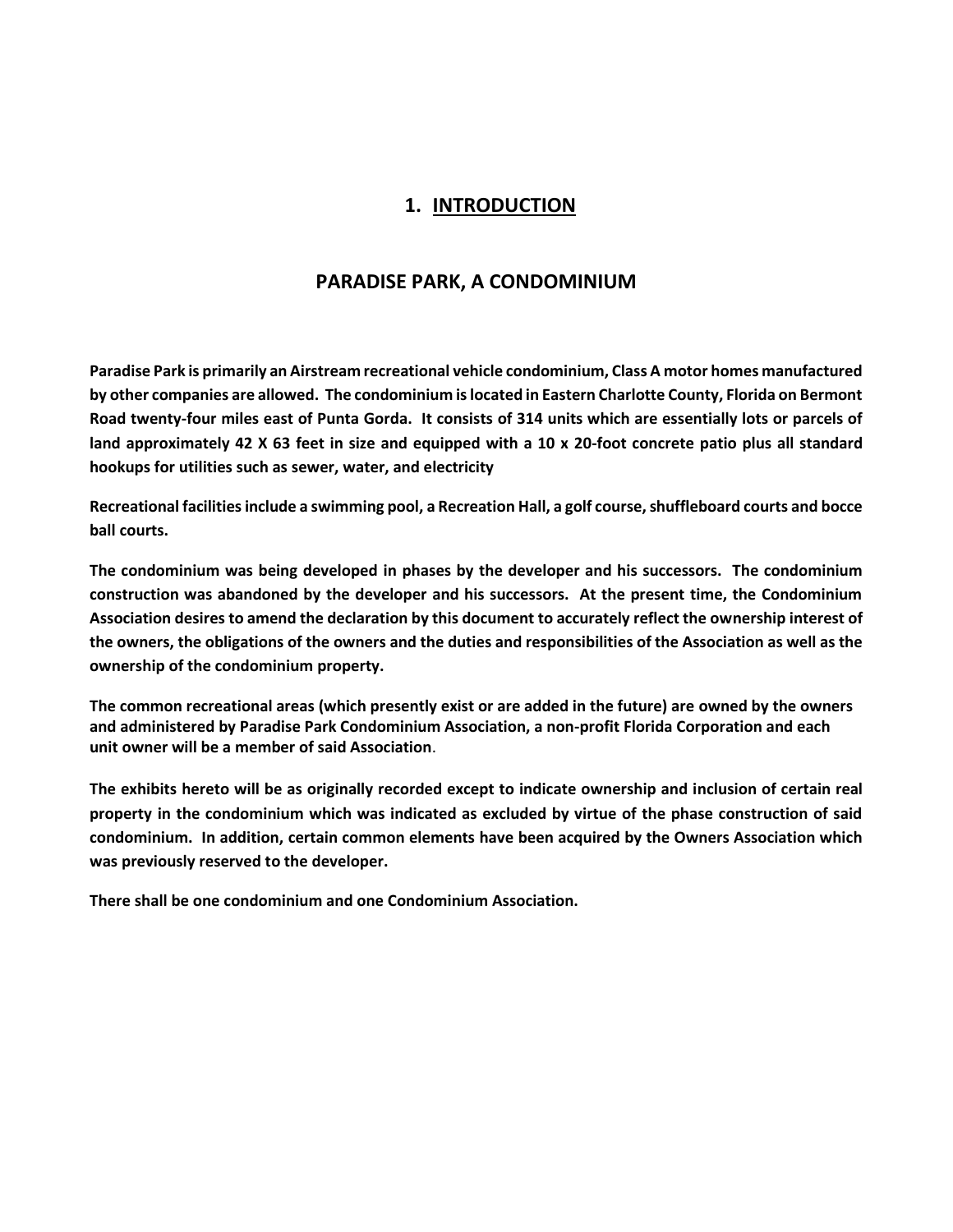### **1. INTRODUCTION**

### **PARADISE PARK, A CONDOMINIUM**

**Paradise Park is primarily an Airstream recreational vehicle condominium, Class A motor homes manufactured by other companies are allowed. The condominium is located in Eastern Charlotte County, Florida on Bermont Road twenty-four miles east of Punta Gorda. It consists of 314 units which are essentially lots or parcels of land approximately 42 X 63 feet in size and equipped with a 10 x 20-foot concrete patio plus all standard hookups for utilities such as sewer, water, and electricity**

**Recreational facilities include a swimming pool, a Recreation Hall, a golf course, shuffleboard courts and bocce ball courts.**

**The condominium was being developed in phases by the developer and his successors. The condominium construction was abandoned by the developer and his successors. At the present time, the Condominium Association desires to amend the declaration by this document to accurately reflect the ownership interest of the owners, the obligations of the owners and the duties and responsibilities of the Association as well as the ownership of the condominium property.**

**The common recreational areas (which presently exist or are added in the future) are owned by the owners and administered by Paradise Park Condominium Association, a non-profit Florida Corporation and each unit owner will be a member of said Association**.

**The exhibits hereto will be as originally recorded except to indicate ownership and inclusion of certain real property in the condominium which was indicated as excluded by virtue of the phase construction of said condominium. In addition, certain common elements have been acquired by the Owners Association which was previously reserved to the developer.**

**There shall be one condominium and one Condominium Association.**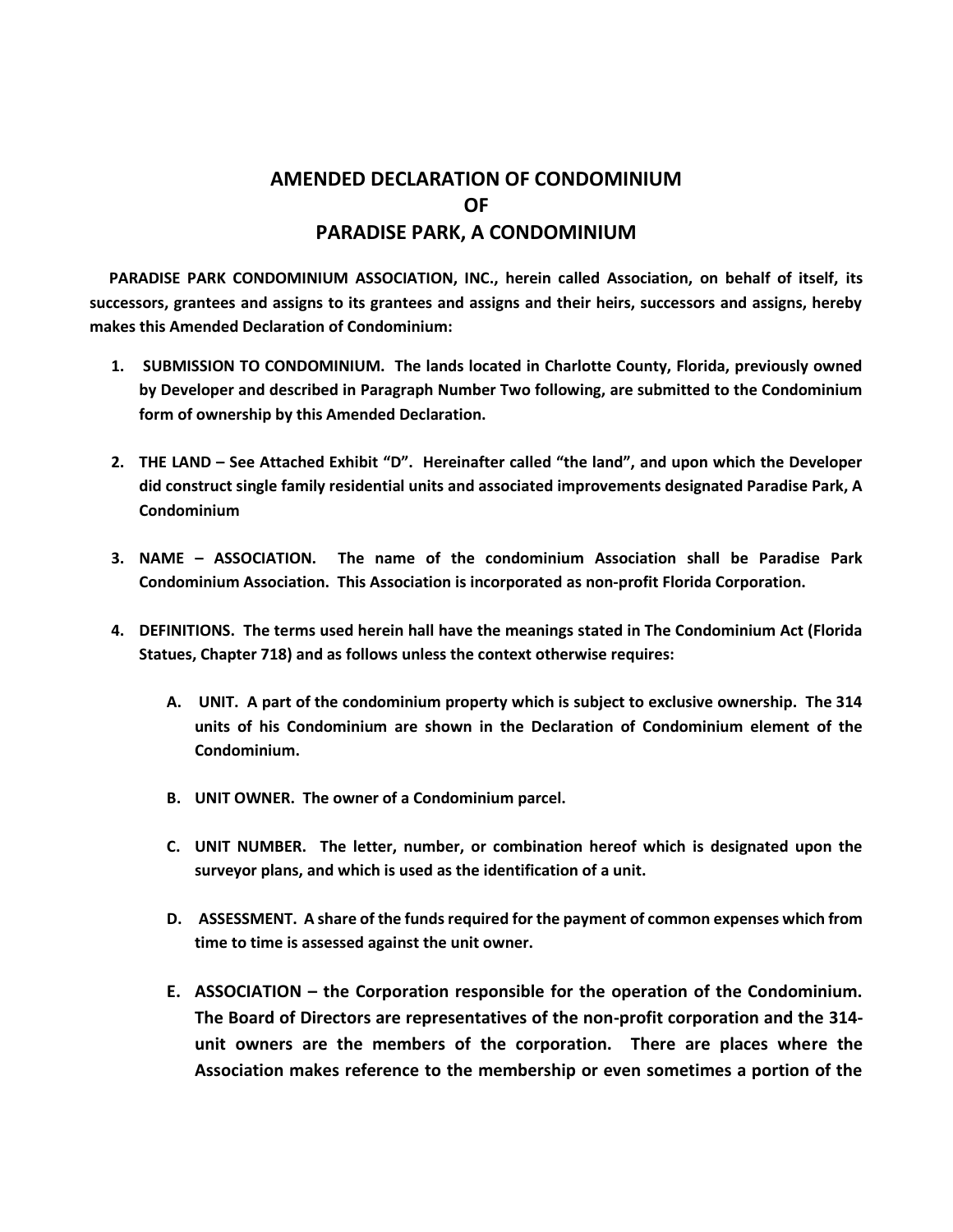# **AMENDED DECLARATION OF CONDOMINIUM OF PARADISE PARK, A CONDOMINIUM**

 **PARADISE PARK CONDOMINIUM ASSOCIATION, INC., herein called Association, on behalf of itself, its successors, grantees and assigns to its grantees and assigns and their heirs, successors and assigns, hereby makes this Amended Declaration of Condominium:**

- **1. SUBMISSION TO CONDOMINIUM. The lands located in Charlotte County, Florida, previously owned by Developer and described in Paragraph Number Two following, are submitted to the Condominium form of ownership by this Amended Declaration.**
- **2. THE LAND – See Attached Exhibit "D". Hereinafter called "the land", and upon which the Developer did construct single family residential units and associated improvements designated Paradise Park, A Condominium**
- **3. NAME – ASSOCIATION. The name of the condominium Association shall be Paradise Park Condominium Association. This Association is incorporated as non-profit Florida Corporation.**
- **4. DEFINITIONS. The terms used herein hall have the meanings stated in The Condominium Act (Florida Statues, Chapter 718) and as follows unless the context otherwise requires:**
	- **A. UNIT. A part of the condominium property which is subject to exclusive ownership. The 314 units of his Condominium are shown in the Declaration of Condominium element of the Condominium.**
	- **B. UNIT OWNER. The owner of a Condominium parcel.**
	- **C. UNIT NUMBER. The letter, number, or combination hereof which is designated upon the surveyor plans, and which is used as the identification of a unit.**
	- **D. ASSESSMENT. A share of the funds required for the payment of common expenses which from time to time is assessed against the unit owner.**
	- **E. ASSOCIATION – the Corporation responsible for the operation of the Condominium. The Board of Directors are representatives of the non-profit corporation and the 314 unit owners are the members of the corporation. There are places where the Association makes reference to the membership or even sometimes a portion of the**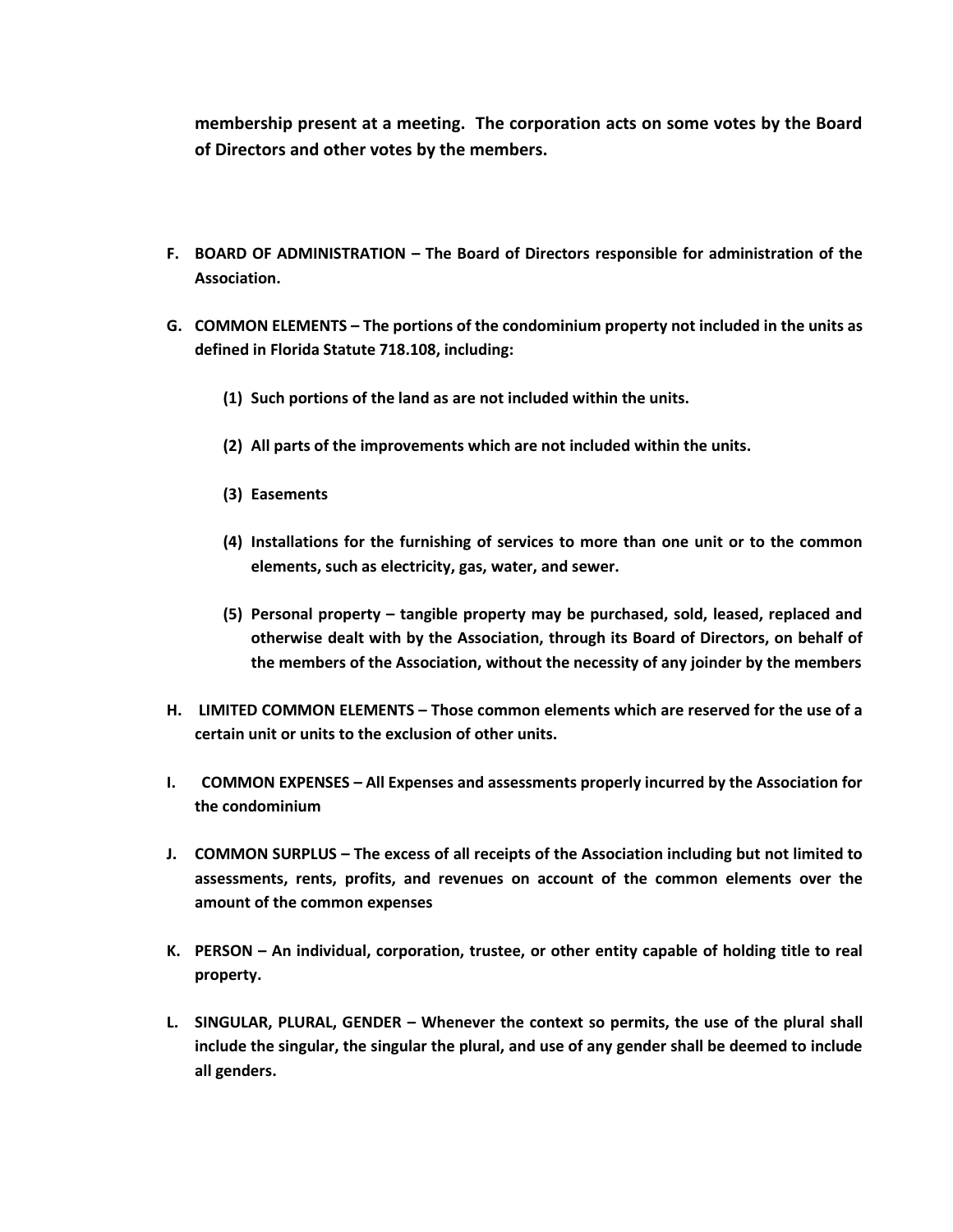**membership present at a meeting. The corporation acts on some votes by the Board of Directors and other votes by the members.**

- **F. BOARD OF ADMINISTRATION – The Board of Directors responsible for administration of the Association.**
- **G. COMMON ELEMENTS – The portions of the condominium property not included in the units as defined in Florida Statute 718.108, including:**
	- **(1) Such portions of the land as are not included within the units.**
	- **(2) All parts of the improvements which are not included within the units.**
	- **(3) Easements**
	- **(4) Installations for the furnishing of services to more than one unit or to the common elements, such as electricity, gas, water, and sewer.**
	- **(5) Personal property – tangible property may be purchased, sold, leased, replaced and otherwise dealt with by the Association, through its Board of Directors, on behalf of the members of the Association, without the necessity of any joinder by the members**
- **H. LIMITED COMMON ELEMENTS – Those common elements which are reserved for the use of a certain unit or units to the exclusion of other units.**
- **I. COMMON EXPENSES – All Expenses and assessments properly incurred by the Association for the condominium**
- **J. COMMON SURPLUS – The excess of all receipts of the Association including but not limited to assessments, rents, profits, and revenues on account of the common elements over the amount of the common expenses**
- **K. PERSON – An individual, corporation, trustee, or other entity capable of holding title to real property.**
- **L. SINGULAR, PLURAL, GENDER – Whenever the context so permits, the use of the plural shall include the singular, the singular the plural, and use of any gender shall be deemed to include all genders.**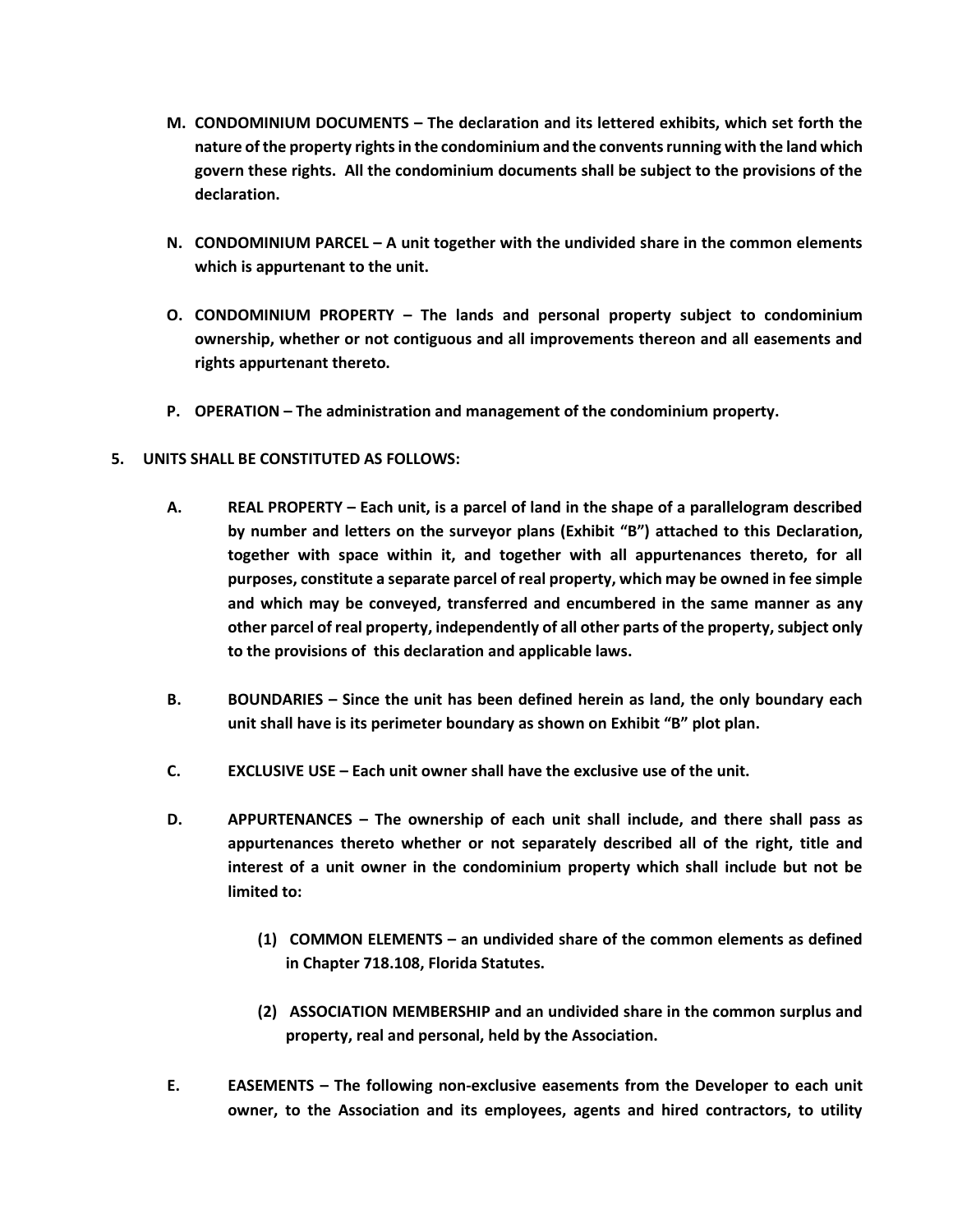- **M. CONDOMINIUM DOCUMENTS – The declaration and its lettered exhibits, which set forth the nature of the property rights in the condominium and the convents running with the land which govern these rights. All the condominium documents shall be subject to the provisions of the declaration.**
- **N. CONDOMINIUM PARCEL – A unit together with the undivided share in the common elements which is appurtenant to the unit.**
- **O. CONDOMINIUM PROPERTY – The lands and personal property subject to condominium ownership, whether or not contiguous and all improvements thereon and all easements and rights appurtenant thereto.**
- **P. OPERATION – The administration and management of the condominium property.**
- **5. UNITS SHALL BE CONSTITUTED AS FOLLOWS:**
	- **A. REAL PROPERTY – Each unit, is a parcel of land in the shape of a parallelogram described by number and letters on the surveyor plans (Exhibit "B") attached to this Declaration, together with space within it, and together with all appurtenances thereto, for all purposes, constitute a separate parcel of real property, which may be owned in fee simple and which may be conveyed, transferred and encumbered in the same manner as any other parcel of real property, independently of all other parts of the property, subject only to the provisions of this declaration and applicable laws.**
	- **B. BOUNDARIES – Since the unit has been defined herein as land, the only boundary each unit shall have is its perimeter boundary as shown on Exhibit "B" plot plan.**
	- **C. EXCLUSIVE USE – Each unit owner shall have the exclusive use of the unit.**
	- **D. APPURTENANCES – The ownership of each unit shall include, and there shall pass as appurtenances thereto whether or not separately described all of the right, title and interest of a unit owner in the condominium property which shall include but not be limited to:**
		- **(1) COMMON ELEMENTS – an undivided share of the common elements as defined in Chapter 718.108, Florida Statutes.**
		- **(2) ASSOCIATION MEMBERSHIP and an undivided share in the common surplus and property, real and personal, held by the Association.**
	- **E. EASEMENTS – The following non-exclusive easements from the Developer to each unit owner, to the Association and its employees, agents and hired contractors, to utility**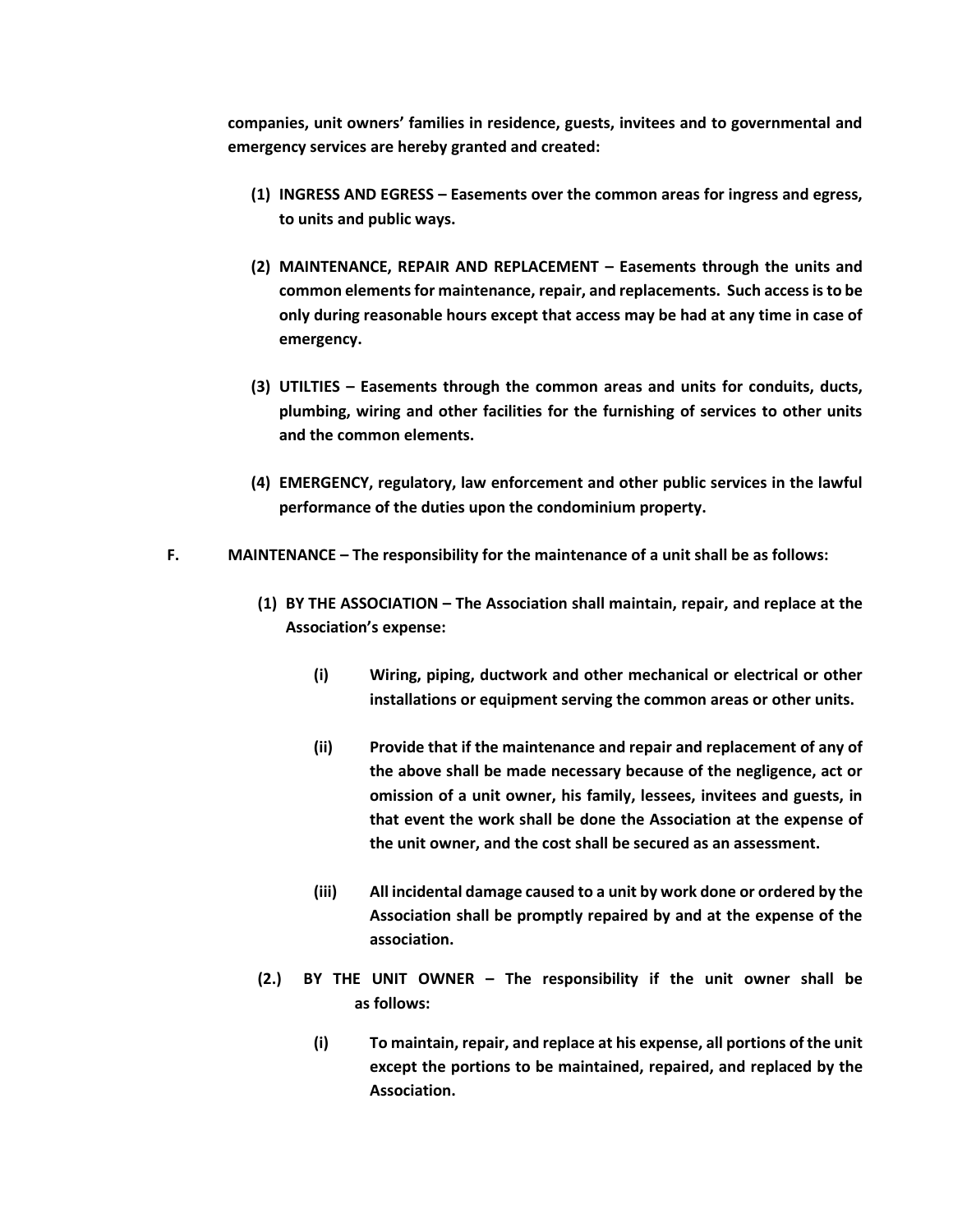**companies, unit owners' families in residence, guests, invitees and to governmental and emergency services are hereby granted and created:**

- **(1) INGRESS AND EGRESS – Easements over the common areas for ingress and egress, to units and public ways.**
- **(2) MAINTENANCE, REPAIR AND REPLACEMENT – Easements through the units and common elements for maintenance, repair, and replacements. Such access is to be only during reasonable hours except that access may be had at any time in case of emergency.**
- **(3) UTILTIES – Easements through the common areas and units for conduits, ducts, plumbing, wiring and other facilities for the furnishing of services to other units and the common elements.**
- **(4) EMERGENCY, regulatory, law enforcement and other public services in the lawful performance of the duties upon the condominium property.**
- **F. MAINTENANCE – The responsibility for the maintenance of a unit shall be as follows:**
	- **(1) BY THE ASSOCIATION – The Association shall maintain, repair, and replace at the Association's expense:**
		- **(i) Wiring, piping, ductwork and other mechanical or electrical or other installations or equipment serving the common areas or other units.**
		- **(ii) Provide that if the maintenance and repair and replacement of any of the above shall be made necessary because of the negligence, act or omission of a unit owner, his family, lessees, invitees and guests, in that event the work shall be done the Association at the expense of the unit owner, and the cost shall be secured as an assessment.**
		- **(iii) All incidental damage caused to a unit by work done or ordered by the Association shall be promptly repaired by and at the expense of the association.**
	- **(2.) BY THE UNIT OWNER – The responsibility if the unit owner shall be as follows:**
		- **(i) To maintain, repair, and replace at his expense, all portions of the unit except the portions to be maintained, repaired, and replaced by the Association.**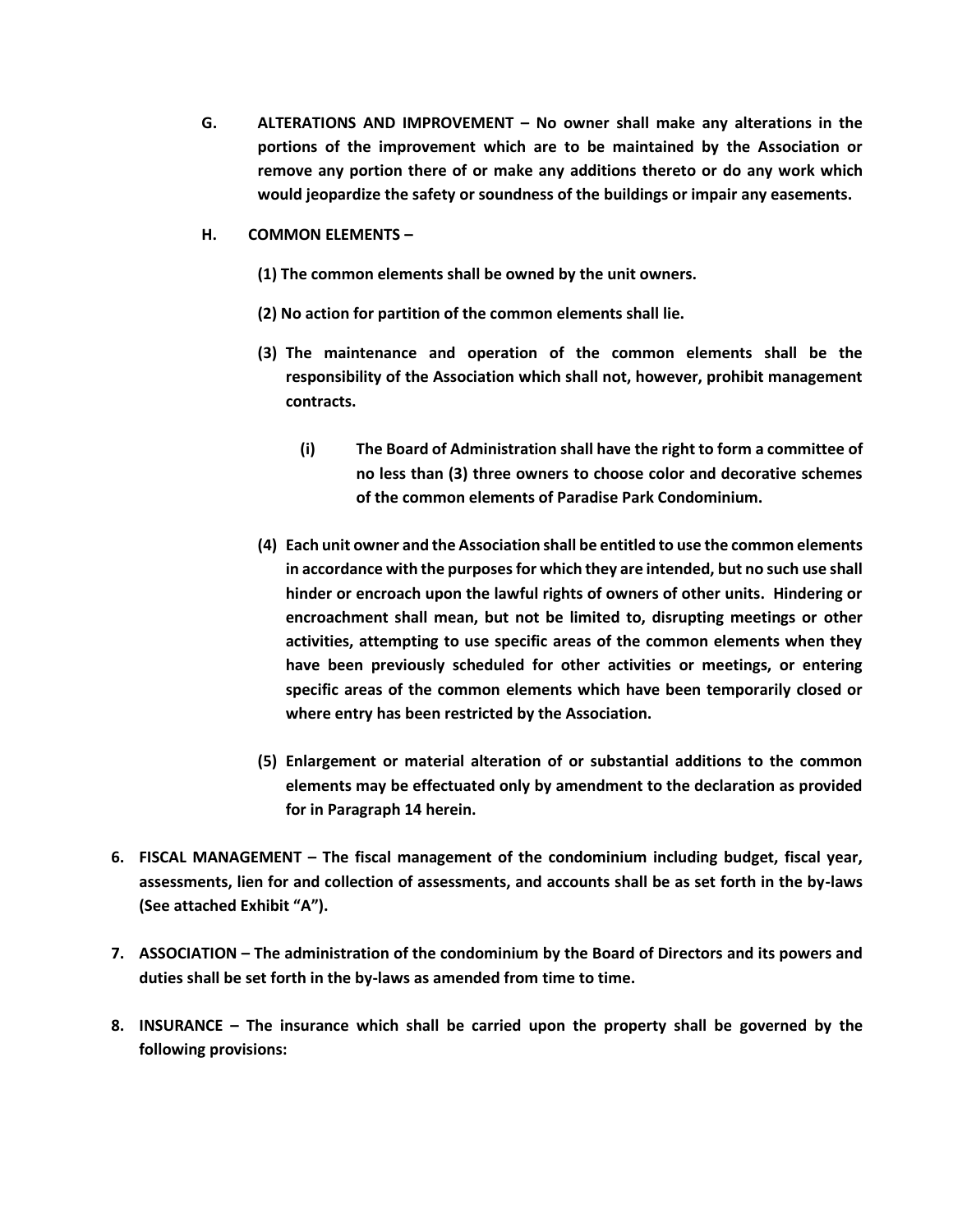- **G. ALTERATIONS AND IMPROVEMENT – No owner shall make any alterations in the portions of the improvement which are to be maintained by the Association or remove any portion there of or make any additions thereto or do any work which would jeopardize the safety or soundness of the buildings or impair any easements.**
- **H. COMMON ELEMENTS –**
	- **(1) The common elements shall be owned by the unit owners.**
	- **(2) No action for partition of the common elements shall lie.**
	- **(3) The maintenance and operation of the common elements shall be the responsibility of the Association which shall not, however, prohibit management contracts.**
		- **(i) The Board of Administration shall have the right to form a committee of no less than (3) three owners to choose color and decorative schemes of the common elements of Paradise Park Condominium.**
	- **(4) Each unit owner and the Association shall be entitled to use the common elements in accordance with the purposes for which they are intended, but no such use shall hinder or encroach upon the lawful rights of owners of other units. Hindering or encroachment shall mean, but not be limited to, disrupting meetings or other activities, attempting to use specific areas of the common elements when they have been previously scheduled for other activities or meetings, or entering specific areas of the common elements which have been temporarily closed or where entry has been restricted by the Association.**
	- **(5) Enlargement or material alteration of or substantial additions to the common elements may be effectuated only by amendment to the declaration as provided for in Paragraph 14 herein.**
- **6. FISCAL MANAGEMENT – The fiscal management of the condominium including budget, fiscal year, assessments, lien for and collection of assessments, and accounts shall be as set forth in the by-laws (See attached Exhibit "A").**
- **7. ASSOCIATION – The administration of the condominium by the Board of Directors and its powers and duties shall be set forth in the by-laws as amended from time to time.**
- **8. INSURANCE – The insurance which shall be carried upon the property shall be governed by the following provisions:**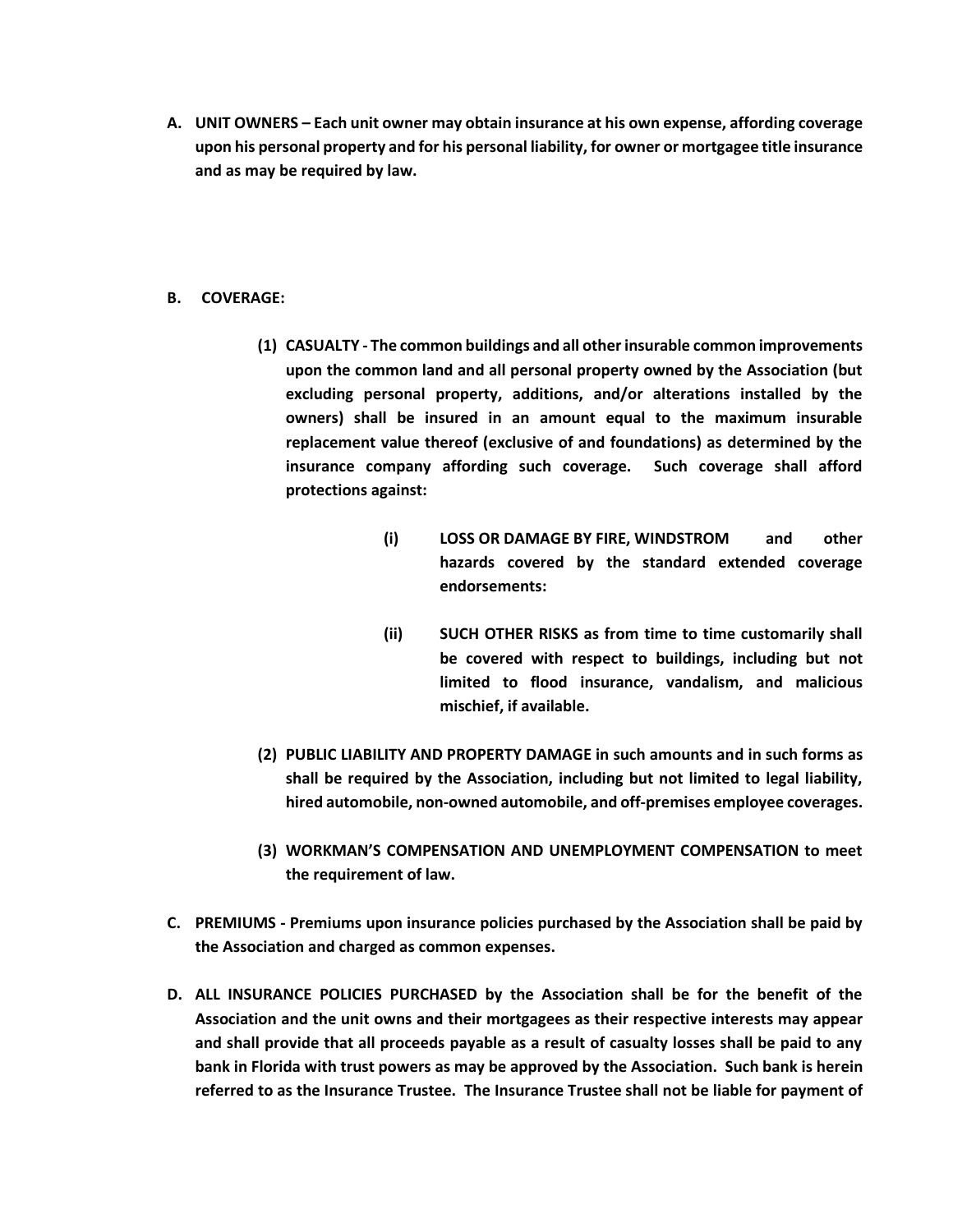- **A. UNIT OWNERS – Each unit owner may obtain insurance at his own expense, affording coverage upon his personal property and for his personal liability, for owner or mortgagee title insurance and as may be required by law.**
- **B. COVERAGE:**
	- **(1) CASUALTY - The common buildings and all other insurable common improvements upon the common land and all personal property owned by the Association (but excluding personal property, additions, and/or alterations installed by the owners) shall be insured in an amount equal to the maximum insurable replacement value thereof (exclusive of and foundations) as determined by the insurance company affording such coverage. Such coverage shall afford protections against:**
		- **(i) LOSS OR DAMAGE BY FIRE, WINDSTROM and other hazards covered by the standard extended coverage endorsements:**
		- **(ii) SUCH OTHER RISKS as from time to time customarily shall be covered with respect to buildings, including but not limited to flood insurance, vandalism, and malicious mischief, if available.**
	- **(2) PUBLIC LIABILITY AND PROPERTY DAMAGE in such amounts and in such forms as shall be required by the Association, including but not limited to legal liability, hired automobile, non-owned automobile, and off-premises employee coverages.**
	- **(3) WORKMAN'S COMPENSATION AND UNEMPLOYMENT COMPENSATION to meet the requirement of law.**
- **C. PREMIUMS - Premiums upon insurance policies purchased by the Association shall be paid by the Association and charged as common expenses.**
- **D. ALL INSURANCE POLICIES PURCHASED by the Association shall be for the benefit of the Association and the unit owns and their mortgagees as their respective interests may appear and shall provide that all proceeds payable as a result of casualty losses shall be paid to any bank in Florida with trust powers as may be approved by the Association. Such bank is herein referred to as the Insurance Trustee. The Insurance Trustee shall not be liable for payment of**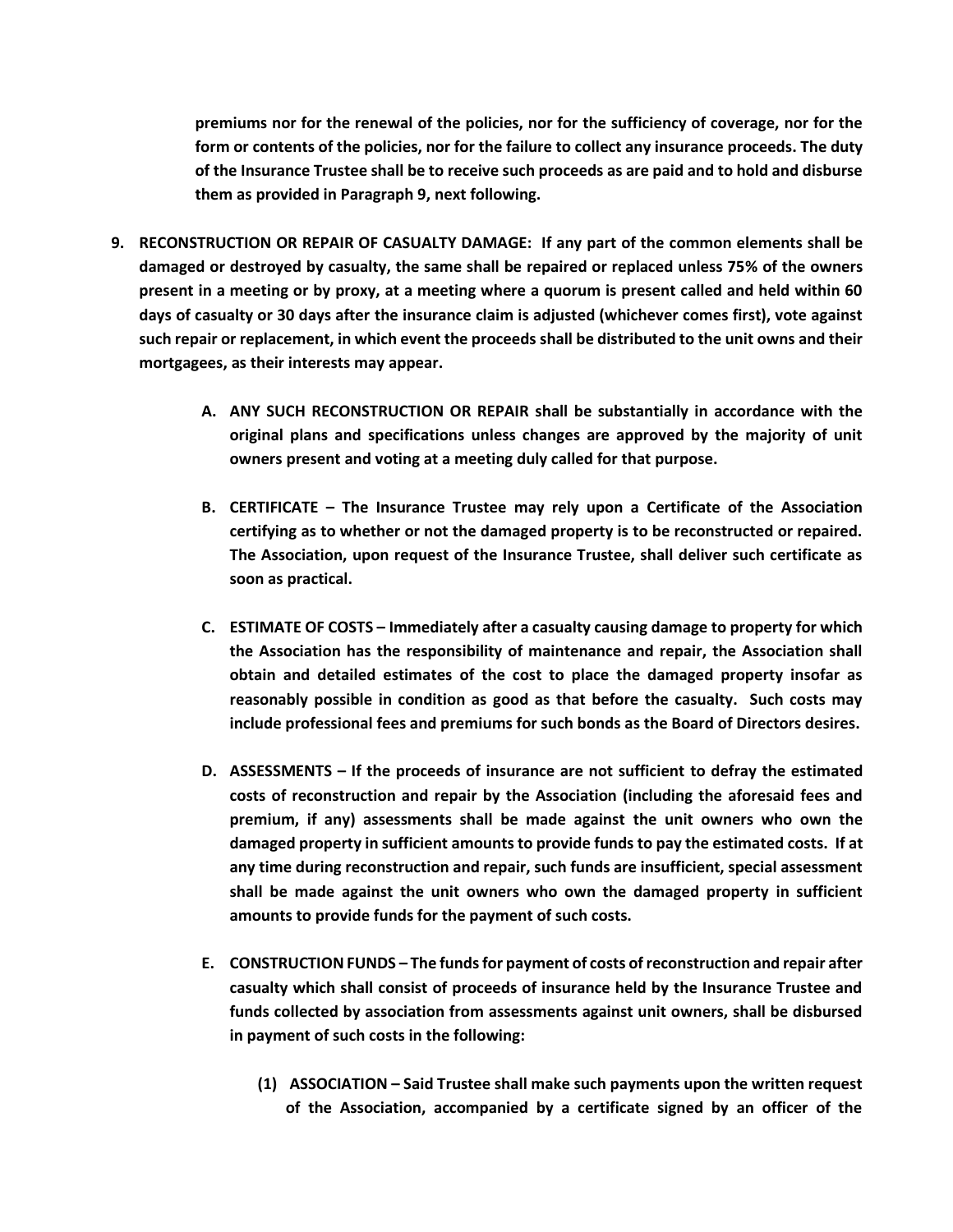**premiums nor for the renewal of the policies, nor for the sufficiency of coverage, nor for the form or contents of the policies, nor for the failure to collect any insurance proceeds. The duty of the Insurance Trustee shall be to receive such proceeds as are paid and to hold and disburse them as provided in Paragraph 9, next following.**

- **9. RECONSTRUCTION OR REPAIR OF CASUALTY DAMAGE: If any part of the common elements shall be damaged or destroyed by casualty, the same shall be repaired or replaced unless 75% of the owners present in a meeting or by proxy, at a meeting where a quorum is present called and held within 60 days of casualty or 30 days after the insurance claim is adjusted (whichever comes first), vote against such repair or replacement, in which event the proceeds shall be distributed to the unit owns and their mortgagees, as their interests may appear.**
	- **A. ANY SUCH RECONSTRUCTION OR REPAIR shall be substantially in accordance with the original plans and specifications unless changes are approved by the majority of unit owners present and voting at a meeting duly called for that purpose.**
	- **B. CERTIFICATE – The Insurance Trustee may rely upon a Certificate of the Association certifying as to whether or not the damaged property is to be reconstructed or repaired. The Association, upon request of the Insurance Trustee, shall deliver such certificate as soon as practical.**
	- **C. ESTIMATE OF COSTS – Immediately after a casualty causing damage to property for which the Association has the responsibility of maintenance and repair, the Association shall obtain and detailed estimates of the cost to place the damaged property insofar as reasonably possible in condition as good as that before the casualty. Such costs may include professional fees and premiums for such bonds as the Board of Directors desires.**
	- **D. ASSESSMENTS – If the proceeds of insurance are not sufficient to defray the estimated costs of reconstruction and repair by the Association (including the aforesaid fees and premium, if any) assessments shall be made against the unit owners who own the damaged property in sufficient amounts to provide funds to pay the estimated costs. If at any time during reconstruction and repair, such funds are insufficient, special assessment shall be made against the unit owners who own the damaged property in sufficient amounts to provide funds for the payment of such costs.**
	- **E. CONSTRUCTION FUNDS – The funds for payment of costs of reconstruction and repair after casualty which shall consist of proceeds of insurance held by the Insurance Trustee and funds collected by association from assessments against unit owners, shall be disbursed in payment of such costs in the following:**
		- **(1) ASSOCIATION – Said Trustee shall make such payments upon the written request of the Association, accompanied by a certificate signed by an officer of the**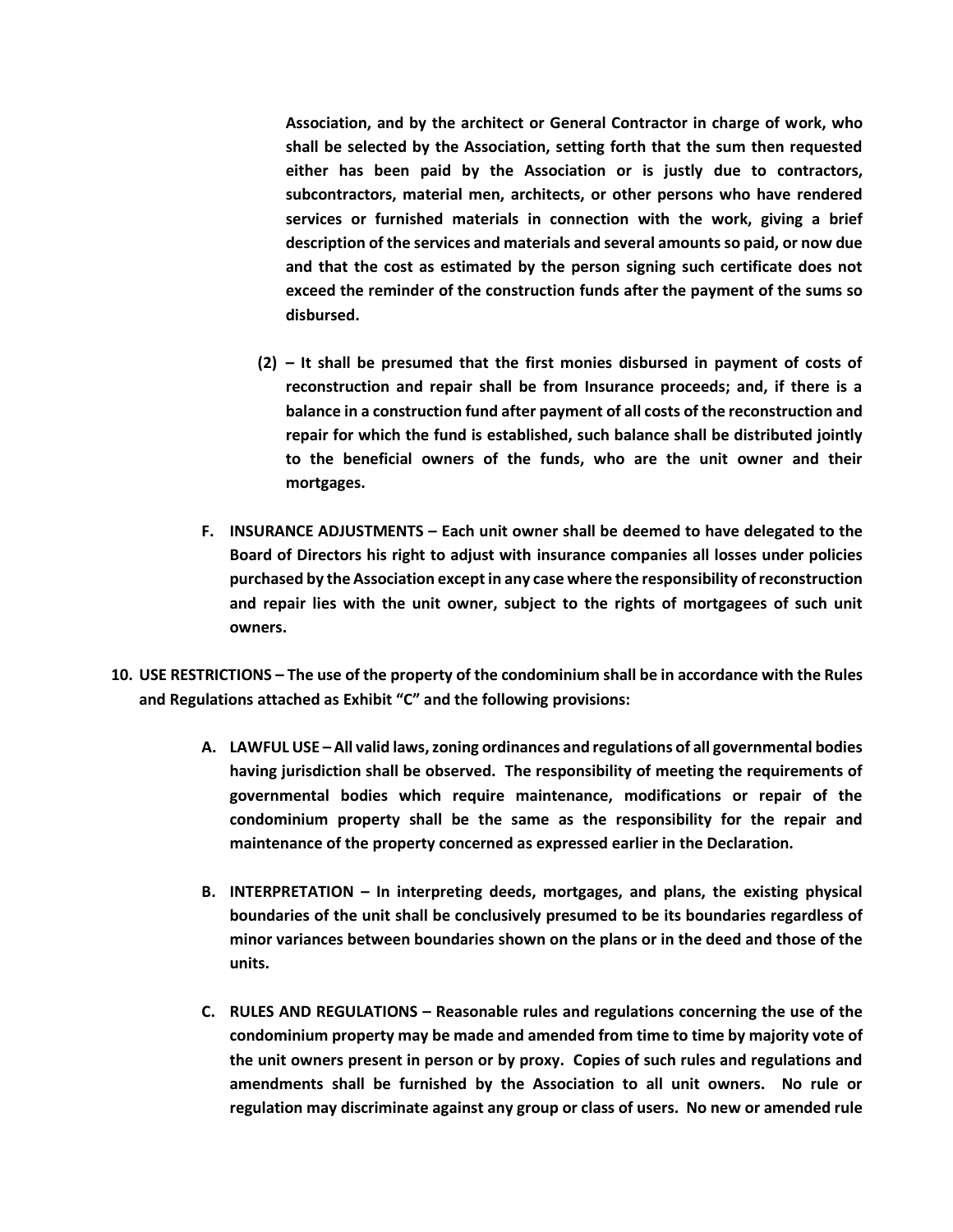**Association, and by the architect or General Contractor in charge of work, who shall be selected by the Association, setting forth that the sum then requested either has been paid by the Association or is justly due to contractors, subcontractors, material men, architects, or other persons who have rendered services or furnished materials in connection with the work, giving a brief description of the services and materials and several amounts so paid, or now due and that the cost as estimated by the person signing such certificate does not exceed the reminder of the construction funds after the payment of the sums so disbursed.**

- **(2) – It shall be presumed that the first monies disbursed in payment of costs of reconstruction and repair shall be from Insurance proceeds; and, if there is a balance in a construction fund after payment of all costs of the reconstruction and repair for which the fund is established, such balance shall be distributed jointly to the beneficial owners of the funds, who are the unit owner and their mortgages.**
- **F. INSURANCE ADJUSTMENTS – Each unit owner shall be deemed to have delegated to the Board of Directors his right to adjust with insurance companies all losses under policies purchased by the Association except in any case where the responsibility of reconstruction and repair lies with the unit owner, subject to the rights of mortgagees of such unit owners.**
- **10. USE RESTRICTIONS – The use of the property of the condominium shall be in accordance with the Rules and Regulations attached as Exhibit "C" and the following provisions:**
	- **A. LAWFUL USE – All valid laws, zoning ordinances and regulations of all governmental bodies having jurisdiction shall be observed. The responsibility of meeting the requirements of governmental bodies which require maintenance, modifications or repair of the condominium property shall be the same as the responsibility for the repair and maintenance of the property concerned as expressed earlier in the Declaration.**
	- **B. INTERPRETATION – In interpreting deeds, mortgages, and plans, the existing physical boundaries of the unit shall be conclusively presumed to be its boundaries regardless of minor variances between boundaries shown on the plans or in the deed and those of the units.**
	- **C. RULES AND REGULATIONS – Reasonable rules and regulations concerning the use of the condominium property may be made and amended from time to time by majority vote of the unit owners present in person or by proxy. Copies of such rules and regulations and amendments shall be furnished by the Association to all unit owners. No rule or regulation may discriminate against any group or class of users. No new or amended rule**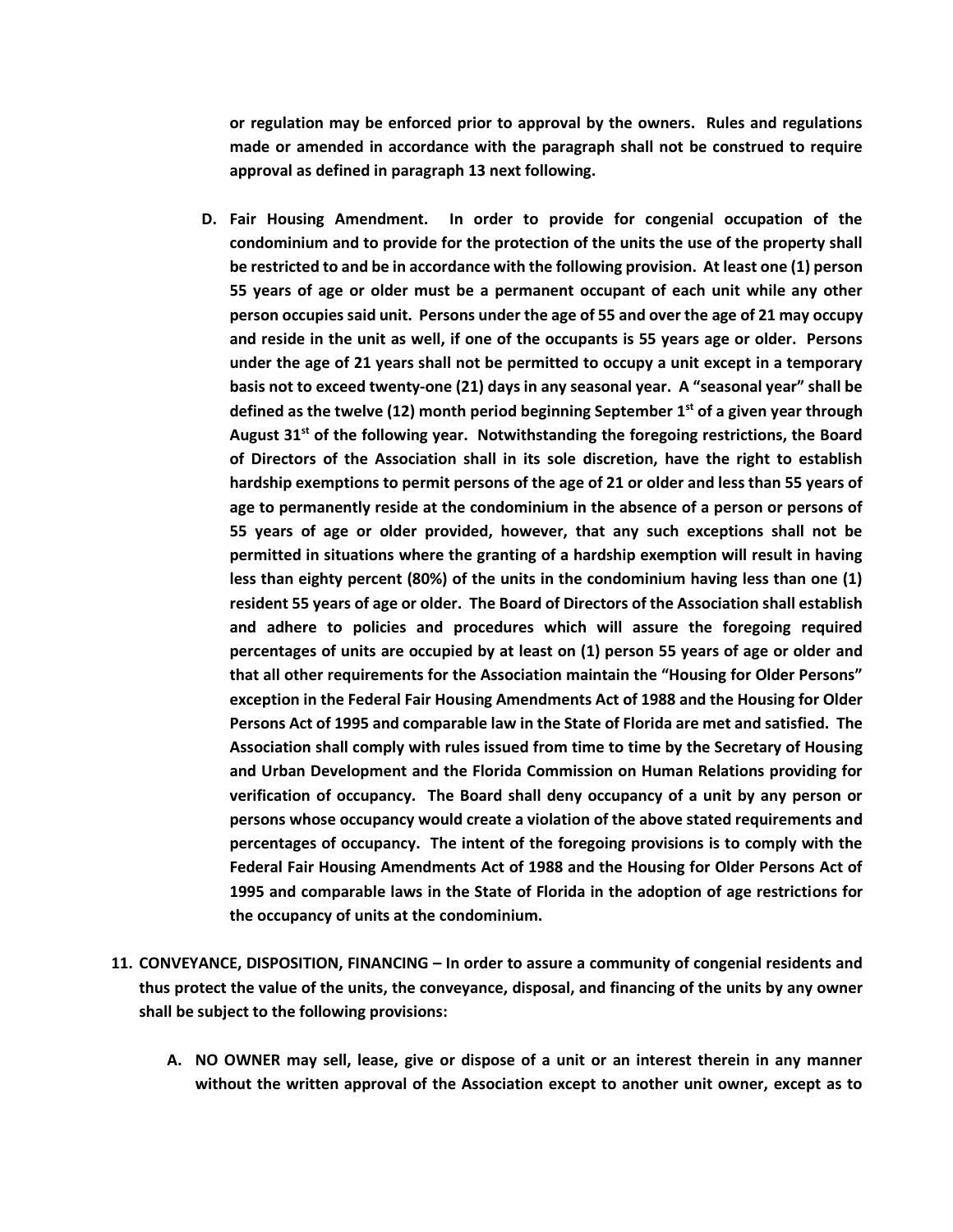**or regulation may be enforced prior to approval by the owners. Rules and regulations made or amended in accordance with the paragraph shall not be construed to require approval as defined in paragraph 13 next following.**

- **D. Fair Housing Amendment. In order to provide for congenial occupation of the condominium and to provide for the protection of the units the use of the property shall be restricted to and be in accordance with the following provision. At least one (1) person 55 years of age or older must be a permanent occupant of each unit while any other person occupies said unit. Persons under the age of 55 and over the age of 21 may occupy and reside in the unit as well, if one of the occupants is 55 years age or older. Persons under the age of 21 years shall not be permitted to occupy a unit except in a temporary basis not to exceed twenty-one (21) days in any seasonal year. A "seasonal year" shall be defined as the twelve (12) month period beginning September 1st of a given year through August 31st of the following year. Notwithstanding the foregoing restrictions, the Board of Directors of the Association shall in its sole discretion, have the right to establish hardship exemptions to permit persons of the age of 21 or older and less than 55 years of age to permanently reside at the condominium in the absence of a person or persons of 55 years of age or older provided, however, that any such exceptions shall not be permitted in situations where the granting of a hardship exemption will result in having less than eighty percent (80%) of the units in the condominium having less than one (1) resident 55 years of age or older. The Board of Directors of the Association shall establish and adhere to policies and procedures which will assure the foregoing required percentages of units are occupied by at least on (1) person 55 years of age or older and that all other requirements for the Association maintain the "Housing for Older Persons" exception in the Federal Fair Housing Amendments Act of 1988 and the Housing for Older Persons Act of 1995 and comparable law in the State of Florida are met and satisfied. The Association shall comply with rules issued from time to time by the Secretary of Housing and Urban Development and the Florida Commission on Human Relations providing for verification of occupancy. The Board shall deny occupancy of a unit by any person or persons whose occupancy would create a violation of the above stated requirements and percentages of occupancy. The intent of the foregoing provisions is to comply with the Federal Fair Housing Amendments Act of 1988 and the Housing for Older Persons Act of 1995 and comparable laws in the State of Florida in the adoption of age restrictions for the occupancy of units at the condominium.**
- **11. CONVEYANCE, DISPOSITION, FINANCING – In order to assure a community of congenial residents and thus protect the value of the units, the conveyance, disposal, and financing of the units by any owner shall be subject to the following provisions:**
	- **A. NO OWNER may sell, lease, give or dispose of a unit or an interest therein in any manner without the written approval of the Association except to another unit owner, except as to**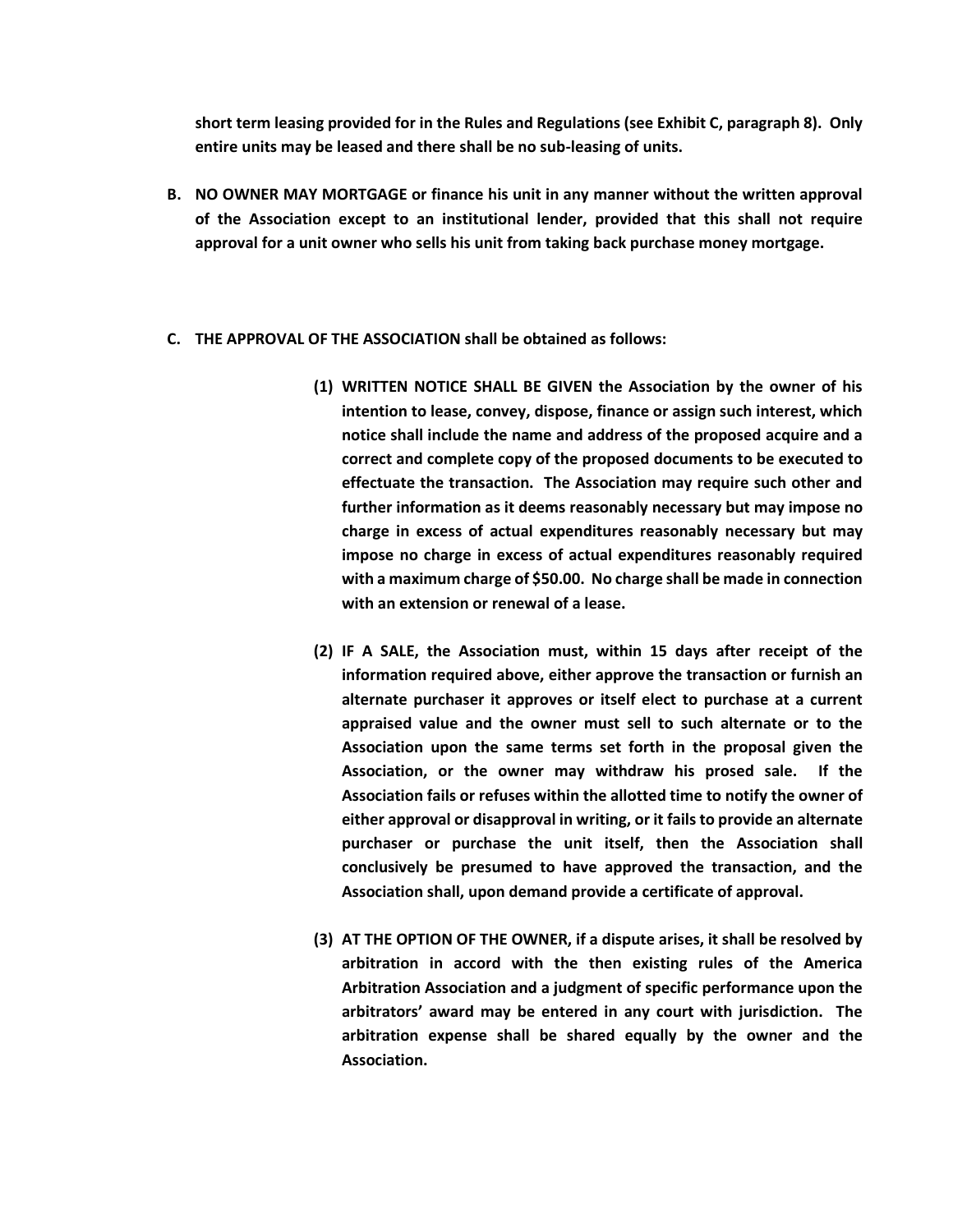**short term leasing provided for in the Rules and Regulations (see Exhibit C, paragraph 8). Only entire units may be leased and there shall be no sub-leasing of units.**

- **B. NO OWNER MAY MORTGAGE or finance his unit in any manner without the written approval of the Association except to an institutional lender, provided that this shall not require approval for a unit owner who sells his unit from taking back purchase money mortgage.**
- **C. THE APPROVAL OF THE ASSOCIATION shall be obtained as follows:**
	- **(1) WRITTEN NOTICE SHALL BE GIVEN the Association by the owner of his intention to lease, convey, dispose, finance or assign such interest, which notice shall include the name and address of the proposed acquire and a correct and complete copy of the proposed documents to be executed to effectuate the transaction. The Association may require such other and further information as it deems reasonably necessary but may impose no charge in excess of actual expenditures reasonably necessary but may impose no charge in excess of actual expenditures reasonably required with a maximum charge of \$50.00. No charge shall be made in connection with an extension or renewal of a lease.**
	- **(2) IF A SALE, the Association must, within 15 days after receipt of the information required above, either approve the transaction or furnish an alternate purchaser it approves or itself elect to purchase at a current appraised value and the owner must sell to such alternate or to the Association upon the same terms set forth in the proposal given the Association, or the owner may withdraw his prosed sale. If the Association fails or refuses within the allotted time to notify the owner of either approval or disapproval in writing, or it fails to provide an alternate purchaser or purchase the unit itself, then the Association shall conclusively be presumed to have approved the transaction, and the Association shall, upon demand provide a certificate of approval.**
	- **(3) AT THE OPTION OF THE OWNER, if a dispute arises, it shall be resolved by arbitration in accord with the then existing rules of the America Arbitration Association and a judgment of specific performance upon the arbitrators' award may be entered in any court with jurisdiction. The arbitration expense shall be shared equally by the owner and the Association.**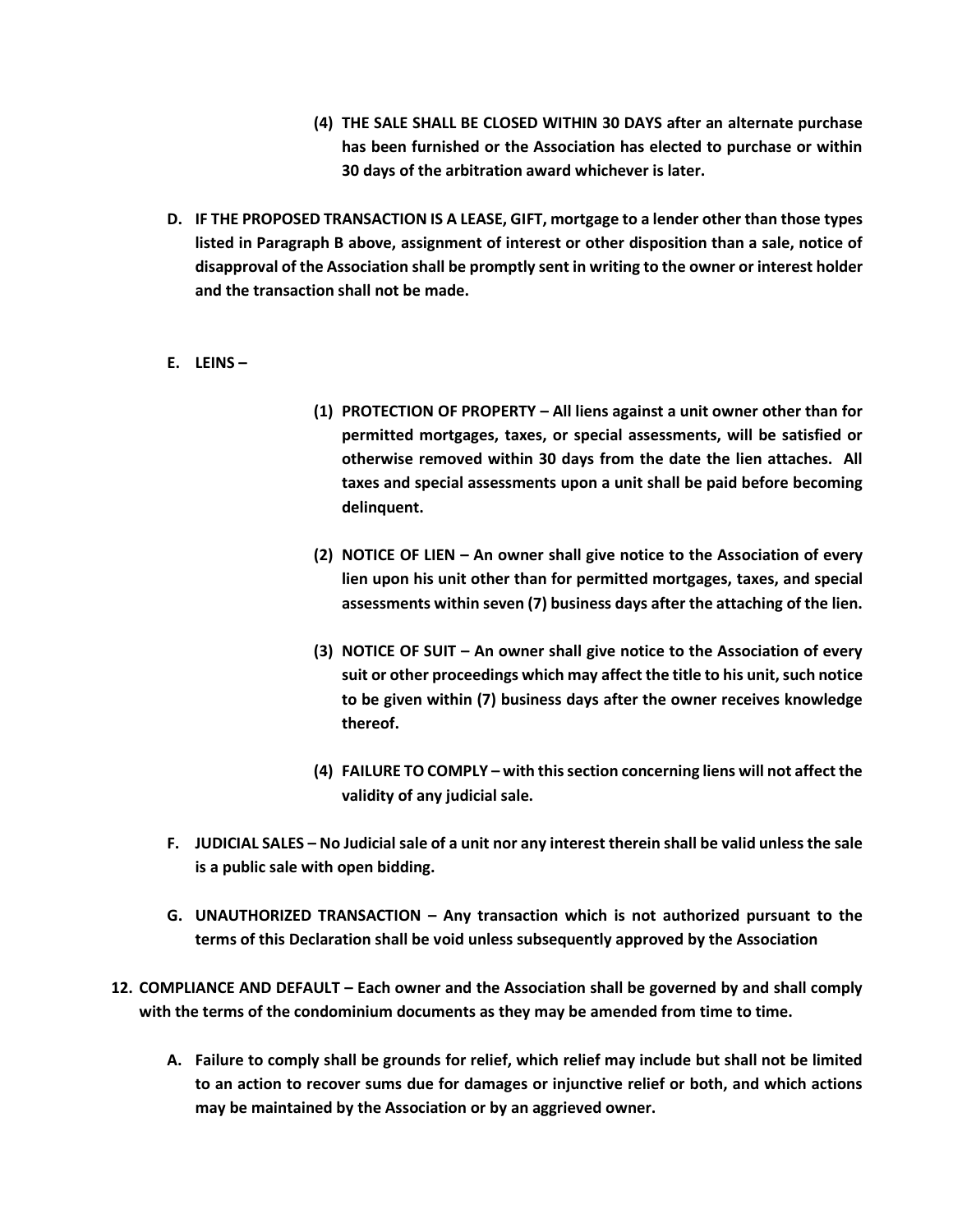- **(4) THE SALE SHALL BE CLOSED WITHIN 30 DAYS after an alternate purchase has been furnished or the Association has elected to purchase or within 30 days of the arbitration award whichever is later.**
- **D. IF THE PROPOSED TRANSACTION IS A LEASE, GIFT, mortgage to a lender other than those types listed in Paragraph B above, assignment of interest or other disposition than a sale, notice of disapproval of the Association shall be promptly sent in writing to the owner or interest holder and the transaction shall not be made.**
- **E. LEINS –**
- **(1) PROTECTION OF PROPERTY – All liens against a unit owner other than for permitted mortgages, taxes, or special assessments, will be satisfied or otherwise removed within 30 days from the date the lien attaches. All taxes and special assessments upon a unit shall be paid before becoming delinquent.**
- **(2) NOTICE OF LIEN – An owner shall give notice to the Association of every lien upon his unit other than for permitted mortgages, taxes, and special assessments within seven (7) business days after the attaching of the lien.**
- **(3) NOTICE OF SUIT – An owner shall give notice to the Association of every suit or other proceedings which may affect the title to his unit, such notice to be given within (7) business days after the owner receives knowledge thereof.**
- **(4) FAILURE TO COMPLY – with this section concerning liens will not affect the validity of any judicial sale.**
- **F. JUDICIAL SALES – No Judicial sale of a unit nor any interest therein shall be valid unless the sale is a public sale with open bidding.**
- **G. UNAUTHORIZED TRANSACTION – Any transaction which is not authorized pursuant to the terms of this Declaration shall be void unless subsequently approved by the Association**
- **12. COMPLIANCE AND DEFAULT – Each owner and the Association shall be governed by and shall comply with the terms of the condominium documents as they may be amended from time to time.**
	- **A. Failure to comply shall be grounds for relief, which relief may include but shall not be limited to an action to recover sums due for damages or injunctive relief or both, and which actions may be maintained by the Association or by an aggrieved owner.**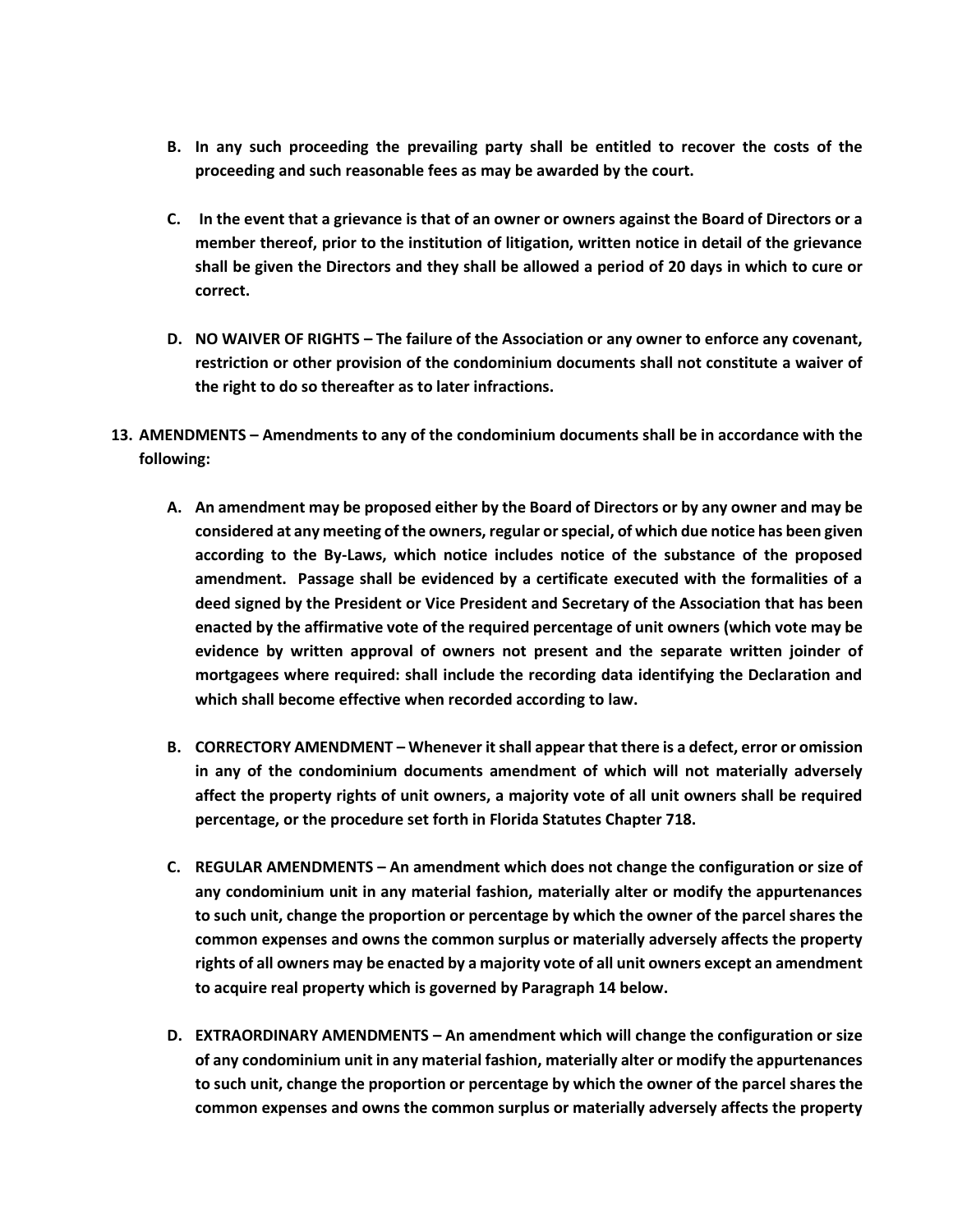- **B. In any such proceeding the prevailing party shall be entitled to recover the costs of the proceeding and such reasonable fees as may be awarded by the court.**
- **C. In the event that a grievance is that of an owner or owners against the Board of Directors or a member thereof, prior to the institution of litigation, written notice in detail of the grievance shall be given the Directors and they shall be allowed a period of 20 days in which to cure or correct.**
- **D. NO WAIVER OF RIGHTS – The failure of the Association or any owner to enforce any covenant, restriction or other provision of the condominium documents shall not constitute a waiver of the right to do so thereafter as to later infractions.**
- **13. AMENDMENTS – Amendments to any of the condominium documents shall be in accordance with the following:**
	- **A. An amendment may be proposed either by the Board of Directors or by any owner and may be considered at any meeting of the owners, regular or special, of which due notice has been given according to the By-Laws, which notice includes notice of the substance of the proposed amendment. Passage shall be evidenced by a certificate executed with the formalities of a deed signed by the President or Vice President and Secretary of the Association that has been enacted by the affirmative vote of the required percentage of unit owners (which vote may be evidence by written approval of owners not present and the separate written joinder of mortgagees where required: shall include the recording data identifying the Declaration and which shall become effective when recorded according to law.**
	- **B. CORRECTORY AMENDMENT – Whenever it shall appear that there is a defect, error or omission in any of the condominium documents amendment of which will not materially adversely affect the property rights of unit owners, a majority vote of all unit owners shall be required percentage, or the procedure set forth in Florida Statutes Chapter 718.**
	- **C. REGULAR AMENDMENTS – An amendment which does not change the configuration or size of any condominium unit in any material fashion, materially alter or modify the appurtenances to such unit, change the proportion or percentage by which the owner of the parcel shares the common expenses and owns the common surplus or materially adversely affects the property rights of all owners may be enacted by a majority vote of all unit owners except an amendment to acquire real property which is governed by Paragraph 14 below.**
	- **D. EXTRAORDINARY AMENDMENTS – An amendment which will change the configuration or size of any condominium unit in any material fashion, materially alter or modify the appurtenances to such unit, change the proportion or percentage by which the owner of the parcel shares the common expenses and owns the common surplus or materially adversely affects the property**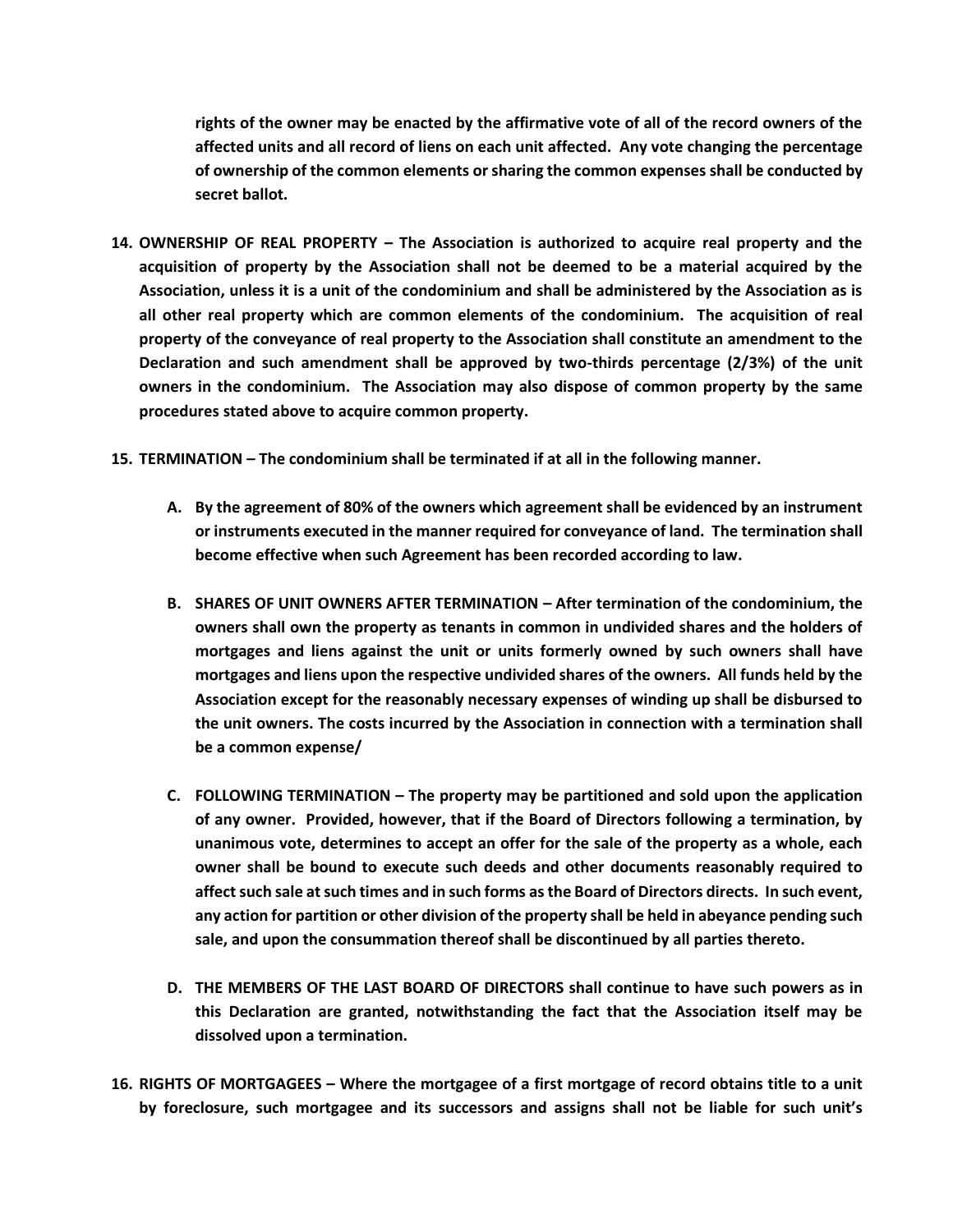**rights of the owner may be enacted by the affirmative vote of all of the record owners of the affected units and all record of liens on each unit affected. Any vote changing the percentage of ownership of the common elements or sharing the common expenses shall be conducted by secret ballot.**

- **14. OWNERSHIP OF REAL PROPERTY – The Association is authorized to acquire real property and the acquisition of property by the Association shall not be deemed to be a material acquired by the Association, unless it is a unit of the condominium and shall be administered by the Association as is all other real property which are common elements of the condominium. The acquisition of real property of the conveyance of real property to the Association shall constitute an amendment to the Declaration and such amendment shall be approved by two-thirds percentage (2/3%) of the unit owners in the condominium. The Association may also dispose of common property by the same procedures stated above to acquire common property.**
- **15. TERMINATION – The condominium shall be terminated if at all in the following manner.**
	- **A. By the agreement of 80% of the owners which agreement shall be evidenced by an instrument or instruments executed in the manner required for conveyance of land. The termination shall become effective when such Agreement has been recorded according to law.**
	- **B. SHARES OF UNIT OWNERS AFTER TERMINATION – After termination of the condominium, the owners shall own the property as tenants in common in undivided shares and the holders of mortgages and liens against the unit or units formerly owned by such owners shall have mortgages and liens upon the respective undivided shares of the owners. All funds held by the Association except for the reasonably necessary expenses of winding up shall be disbursed to the unit owners. The costs incurred by the Association in connection with a termination shall be a common expense/**
	- **C. FOLLOWING TERMINATION – The property may be partitioned and sold upon the application of any owner. Provided, however, that if the Board of Directors following a termination, by unanimous vote, determines to accept an offer for the sale of the property as a whole, each owner shall be bound to execute such deeds and other documents reasonably required to affectsuch sale at such times and in such forms as the Board of Directors directs. In such event, any action for partition or other division of the property shall be held in abeyance pending such sale, and upon the consummation thereof shall be discontinued by all parties thereto.**
	- **D. THE MEMBERS OF THE LAST BOARD OF DIRECTORS shall continue to have such powers as in this Declaration are granted, notwithstanding the fact that the Association itself may be dissolved upon a termination.**
- **16. RIGHTS OF MORTGAGEES – Where the mortgagee of a first mortgage of record obtains title to a unit by foreclosure, such mortgagee and its successors and assigns shall not be liable for such unit's**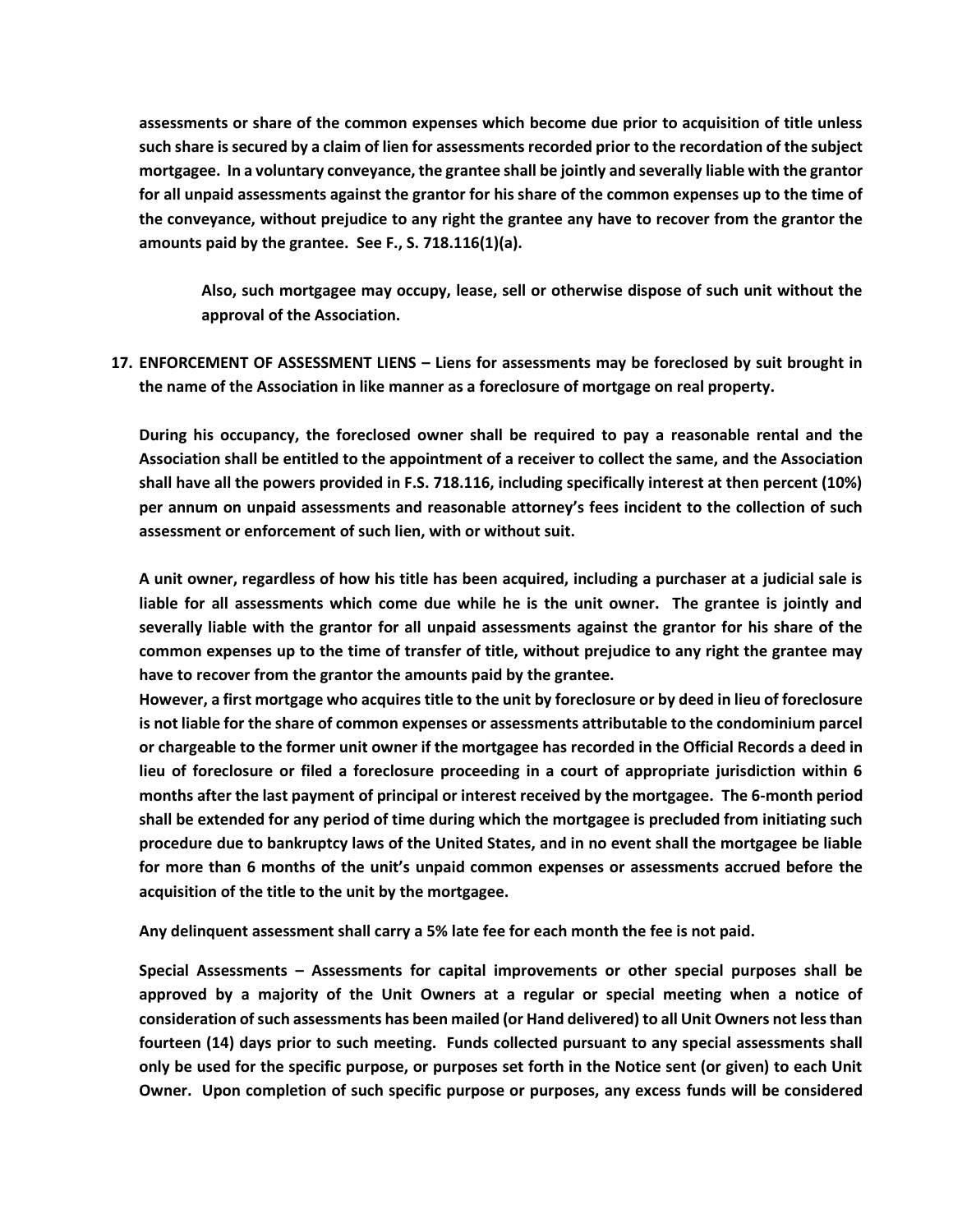**assessments or share of the common expenses which become due prior to acquisition of title unless such share is secured by a claim of lien for assessments recorded prior to the recordation of the subject mortgagee. In a voluntary conveyance, the grantee shall be jointly and severally liable with the grantor for all unpaid assessments against the grantor for his share of the common expenses up to the time of the conveyance, without prejudice to any right the grantee any have to recover from the grantor the amounts paid by the grantee. See F., S. 718.116(1)(a).**

**Also, such mortgagee may occupy, lease, sell or otherwise dispose of such unit without the approval of the Association.**

**17. ENFORCEMENT OF ASSESSMENT LIENS – Liens for assessments may be foreclosed by suit brought in the name of the Association in like manner as a foreclosure of mortgage on real property.**

**During his occupancy, the foreclosed owner shall be required to pay a reasonable rental and the Association shall be entitled to the appointment of a receiver to collect the same, and the Association shall have all the powers provided in F.S. 718.116, including specifically interest at then percent (10%) per annum on unpaid assessments and reasonable attorney's fees incident to the collection of such assessment or enforcement of such lien, with or without suit.**

**A unit owner, regardless of how his title has been acquired, including a purchaser at a judicial sale is liable for all assessments which come due while he is the unit owner. The grantee is jointly and severally liable with the grantor for all unpaid assessments against the grantor for his share of the common expenses up to the time of transfer of title, without prejudice to any right the grantee may have to recover from the grantor the amounts paid by the grantee.** 

**However, a first mortgage who acquires title to the unit by foreclosure or by deed in lieu of foreclosure is not liable for the share of common expenses or assessments attributable to the condominium parcel or chargeable to the former unit owner if the mortgagee has recorded in the Official Records a deed in lieu of foreclosure or filed a foreclosure proceeding in a court of appropriate jurisdiction within 6 months after the last payment of principal or interest received by the mortgagee. The 6-month period shall be extended for any period of time during which the mortgagee is precluded from initiating such procedure due to bankruptcy laws of the United States, and in no event shall the mortgagee be liable for more than 6 months of the unit's unpaid common expenses or assessments accrued before the acquisition of the title to the unit by the mortgagee.**

**Any delinquent assessment shall carry a 5% late fee for each month the fee is not paid.**

**Special Assessments – Assessments for capital improvements or other special purposes shall be approved by a majority of the Unit Owners at a regular or special meeting when a notice of consideration of such assessments has been mailed (or Hand delivered) to all Unit Owners not less than fourteen (14) days prior to such meeting. Funds collected pursuant to any special assessments shall only be used for the specific purpose, or purposes set forth in the Notice sent (or given) to each Unit Owner. Upon completion of such specific purpose or purposes, any excess funds will be considered**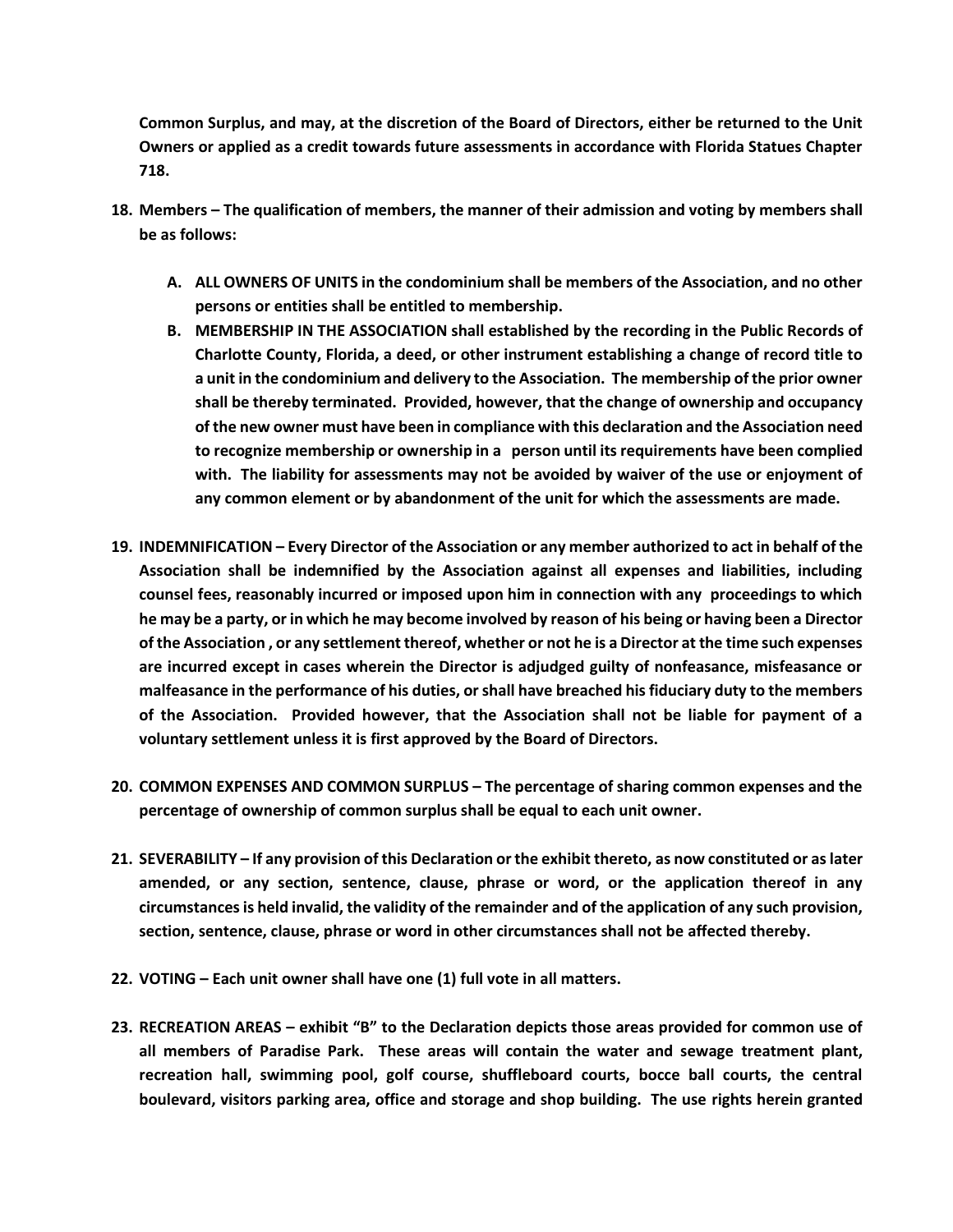**Common Surplus, and may, at the discretion of the Board of Directors, either be returned to the Unit Owners or applied as a credit towards future assessments in accordance with Florida Statues Chapter 718.**

- **18. Members – The qualification of members, the manner of their admission and voting by members shall be as follows:**
	- **A. ALL OWNERS OF UNITS in the condominium shall be members of the Association, and no other persons or entities shall be entitled to membership.**
	- **B. MEMBERSHIP IN THE ASSOCIATION shall established by the recording in the Public Records of Charlotte County, Florida, a deed, or other instrument establishing a change of record title to a unit in the condominium and delivery to the Association. The membership of the prior owner shall be thereby terminated. Provided, however, that the change of ownership and occupancy of the new owner must have been in compliance with this declaration and the Association need to recognize membership or ownership in a person until its requirements have been complied with. The liability for assessments may not be avoided by waiver of the use or enjoyment of any common element or by abandonment of the unit for which the assessments are made.**
- **19. INDEMNIFICATION – Every Director of the Association or any member authorized to act in behalf of the Association shall be indemnified by the Association against all expenses and liabilities, including counsel fees, reasonably incurred or imposed upon him in connection with any proceedings to which he may be a party, or in which he may become involved by reason of his being or having been a Director of the Association , or any settlement thereof, whether or not he is a Director at the time such expenses are incurred except in cases wherein the Director is adjudged guilty of nonfeasance, misfeasance or malfeasance in the performance of his duties, or shall have breached his fiduciary duty to the members of the Association. Provided however, that the Association shall not be liable for payment of a voluntary settlement unless it is first approved by the Board of Directors.**
- **20. COMMON EXPENSES AND COMMON SURPLUS – The percentage of sharing common expenses and the percentage of ownership of common surplus shall be equal to each unit owner.**
- **21. SEVERABILITY – If any provision of this Declaration or the exhibit thereto, as now constituted or as later amended, or any section, sentence, clause, phrase or word, or the application thereof in any circumstances is held invalid, the validity of the remainder and of the application of any such provision, section, sentence, clause, phrase or word in other circumstances shall not be affected thereby.**
- **22. VOTING – Each unit owner shall have one (1) full vote in all matters.**
- **23. RECREATION AREAS – exhibit "B" to the Declaration depicts those areas provided for common use of all members of Paradise Park. These areas will contain the water and sewage treatment plant, recreation hall, swimming pool, golf course, shuffleboard courts, bocce ball courts, the central boulevard, visitors parking area, office and storage and shop building. The use rights herein granted**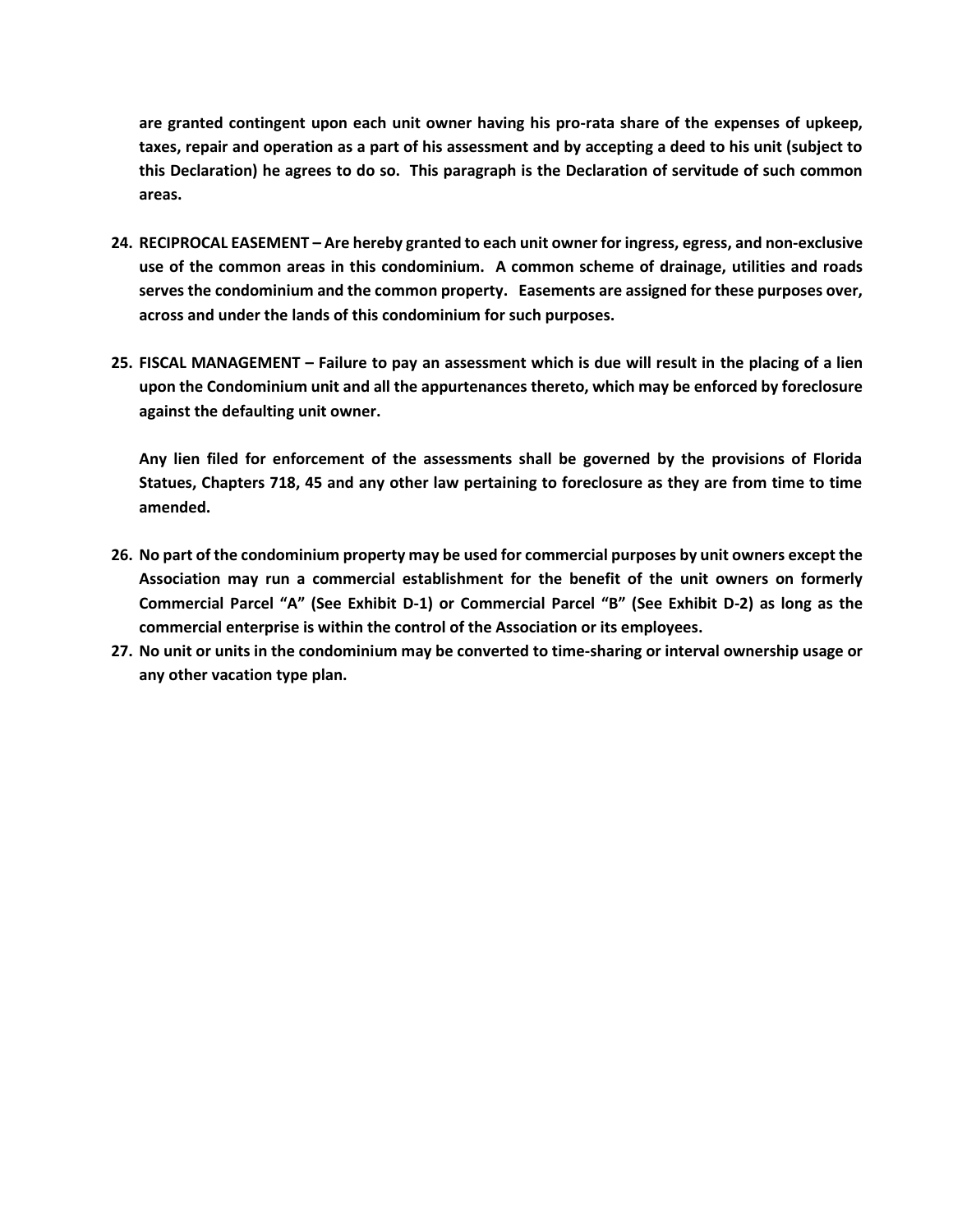**are granted contingent upon each unit owner having his pro-rata share of the expenses of upkeep, taxes, repair and operation as a part of his assessment and by accepting a deed to his unit (subject to this Declaration) he agrees to do so. This paragraph is the Declaration of servitude of such common areas.**

- **24. RECIPROCAL EASEMENT – Are hereby granted to each unit owner for ingress, egress, and non-exclusive use of the common areas in this condominium. A common scheme of drainage, utilities and roads serves the condominium and the common property. Easements are assigned for these purposes over, across and under the lands of this condominium for such purposes.**
- **25. FISCAL MANAGEMENT – Failure to pay an assessment which is due will result in the placing of a lien upon the Condominium unit and all the appurtenances thereto, which may be enforced by foreclosure against the defaulting unit owner.**

**Any lien filed for enforcement of the assessments shall be governed by the provisions of Florida Statues, Chapters 718, 45 and any other law pertaining to foreclosure as they are from time to time amended.**

- **26. No part of the condominium property may be used for commercial purposes by unit owners except the Association may run a commercial establishment for the benefit of the unit owners on formerly Commercial Parcel "A" (See Exhibit D-1) or Commercial Parcel "B" (See Exhibit D-2) as long as the commercial enterprise is within the control of the Association or its employees.**
- **27. No unit or units in the condominium may be converted to time-sharing or interval ownership usage or any other vacation type plan.**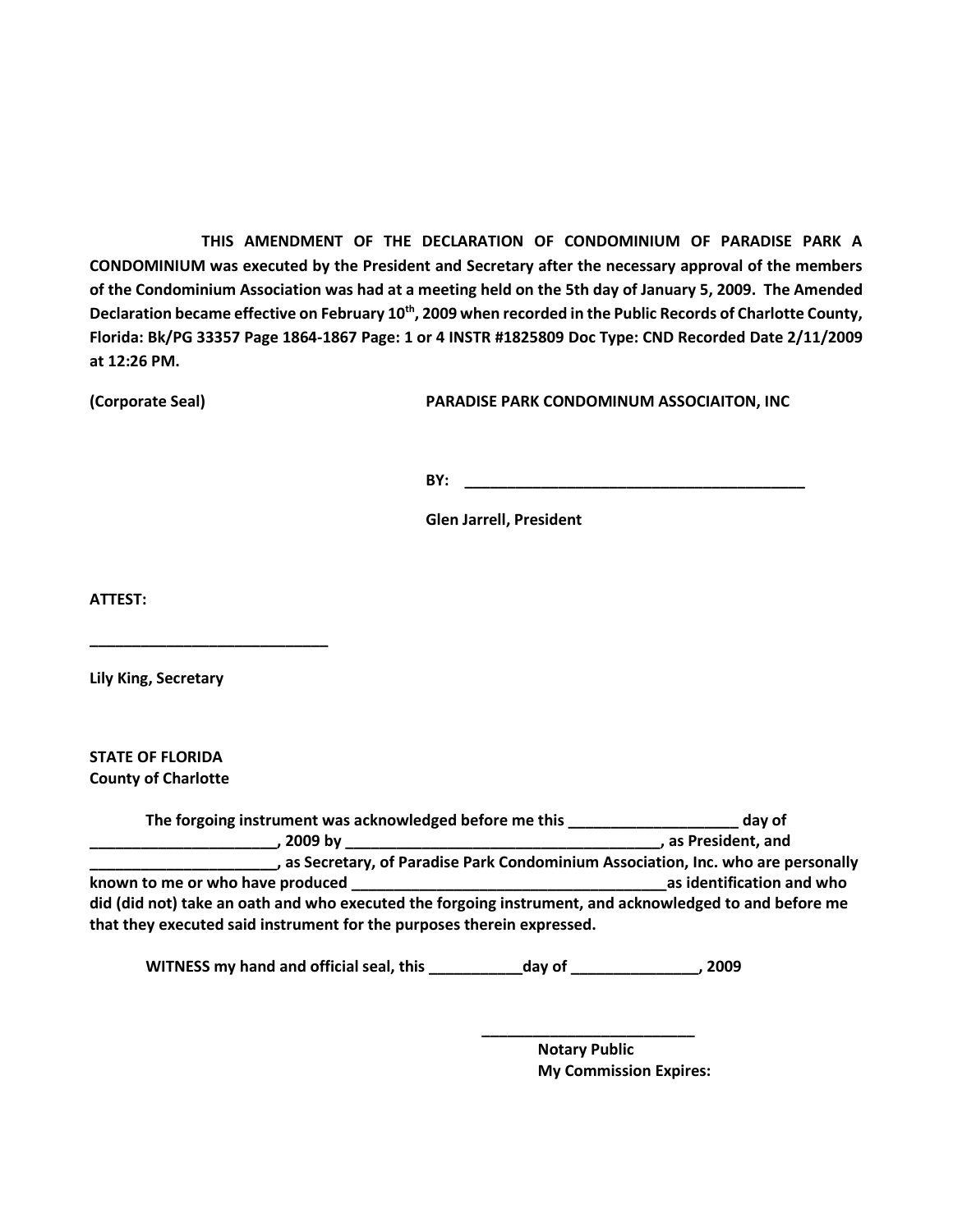**THIS AMENDMENT OF THE DECLARATION OF CONDOMINIUM OF PARADISE PARK A CONDOMINIUM was executed by the President and Secretary after the necessary approval of the members of the Condominium Association was had at a meeting held on the 5th day of January 5, 2009. The Amended Declaration became effective on February 10th, 2009 when recorded in the Public Records of Charlotte County, Florida: Bk/PG 33357 Page 1864-1867 Page: 1 or 4 INSTR #1825809 Doc Type: CND Recorded Date 2/11/2009 at 12:26 PM.**

**(Corporate Seal) PARADISE PARK CONDOMINUM ASSOCIAITON, INC**

**BY: \_\_\_\_\_\_\_\_\_\_\_\_\_\_\_\_\_\_\_\_\_\_\_\_\_\_\_\_\_\_\_\_\_\_\_\_\_\_\_\_**

**Glen Jarrell, President**

**ATTEST:**

**Lily King, Secretary**

**\_\_\_\_\_\_\_\_\_\_\_\_\_\_\_\_\_\_\_\_\_\_\_\_\_\_\_\_**

**STATE OF FLORIDA County of Charlotte**

**The forgoing instrument was acknowledged before me this \_\_\_\_\_\_\_\_\_\_\_\_\_\_\_\_\_\_\_\_ day of \_\_\_\_\_\_\_\_\_\_\_\_\_\_\_\_\_\_\_\_\_\_, 2009 by \_\_\_\_\_\_\_\_\_\_\_\_\_\_\_\_\_\_\_\_\_\_\_\_\_\_\_\_\_\_\_\_\_\_\_\_\_, as President, and \_\_\_\_\_\_\_\_\_\_\_\_\_\_\_\_\_\_\_\_\_\_, as Secretary, of Paradise Park Condominium Association, Inc. who are personally known to me or who have produced \_\_\_\_\_\_\_\_\_\_\_\_\_\_\_\_\_\_\_\_\_\_\_\_\_\_\_\_\_\_\_\_\_\_\_\_\_as identification and who did (did not) take an oath and who executed the forgoing instrument, and acknowledged to and before me that they executed said instrument for the purposes therein expressed.**

**WITNESS my hand and official seal, this \_\_\_\_\_\_\_\_\_\_\_day of \_\_\_\_\_\_\_\_\_\_\_\_\_\_\_, 2009**

**Notary Public My Commission Expires:**

**\_\_\_\_\_\_\_\_\_\_\_\_\_\_\_\_\_\_\_\_\_\_\_\_\_**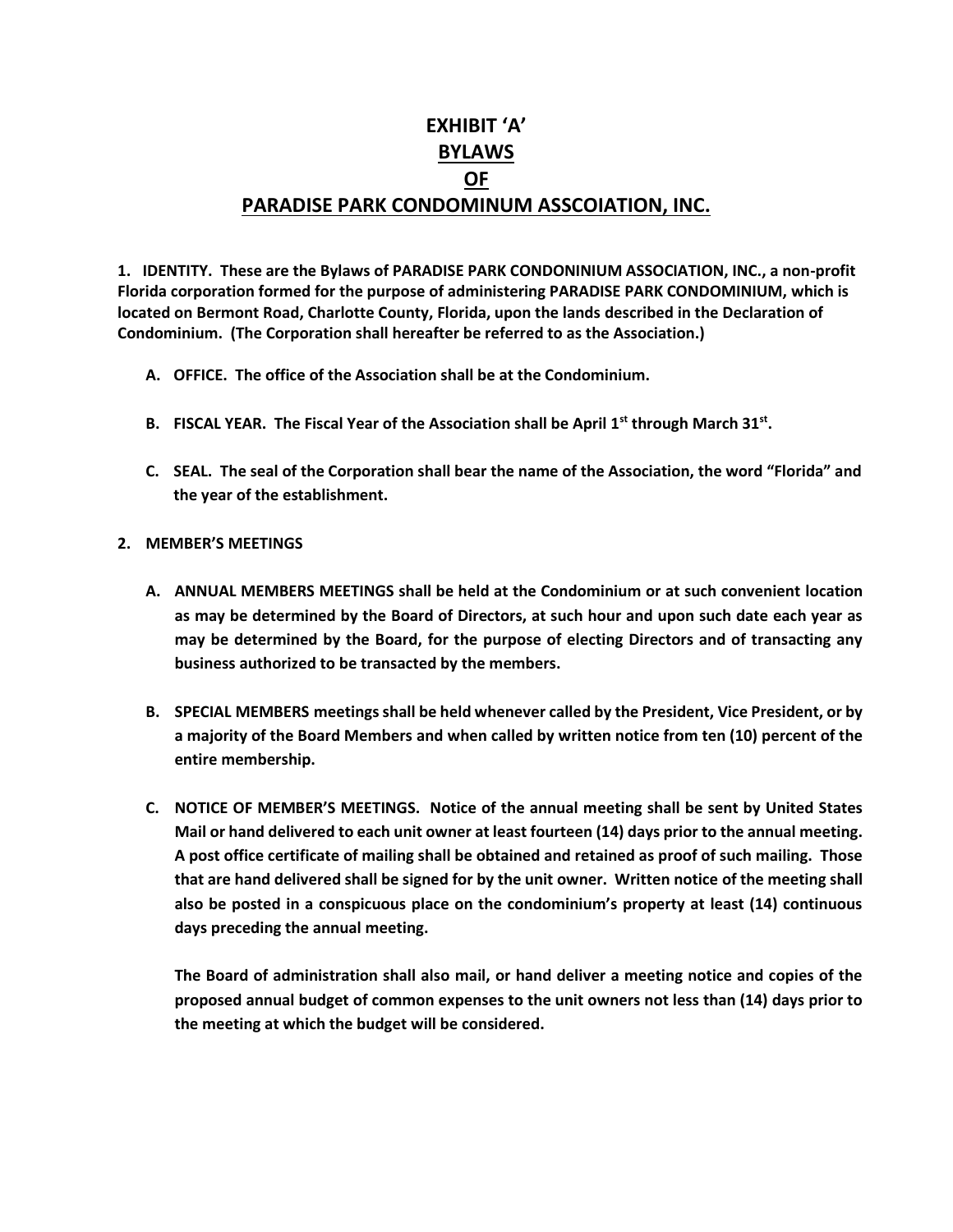# **EXHIBIT 'A' BYLAWS OF PARADISE PARK CONDOMINUM ASSCOIATION, INC.**

**1. IDENTITY. These are the Bylaws of PARADISE PARK CONDONINIUM ASSOCIATION, INC., a non-profit Florida corporation formed for the purpose of administering PARADISE PARK CONDOMINIUM, which is located on Bermont Road, Charlotte County, Florida, upon the lands described in the Declaration of Condominium. (The Corporation shall hereafter be referred to as the Association.)**

- **A. OFFICE. The office of the Association shall be at the Condominium.**
- **B. FISCAL YEAR. The Fiscal Year of the Association shall be April 1st through March 31st .**
- **C. SEAL. The seal of the Corporation shall bear the name of the Association, the word "Florida" and the year of the establishment.**
- **2. MEMBER'S MEETINGS**
	- **A. ANNUAL MEMBERS MEETINGS shall be held at the Condominium or at such convenient location as may be determined by the Board of Directors, at such hour and upon such date each year as may be determined by the Board, for the purpose of electing Directors and of transacting any business authorized to be transacted by the members.**
	- **B. SPECIAL MEMBERS meetings shall be held whenever called by the President, Vice President, or by a majority of the Board Members and when called by written notice from ten (10) percent of the entire membership.**
	- **C. NOTICE OF MEMBER'S MEETINGS. Notice of the annual meeting shall be sent by United States Mail or hand delivered to each unit owner at least fourteen (14) days prior to the annual meeting. A post office certificate of mailing shall be obtained and retained as proof of such mailing. Those that are hand delivered shall be signed for by the unit owner. Written notice of the meeting shall also be posted in a conspicuous place on the condominium's property at least (14) continuous days preceding the annual meeting.**

**The Board of administration shall also mail, or hand deliver a meeting notice and copies of the proposed annual budget of common expenses to the unit owners not less than (14) days prior to the meeting at which the budget will be considered.**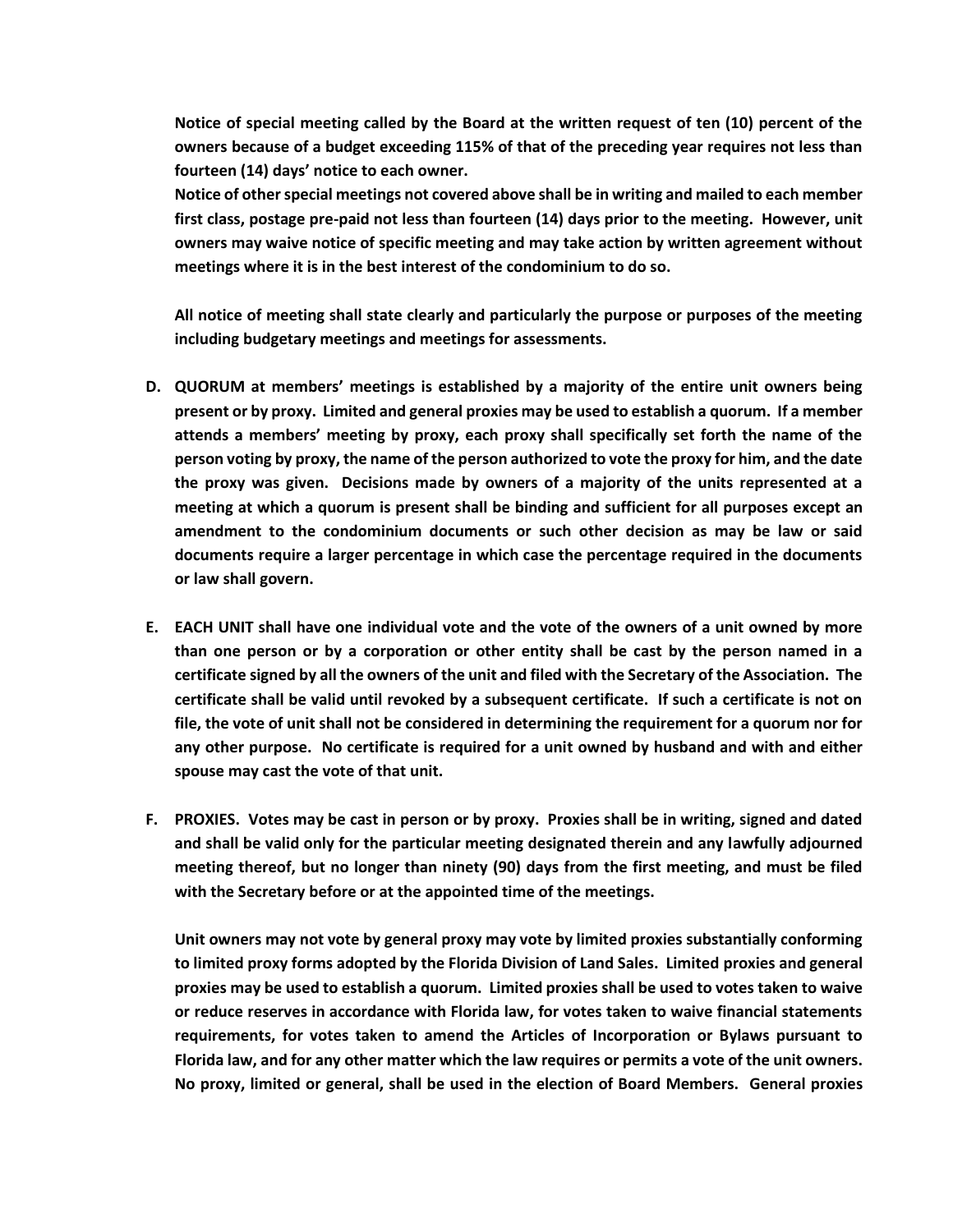**Notice of special meeting called by the Board at the written request of ten (10) percent of the owners because of a budget exceeding 115% of that of the preceding year requires not less than fourteen (14) days' notice to each owner.**

**Notice of other special meetings not covered above shall be in writing and mailed to each member first class, postage pre-paid not less than fourteen (14) days prior to the meeting. However, unit owners may waive notice of specific meeting and may take action by written agreement without meetings where it is in the best interest of the condominium to do so.**

**All notice of meeting shall state clearly and particularly the purpose or purposes of the meeting including budgetary meetings and meetings for assessments.**

- **D. QUORUM at members' meetings is established by a majority of the entire unit owners being present or by proxy. Limited and general proxies may be used to establish a quorum. If a member attends a members' meeting by proxy, each proxy shall specifically set forth the name of the person voting by proxy, the name of the person authorized to vote the proxy for him, and the date the proxy was given. Decisions made by owners of a majority of the units represented at a meeting at which a quorum is present shall be binding and sufficient for all purposes except an amendment to the condominium documents or such other decision as may be law or said documents require a larger percentage in which case the percentage required in the documents or law shall govern.**
- **E. EACH UNIT shall have one individual vote and the vote of the owners of a unit owned by more than one person or by a corporation or other entity shall be cast by the person named in a certificate signed by all the owners of the unit and filed with the Secretary of the Association. The certificate shall be valid until revoked by a subsequent certificate. If such a certificate is not on file, the vote of unit shall not be considered in determining the requirement for a quorum nor for any other purpose. No certificate is required for a unit owned by husband and with and either spouse may cast the vote of that unit.**
- **F. PROXIES. Votes may be cast in person or by proxy. Proxies shall be in writing, signed and dated and shall be valid only for the particular meeting designated therein and any lawfully adjourned meeting thereof, but no longer than ninety (90) days from the first meeting, and must be filed with the Secretary before or at the appointed time of the meetings.**

**Unit owners may not vote by general proxy may vote by limited proxies substantially conforming to limited proxy forms adopted by the Florida Division of Land Sales. Limited proxies and general proxies may be used to establish a quorum. Limited proxies shall be used to votes taken to waive or reduce reserves in accordance with Florida law, for votes taken to waive financial statements requirements, for votes taken to amend the Articles of Incorporation or Bylaws pursuant to Florida law, and for any other matter which the law requires or permits a vote of the unit owners. No proxy, limited or general, shall be used in the election of Board Members. General proxies**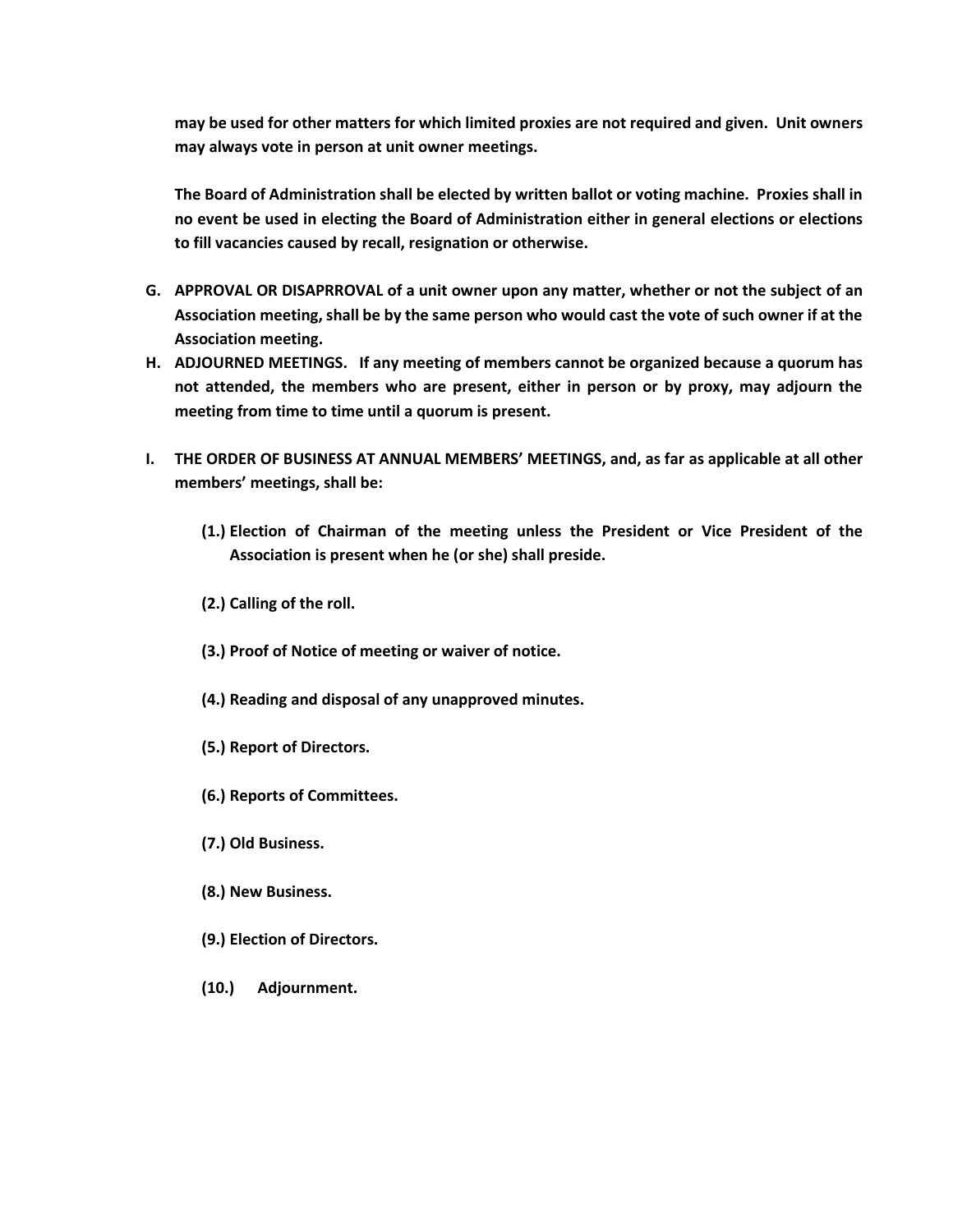**may be used for other matters for which limited proxies are not required and given. Unit owners may always vote in person at unit owner meetings.**

**The Board of Administration shall be elected by written ballot or voting machine. Proxies shall in no event be used in electing the Board of Administration either in general elections or elections to fill vacancies caused by recall, resignation or otherwise.**

- **G. APPROVAL OR DISAPRROVAL of a unit owner upon any matter, whether or not the subject of an Association meeting, shall be by the same person who would cast the vote of such owner if at the Association meeting.**
- **H. ADJOURNED MEETINGS. If any meeting of members cannot be organized because a quorum has not attended, the members who are present, either in person or by proxy, may adjourn the meeting from time to time until a quorum is present.**
- **I. THE ORDER OF BUSINESS AT ANNUAL MEMBERS' MEETINGS, and, as far as applicable at all other members' meetings, shall be:**
	- **(1.) Election of Chairman of the meeting unless the President or Vice President of the Association is present when he (or she) shall preside.**
	- **(2.) Calling of the roll.**
	- **(3.) Proof of Notice of meeting or waiver of notice.**
	- **(4.) Reading and disposal of any unapproved minutes.**
	- **(5.) Report of Directors.**
	- **(6.) Reports of Committees.**
	- **(7.) Old Business.**
	- **(8.) New Business.**
	- **(9.) Election of Directors.**
	- **(10.) Adjournment.**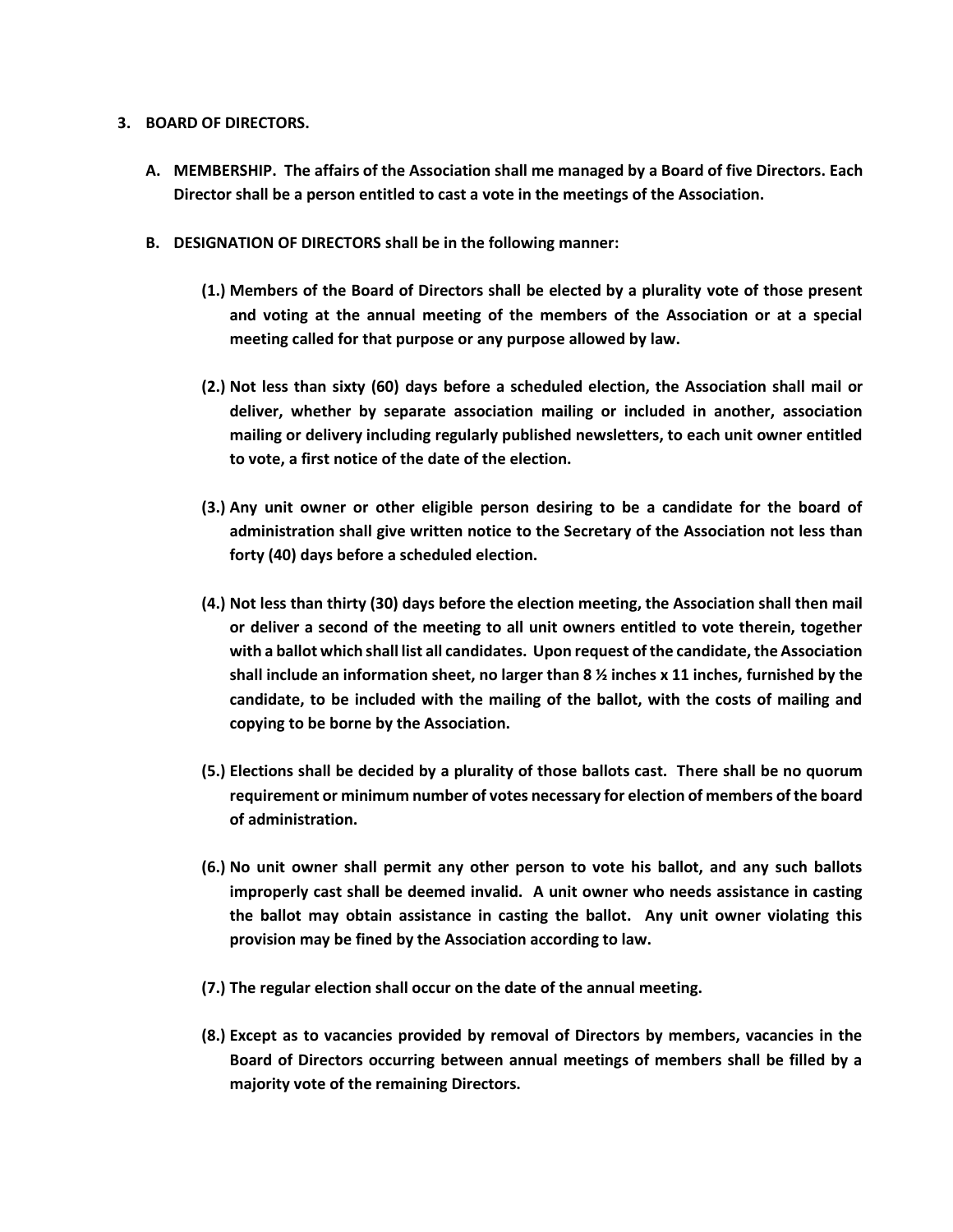#### **3. BOARD OF DIRECTORS.**

- **A. MEMBERSHIP. The affairs of the Association shall me managed by a Board of five Directors. Each Director shall be a person entitled to cast a vote in the meetings of the Association.**
- **B. DESIGNATION OF DIRECTORS shall be in the following manner:**
	- **(1.) Members of the Board of Directors shall be elected by a plurality vote of those present and voting at the annual meeting of the members of the Association or at a special meeting called for that purpose or any purpose allowed by law.**
	- **(2.) Not less than sixty (60) days before a scheduled election, the Association shall mail or deliver, whether by separate association mailing or included in another, association mailing or delivery including regularly published newsletters, to each unit owner entitled to vote, a first notice of the date of the election.**
	- **(3.) Any unit owner or other eligible person desiring to be a candidate for the board of administration shall give written notice to the Secretary of the Association not less than forty (40) days before a scheduled election.**
	- **(4.) Not less than thirty (30) days before the election meeting, the Association shall then mail or deliver a second of the meeting to all unit owners entitled to vote therein, together with a ballot which shall list all candidates. Upon request of the candidate, the Association shall include an information sheet, no larger than 8 ½ inches x 11 inches, furnished by the candidate, to be included with the mailing of the ballot, with the costs of mailing and copying to be borne by the Association.**
	- **(5.) Elections shall be decided by a plurality of those ballots cast. There shall be no quorum requirement or minimum number of votes necessary for election of members of the board of administration.**
	- **(6.) No unit owner shall permit any other person to vote his ballot, and any such ballots improperly cast shall be deemed invalid. A unit owner who needs assistance in casting the ballot may obtain assistance in casting the ballot. Any unit owner violating this provision may be fined by the Association according to law.**
	- **(7.) The regular election shall occur on the date of the annual meeting.**
	- **(8.) Except as to vacancies provided by removal of Directors by members, vacancies in the Board of Directors occurring between annual meetings of members shall be filled by a majority vote of the remaining Directors.**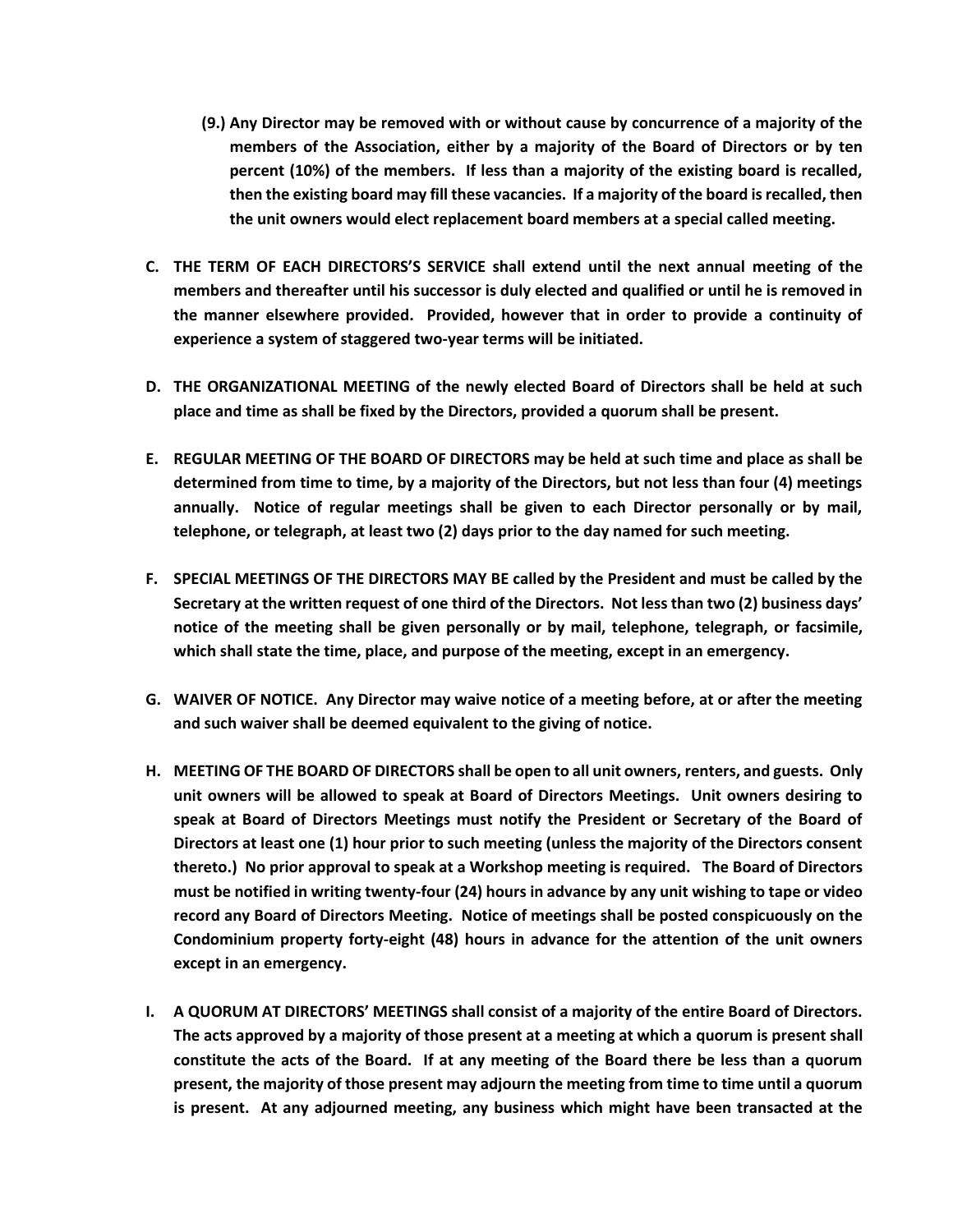- **(9.) Any Director may be removed with or without cause by concurrence of a majority of the members of the Association, either by a majority of the Board of Directors or by ten percent (10%) of the members. If less than a majority of the existing board is recalled, then the existing board may fill these vacancies. If a majority of the board is recalled, then the unit owners would elect replacement board members at a special called meeting.**
- **C. THE TERM OF EACH DIRECTORS'S SERVICE shall extend until the next annual meeting of the members and thereafter until his successor is duly elected and qualified or until he is removed in the manner elsewhere provided. Provided, however that in order to provide a continuity of experience a system of staggered two-year terms will be initiated.**
- **D. THE ORGANIZATIONAL MEETING of the newly elected Board of Directors shall be held at such place and time as shall be fixed by the Directors, provided a quorum shall be present.**
- **E. REGULAR MEETING OF THE BOARD OF DIRECTORS may be held at such time and place as shall be determined from time to time, by a majority of the Directors, but not less than four (4) meetings annually. Notice of regular meetings shall be given to each Director personally or by mail, telephone, or telegraph, at least two (2) days prior to the day named for such meeting.**
- **F. SPECIAL MEETINGS OF THE DIRECTORS MAY BE called by the President and must be called by the Secretary at the written request of one third of the Directors. Not less than two (2) business days' notice of the meeting shall be given personally or by mail, telephone, telegraph, or facsimile, which shall state the time, place, and purpose of the meeting, except in an emergency.**
- **G. WAIVER OF NOTICE. Any Director may waive notice of a meeting before, at or after the meeting and such waiver shall be deemed equivalent to the giving of notice.**
- **H. MEETING OF THE BOARD OF DIRECTORS shall be open to all unit owners, renters, and guests. Only unit owners will be allowed to speak at Board of Directors Meetings. Unit owners desiring to speak at Board of Directors Meetings must notify the President or Secretary of the Board of Directors at least one (1) hour prior to such meeting (unless the majority of the Directors consent thereto.) No prior approval to speak at a Workshop meeting is required. The Board of Directors must be notified in writing twenty-four (24) hours in advance by any unit wishing to tape or video record any Board of Directors Meeting. Notice of meetings shall be posted conspicuously on the Condominium property forty-eight (48) hours in advance for the attention of the unit owners except in an emergency.**
- **I. A QUORUM AT DIRECTORS' MEETINGS shall consist of a majority of the entire Board of Directors. The acts approved by a majority of those present at a meeting at which a quorum is present shall constitute the acts of the Board. If at any meeting of the Board there be less than a quorum present, the majority of those present may adjourn the meeting from time to time until a quorum is present. At any adjourned meeting, any business which might have been transacted at the**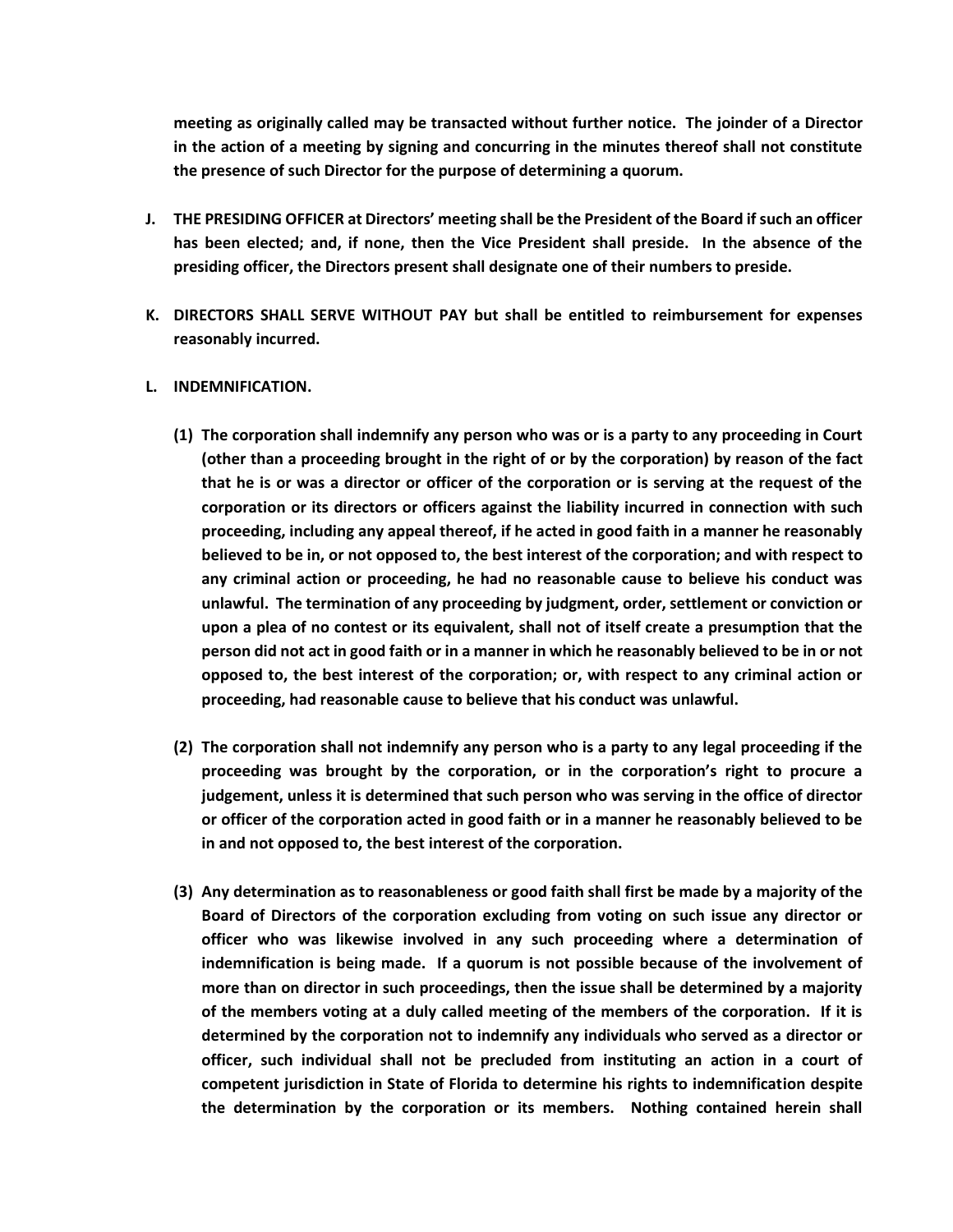**meeting as originally called may be transacted without further notice. The joinder of a Director in the action of a meeting by signing and concurring in the minutes thereof shall not constitute the presence of such Director for the purpose of determining a quorum.**

- **J. THE PRESIDING OFFICER at Directors' meeting shall be the President of the Board if such an officer has been elected; and, if none, then the Vice President shall preside. In the absence of the presiding officer, the Directors present shall designate one of their numbers to preside.**
- **K. DIRECTORS SHALL SERVE WITHOUT PAY but shall be entitled to reimbursement for expenses reasonably incurred.**
- **L. INDEMNIFICATION.**
	- **(1) The corporation shall indemnify any person who was or is a party to any proceeding in Court (other than a proceeding brought in the right of or by the corporation) by reason of the fact that he is or was a director or officer of the corporation or is serving at the request of the corporation or its directors or officers against the liability incurred in connection with such proceeding, including any appeal thereof, if he acted in good faith in a manner he reasonably believed to be in, or not opposed to, the best interest of the corporation; and with respect to any criminal action or proceeding, he had no reasonable cause to believe his conduct was unlawful. The termination of any proceeding by judgment, order, settlement or conviction or upon a plea of no contest or its equivalent, shall not of itself create a presumption that the person did not act in good faith or in a manner in which he reasonably believed to be in or not opposed to, the best interest of the corporation; or, with respect to any criminal action or proceeding, had reasonable cause to believe that his conduct was unlawful.**
	- **(2) The corporation shall not indemnify any person who is a party to any legal proceeding if the proceeding was brought by the corporation, or in the corporation's right to procure a judgement, unless it is determined that such person who was serving in the office of director or officer of the corporation acted in good faith or in a manner he reasonably believed to be in and not opposed to, the best interest of the corporation.**
	- **(3) Any determination as to reasonableness or good faith shall first be made by a majority of the Board of Directors of the corporation excluding from voting on such issue any director or officer who was likewise involved in any such proceeding where a determination of indemnification is being made. If a quorum is not possible because of the involvement of more than on director in such proceedings, then the issue shall be determined by a majority of the members voting at a duly called meeting of the members of the corporation. If it is determined by the corporation not to indemnify any individuals who served as a director or officer, such individual shall not be precluded from instituting an action in a court of competent jurisdiction in State of Florida to determine his rights to indemnification despite the determination by the corporation or its members. Nothing contained herein shall**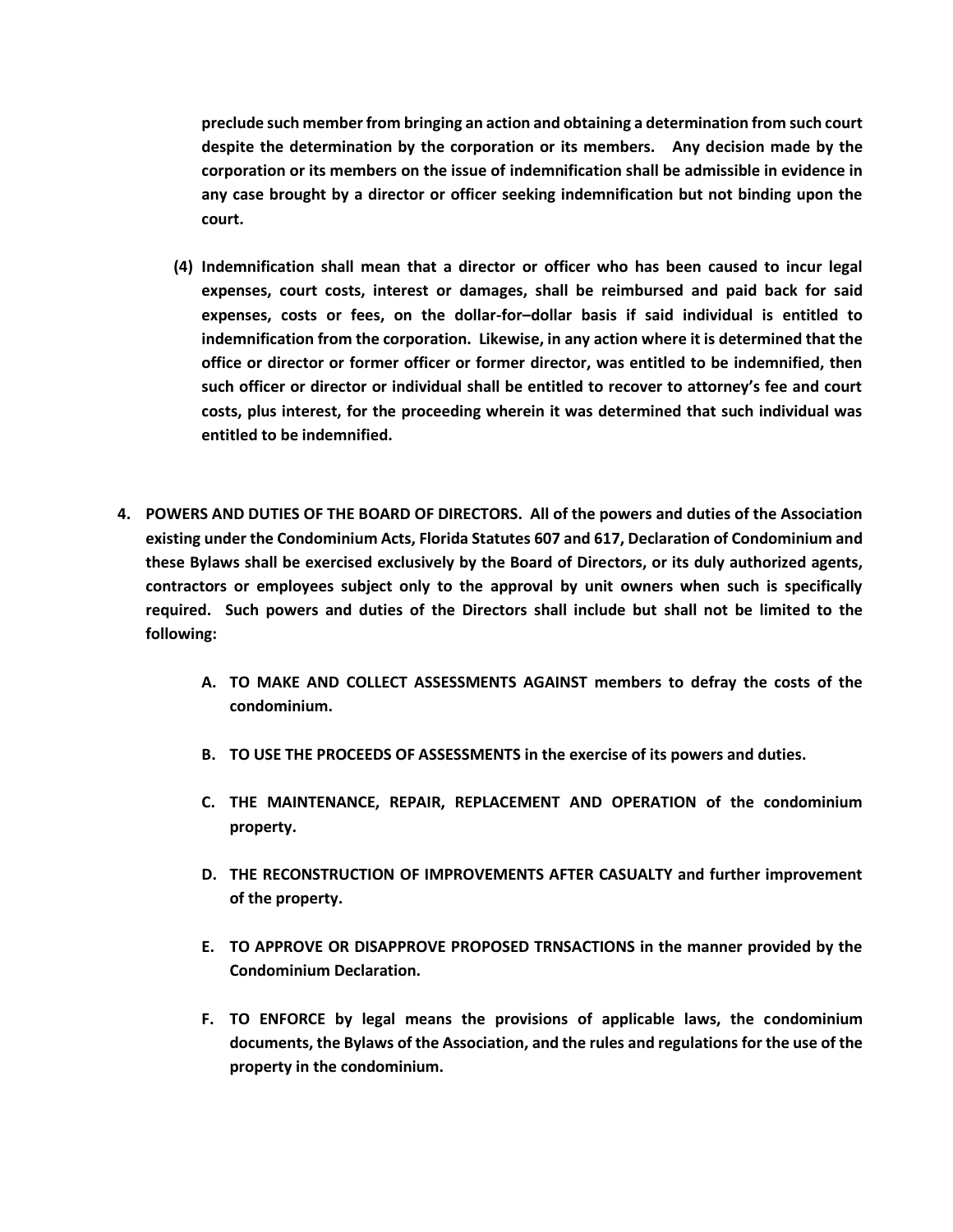**preclude such member from bringing an action and obtaining a determination from such court despite the determination by the corporation or its members. Any decision made by the corporation or its members on the issue of indemnification shall be admissible in evidence in any case brought by a director or officer seeking indemnification but not binding upon the court.**

- **(4) Indemnification shall mean that a director or officer who has been caused to incur legal expenses, court costs, interest or damages, shall be reimbursed and paid back for said expenses, costs or fees, on the dollar-for–dollar basis if said individual is entitled to indemnification from the corporation. Likewise, in any action where it is determined that the office or director or former officer or former director, was entitled to be indemnified, then such officer or director or individual shall be entitled to recover to attorney's fee and court costs, plus interest, for the proceeding wherein it was determined that such individual was entitled to be indemnified.**
- **4. POWERS AND DUTIES OF THE BOARD OF DIRECTORS. All of the powers and duties of the Association existing under the Condominium Acts, Florida Statutes 607 and 617, Declaration of Condominium and these Bylaws shall be exercised exclusively by the Board of Directors, or its duly authorized agents, contractors or employees subject only to the approval by unit owners when such is specifically required. Such powers and duties of the Directors shall include but shall not be limited to the following:**
	- **A. TO MAKE AND COLLECT ASSESSMENTS AGAINST members to defray the costs of the condominium.**
	- **B. TO USE THE PROCEEDS OF ASSESSMENTS in the exercise of its powers and duties.**
	- **C. THE MAINTENANCE, REPAIR, REPLACEMENT AND OPERATION of the condominium property.**
	- **D. THE RECONSTRUCTION OF IMPROVEMENTS AFTER CASUALTY and further improvement of the property.**
	- **E. TO APPROVE OR DISAPPROVE PROPOSED TRNSACTIONS in the manner provided by the Condominium Declaration.**
	- **F. TO ENFORCE by legal means the provisions of applicable laws, the condominium documents, the Bylaws of the Association, and the rules and regulations for the use of the property in the condominium.**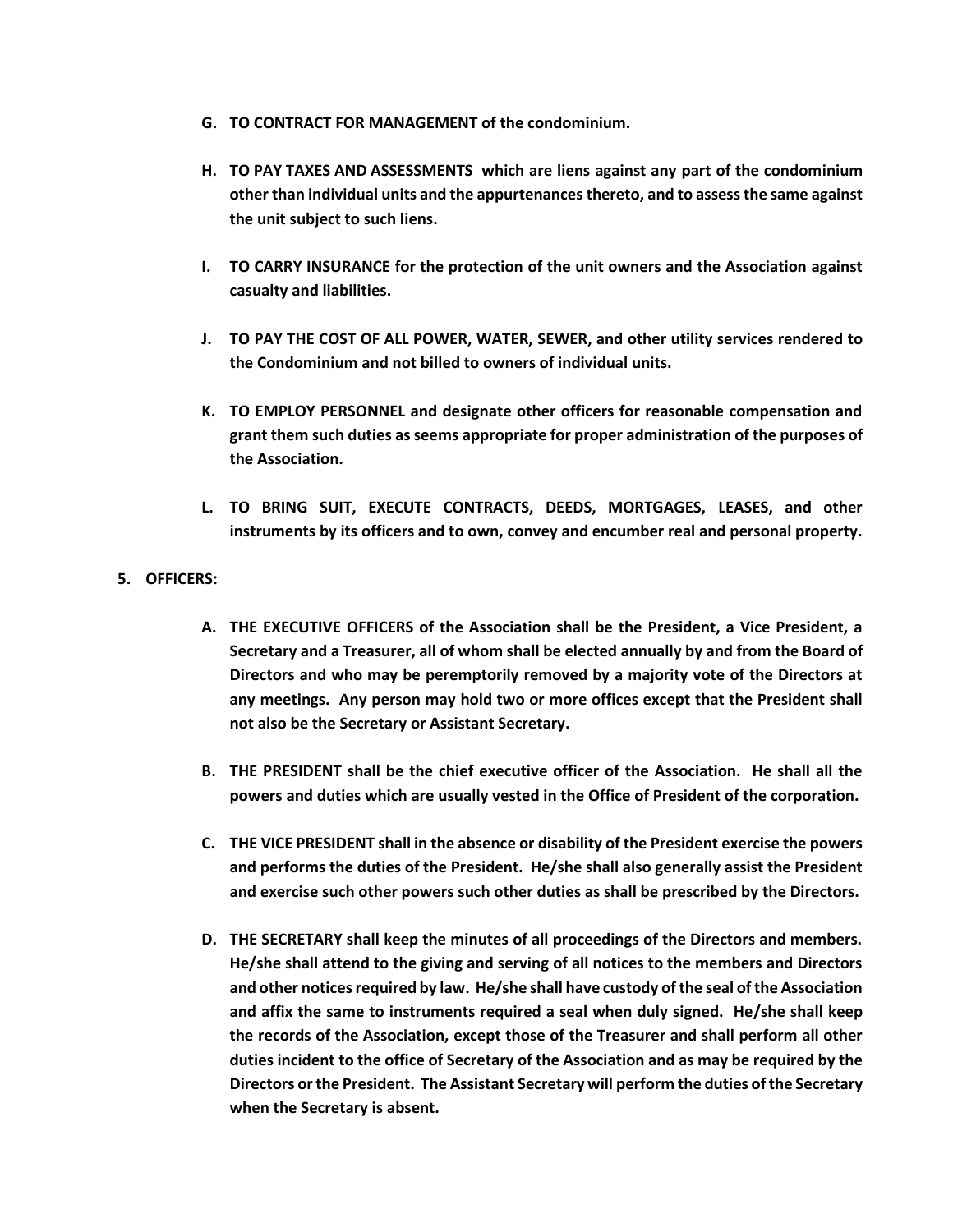- **G. TO CONTRACT FOR MANAGEMENT of the condominium.**
- **H. TO PAY TAXES AND ASSESSMENTS which are liens against any part of the condominium other than individual units and the appurtenances thereto, and to assess the same against the unit subject to such liens.**
- **I. TO CARRY INSURANCE for the protection of the unit owners and the Association against casualty and liabilities.**
- **J. TO PAY THE COST OF ALL POWER, WATER, SEWER, and other utility services rendered to the Condominium and not billed to owners of individual units.**
- **K. TO EMPLOY PERSONNEL and designate other officers for reasonable compensation and grant them such duties as seems appropriate for proper administration of the purposes of the Association.**
- **L. TO BRING SUIT, EXECUTE CONTRACTS, DEEDS, MORTGAGES, LEASES, and other instruments by its officers and to own, convey and encumber real and personal property.**
- **5. OFFICERS:**
	- **A. THE EXECUTIVE OFFICERS of the Association shall be the President, a Vice President, a Secretary and a Treasurer, all of whom shall be elected annually by and from the Board of Directors and who may be peremptorily removed by a majority vote of the Directors at any meetings. Any person may hold two or more offices except that the President shall not also be the Secretary or Assistant Secretary.**
	- **B. THE PRESIDENT shall be the chief executive officer of the Association. He shall all the powers and duties which are usually vested in the Office of President of the corporation.**
	- **C. THE VICE PRESIDENT shall in the absence or disability of the President exercise the powers and performs the duties of the President. He/she shall also generally assist the President and exercise such other powers such other duties as shall be prescribed by the Directors.**
	- **D. THE SECRETARY shall keep the minutes of all proceedings of the Directors and members. He/she shall attend to the giving and serving of all notices to the members and Directors and other notices required by law. He/she shall have custody of the seal of the Association and affix the same to instruments required a seal when duly signed. He/she shall keep the records of the Association, except those of the Treasurer and shall perform all other duties incident to the office of Secretary of the Association and as may be required by the Directors or the President. The Assistant Secretary will perform the duties of the Secretary when the Secretary is absent.**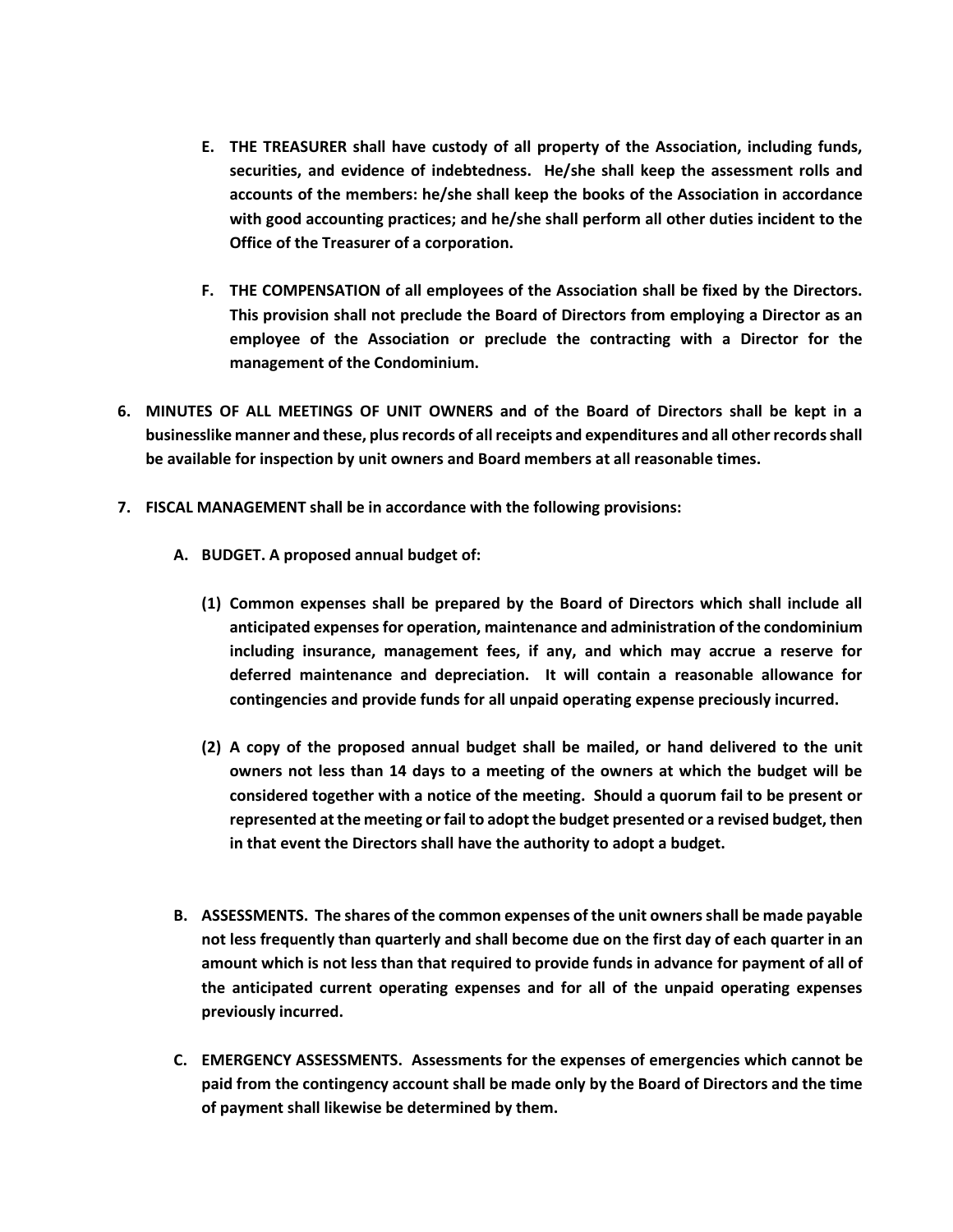- **E. THE TREASURER shall have custody of all property of the Association, including funds, securities, and evidence of indebtedness. He/she shall keep the assessment rolls and accounts of the members: he/she shall keep the books of the Association in accordance with good accounting practices; and he/she shall perform all other duties incident to the Office of the Treasurer of a corporation.**
- **F. THE COMPENSATION of all employees of the Association shall be fixed by the Directors. This provision shall not preclude the Board of Directors from employing a Director as an employee of the Association or preclude the contracting with a Director for the management of the Condominium.**
- **6. MINUTES OF ALL MEETINGS OF UNIT OWNERS and of the Board of Directors shall be kept in a businesslike manner and these, plus records of all receipts and expenditures and all other records shall be available for inspection by unit owners and Board members at all reasonable times.**
- **7. FISCAL MANAGEMENT shall be in accordance with the following provisions:**
	- **A. BUDGET. A proposed annual budget of:**
		- **(1) Common expenses shall be prepared by the Board of Directors which shall include all anticipated expenses for operation, maintenance and administration of the condominium including insurance, management fees, if any, and which may accrue a reserve for deferred maintenance and depreciation. It will contain a reasonable allowance for contingencies and provide funds for all unpaid operating expense preciously incurred.**
		- **(2) A copy of the proposed annual budget shall be mailed, or hand delivered to the unit owners not less than 14 days to a meeting of the owners at which the budget will be considered together with a notice of the meeting. Should a quorum fail to be present or represented at the meeting or fail to adopt the budget presented or a revised budget, then in that event the Directors shall have the authority to adopt a budget.**
	- **B. ASSESSMENTS. The shares of the common expenses of the unit owners shall be made payable not less frequently than quarterly and shall become due on the first day of each quarter in an amount which is not less than that required to provide funds in advance for payment of all of the anticipated current operating expenses and for all of the unpaid operating expenses previously incurred.**
	- **C. EMERGENCY ASSESSMENTS. Assessments for the expenses of emergencies which cannot be paid from the contingency account shall be made only by the Board of Directors and the time of payment shall likewise be determined by them.**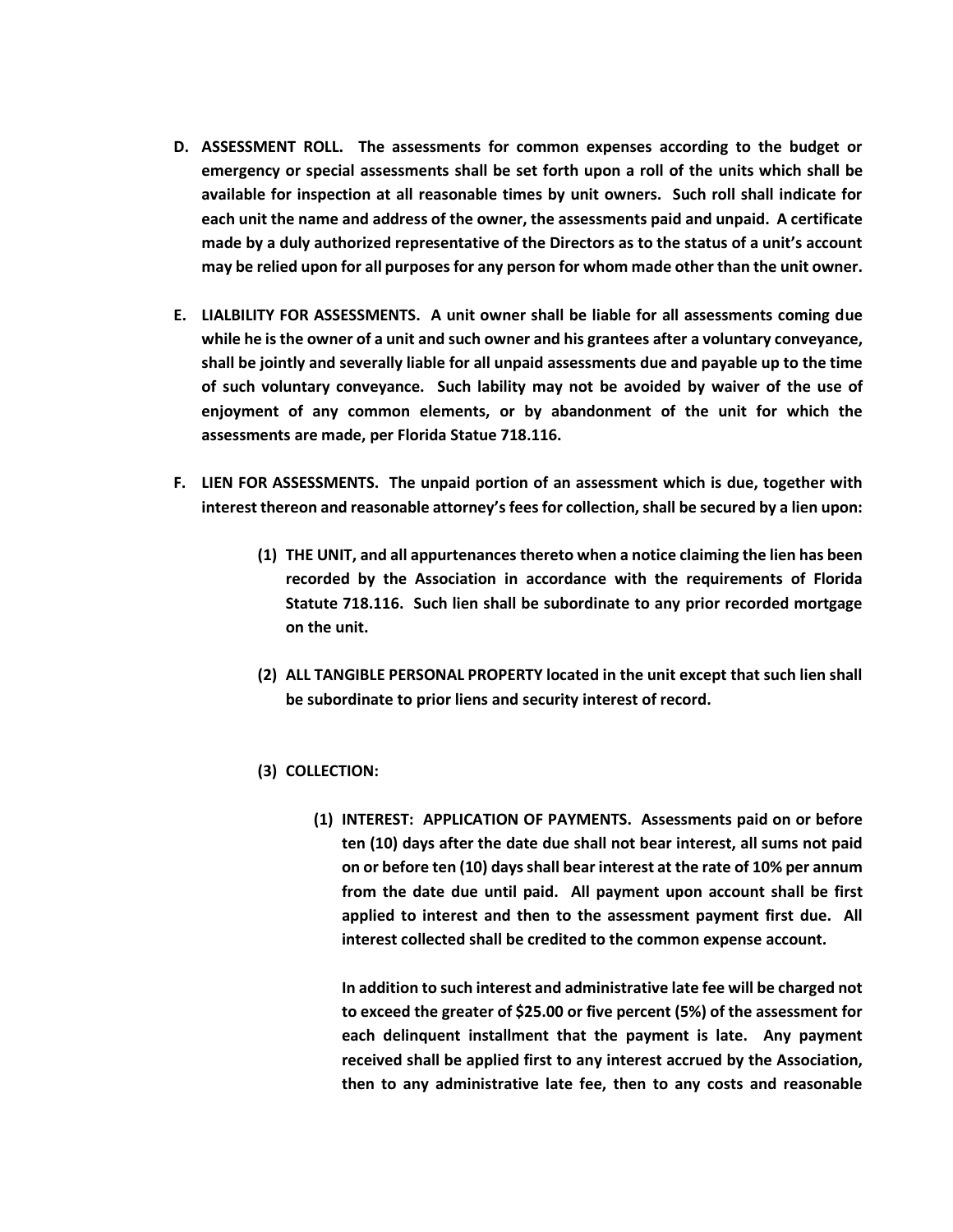- **D. ASSESSMENT ROLL. The assessments for common expenses according to the budget or emergency or special assessments shall be set forth upon a roll of the units which shall be available for inspection at all reasonable times by unit owners. Such roll shall indicate for each unit the name and address of the owner, the assessments paid and unpaid. A certificate made by a duly authorized representative of the Directors as to the status of a unit's account may be relied upon for all purposes for any person for whom made other than the unit owner.**
- **E. LIALBILITY FOR ASSESSMENTS. A unit owner shall be liable for all assessments coming due while he is the owner of a unit and such owner and his grantees after a voluntary conveyance, shall be jointly and severally liable for all unpaid assessments due and payable up to the time of such voluntary conveyance. Such lability may not be avoided by waiver of the use of enjoyment of any common elements, or by abandonment of the unit for which the assessments are made, per Florida Statue 718.116.**
- **F. LIEN FOR ASSESSMENTS. The unpaid portion of an assessment which is due, together with interest thereon and reasonable attorney's fees for collection, shall be secured by a lien upon:**
	- **(1) THE UNIT, and all appurtenances thereto when a notice claiming the lien has been recorded by the Association in accordance with the requirements of Florida Statute 718.116. Such lien shall be subordinate to any prior recorded mortgage on the unit.**
	- **(2) ALL TANGIBLE PERSONAL PROPERTY located in the unit except that such lien shall be subordinate to prior liens and security interest of record.**
	- **(3) COLLECTION:**
		- **(1) INTEREST: APPLICATION OF PAYMENTS. Assessments paid on or before ten (10) days after the date due shall not bear interest, all sums not paid on or before ten (10) days shall bear interest at the rate of 10% per annum from the date due until paid. All payment upon account shall be first applied to interest and then to the assessment payment first due. All interest collected shall be credited to the common expense account.**

**In addition to such interest and administrative late fee will be charged not to exceed the greater of \$25.00 or five percent (5%) of the assessment for each delinquent installment that the payment is late. Any payment received shall be applied first to any interest accrued by the Association, then to any administrative late fee, then to any costs and reasonable**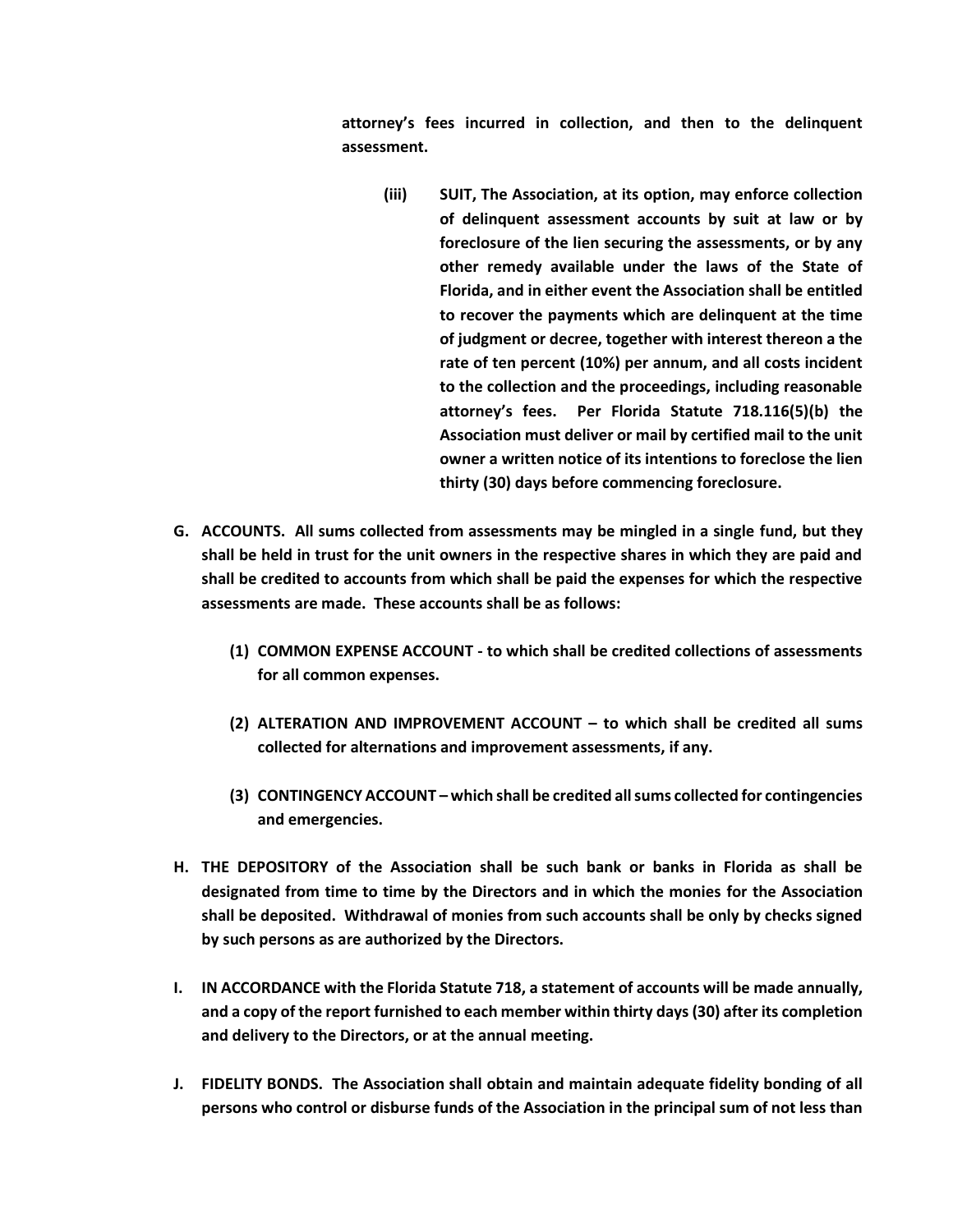**attorney's fees incurred in collection, and then to the delinquent assessment.**

- **(iii) SUIT, The Association, at its option, may enforce collection of delinquent assessment accounts by suit at law or by foreclosure of the lien securing the assessments, or by any other remedy available under the laws of the State of Florida, and in either event the Association shall be entitled to recover the payments which are delinquent at the time of judgment or decree, together with interest thereon a the rate of ten percent (10%) per annum, and all costs incident to the collection and the proceedings, including reasonable attorney's fees. Per Florida Statute 718.116(5)(b) the Association must deliver or mail by certified mail to the unit owner a written notice of its intentions to foreclose the lien thirty (30) days before commencing foreclosure.**
- **G. ACCOUNTS. All sums collected from assessments may be mingled in a single fund, but they shall be held in trust for the unit owners in the respective shares in which they are paid and shall be credited to accounts from which shall be paid the expenses for which the respective assessments are made. These accounts shall be as follows:**
	- **(1) COMMON EXPENSE ACCOUNT - to which shall be credited collections of assessments for all common expenses.**
	- **(2) ALTERATION AND IMPROVEMENT ACCOUNT – to which shall be credited all sums collected for alternations and improvement assessments, if any.**
	- **(3) CONTINGENCY ACCOUNT – which shall be credited all sums collected for contingencies and emergencies.**
- **H. THE DEPOSITORY of the Association shall be such bank or banks in Florida as shall be designated from time to time by the Directors and in which the monies for the Association shall be deposited. Withdrawal of monies from such accounts shall be only by checks signed by such persons as are authorized by the Directors.**
- **I. IN ACCORDANCE with the Florida Statute 718, a statement of accounts will be made annually, and a copy of the report furnished to each member within thirty days (30) after its completion and delivery to the Directors, or at the annual meeting.**
- **J. FIDELITY BONDS. The Association shall obtain and maintain adequate fidelity bonding of all persons who control or disburse funds of the Association in the principal sum of not less than**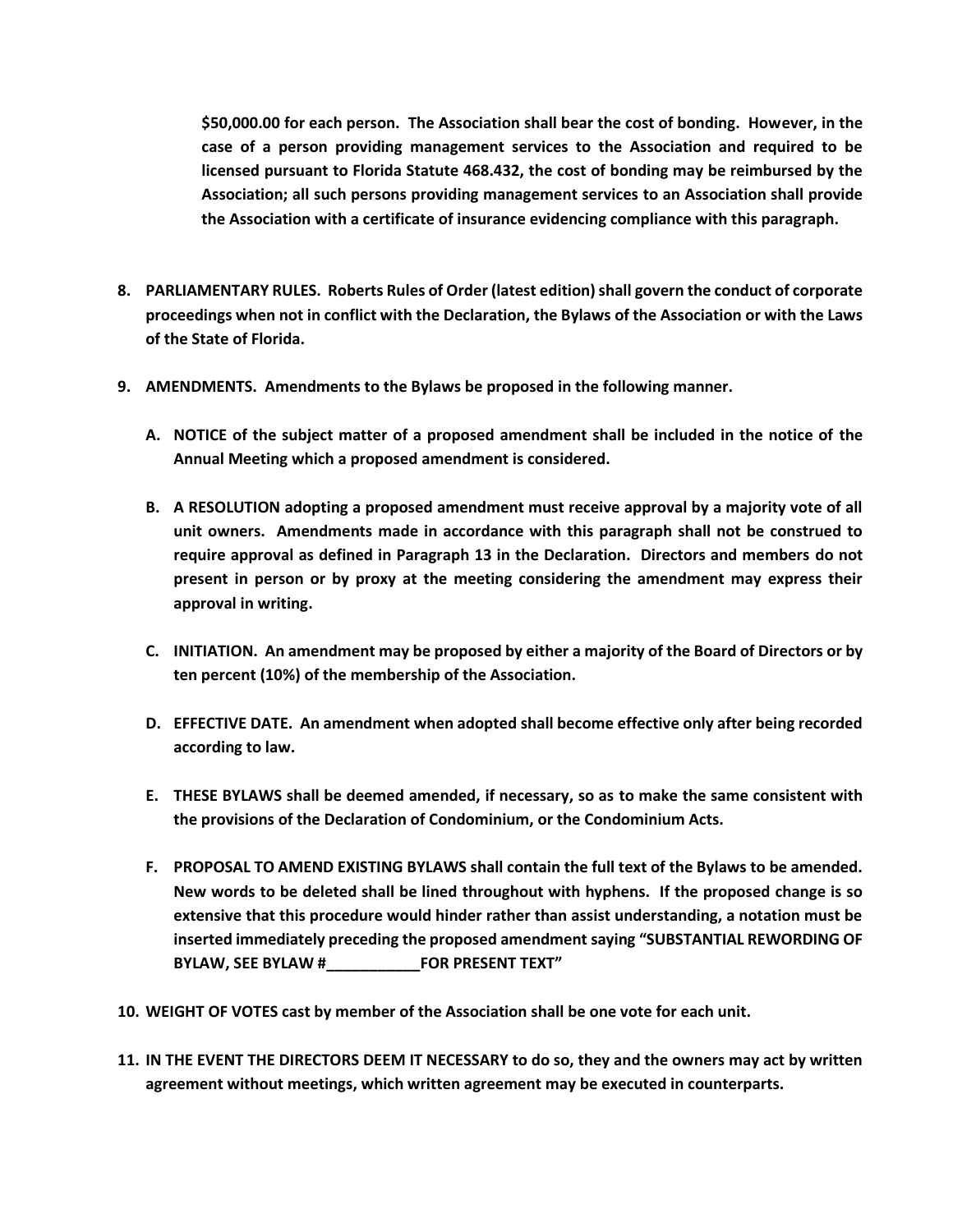**\$50,000.00 for each person. The Association shall bear the cost of bonding. However, in the case of a person providing management services to the Association and required to be licensed pursuant to Florida Statute 468.432, the cost of bonding may be reimbursed by the Association; all such persons providing management services to an Association shall provide the Association with a certificate of insurance evidencing compliance with this paragraph.**

- **8. PARLIAMENTARY RULES. Roberts Rules of Order (latest edition) shall govern the conduct of corporate proceedings when not in conflict with the Declaration, the Bylaws of the Association or with the Laws of the State of Florida.**
- **9. AMENDMENTS. Amendments to the Bylaws be proposed in the following manner.**
	- **A. NOTICE of the subject matter of a proposed amendment shall be included in the notice of the Annual Meeting which a proposed amendment is considered.**
	- **B. A RESOLUTION adopting a proposed amendment must receive approval by a majority vote of all unit owners. Amendments made in accordance with this paragraph shall not be construed to require approval as defined in Paragraph 13 in the Declaration. Directors and members do not present in person or by proxy at the meeting considering the amendment may express their approval in writing.**
	- **C. INITIATION. An amendment may be proposed by either a majority of the Board of Directors or by ten percent (10%) of the membership of the Association.**
	- **D. EFFECTIVE DATE. An amendment when adopted shall become effective only after being recorded according to law.**
	- **E. THESE BYLAWS shall be deemed amended, if necessary, so as to make the same consistent with the provisions of the Declaration of Condominium, or the Condominium Acts.**
	- **F. PROPOSAL TO AMEND EXISTING BYLAWS shall contain the full text of the Bylaws to be amended. New words to be deleted shall be lined throughout with hyphens. If the proposed change is so extensive that this procedure would hinder rather than assist understanding, a notation must be inserted immediately preceding the proposed amendment saying "SUBSTANTIAL REWORDING OF BYLAW, SEE BYLAW #\_\_\_\_\_\_\_\_\_\_\_FOR PRESENT TEXT"**
- **10. WEIGHT OF VOTES cast by member of the Association shall be one vote for each unit.**
- **11. IN THE EVENT THE DIRECTORS DEEM IT NECESSARY to do so, they and the owners may act by written agreement without meetings, which written agreement may be executed in counterparts.**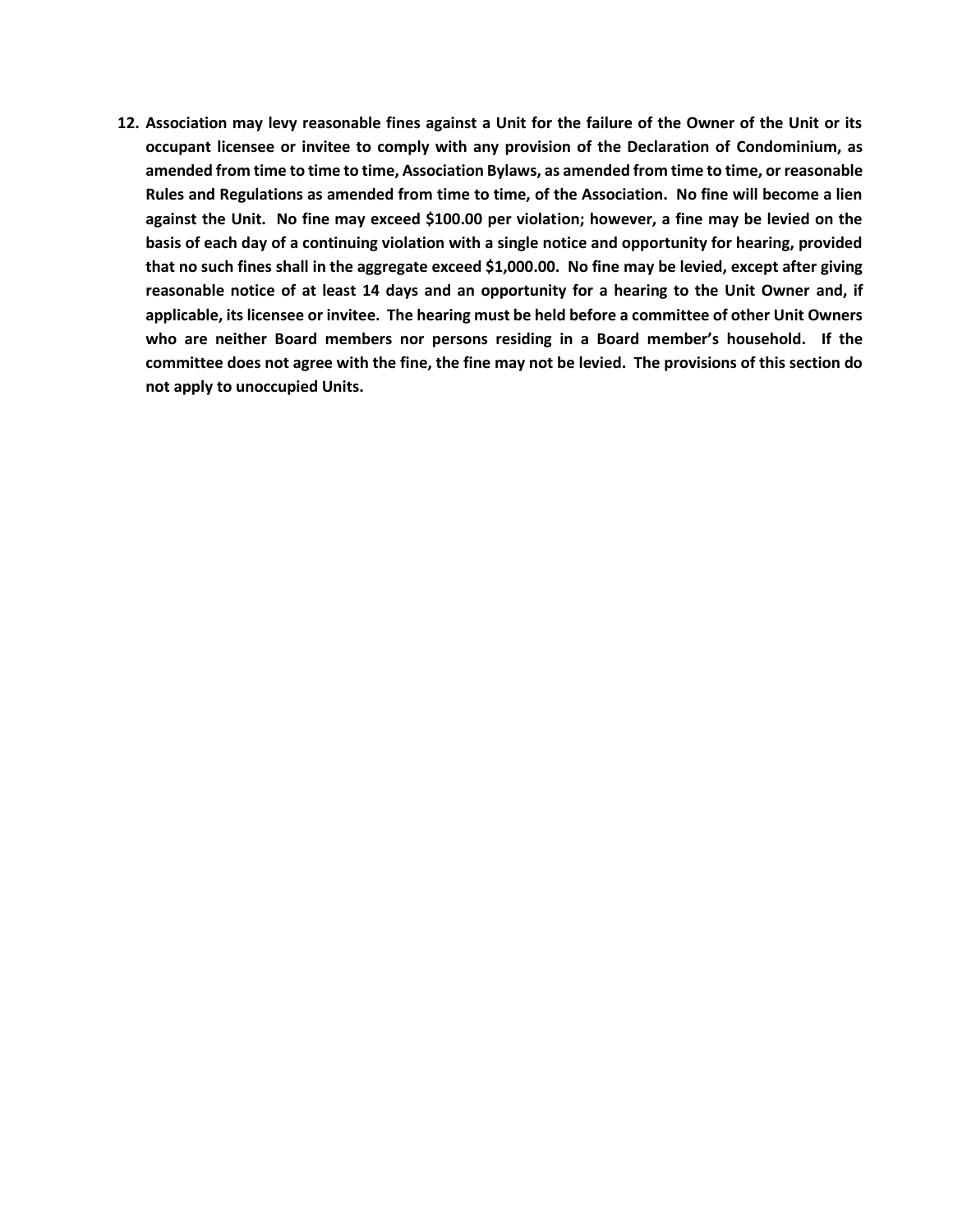**12. Association may levy reasonable fines against a Unit for the failure of the Owner of the Unit or its occupant licensee or invitee to comply with any provision of the Declaration of Condominium, as amended from time to time to time, Association Bylaws, as amended from time to time, or reasonable Rules and Regulations as amended from time to time, of the Association. No fine will become a lien against the Unit. No fine may exceed \$100.00 per violation; however, a fine may be levied on the basis of each day of a continuing violation with a single notice and opportunity for hearing, provided that no such fines shall in the aggregate exceed \$1,000.00. No fine may be levied, except after giving reasonable notice of at least 14 days and an opportunity for a hearing to the Unit Owner and, if applicable, its licensee or invitee. The hearing must be held before a committee of other Unit Owners who are neither Board members nor persons residing in a Board member's household. If the committee does not agree with the fine, the fine may not be levied. The provisions of this section do not apply to unoccupied Units.**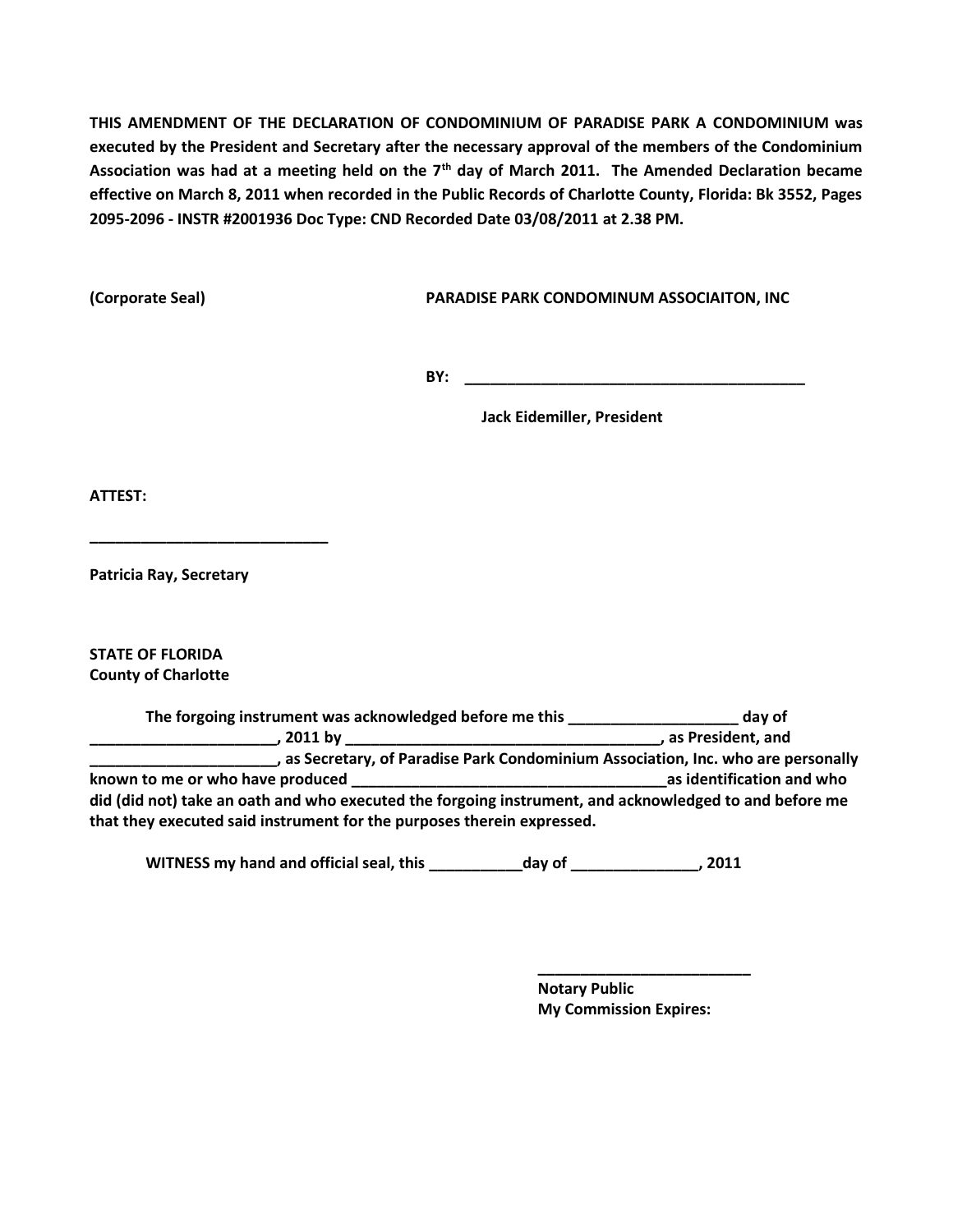**THIS AMENDMENT OF THE DECLARATION OF CONDOMINIUM OF PARADISE PARK A CONDOMINIUM was executed by the President and Secretary after the necessary approval of the members of the Condominium Association was had at a meeting held on the 7th day of March 2011. The Amended Declaration became effective on March 8, 2011 when recorded in the Public Records of Charlotte County, Florida: Bk 3552, Pages 2095-2096 - INSTR #2001936 Doc Type: CND Recorded Date 03/08/2011 at 2.38 PM.**

**(Corporate Seal) PARADISE PARK CONDOMINUM ASSOCIAITON, INC**

**BY:**  $\blacksquare$ 

**Jack Eidemiller, President**

**ATTEST:**

**Patricia Ray, Secretary**

**\_\_\_\_\_\_\_\_\_\_\_\_\_\_\_\_\_\_\_\_\_\_\_\_\_\_\_\_**

**STATE OF FLORIDA County of Charlotte**

**The forgoing instrument was acknowledged before me this \_\_\_\_\_\_\_\_\_\_\_\_\_\_\_\_\_\_\_\_ day of \_\_\_\_\_\_\_\_\_\_\_\_\_\_\_\_\_\_\_\_\_\_, 2011 by \_\_\_\_\_\_\_\_\_\_\_\_\_\_\_\_\_\_\_\_\_\_\_\_\_\_\_\_\_\_\_\_\_\_\_\_\_, as President, and \_\_\_\_\_\_\_\_\_\_\_\_\_\_\_\_\_\_\_\_\_\_, as Secretary, of Paradise Park Condominium Association, Inc. who are personally known to me or who have produced \_\_\_\_\_\_\_\_\_\_\_\_\_\_\_\_\_\_\_\_\_\_\_\_\_\_\_\_\_\_\_\_\_\_\_\_\_as identification and who did (did not) take an oath and who executed the forgoing instrument, and acknowledged to and before me that they executed said instrument for the purposes therein expressed.**

**WITNESS my hand and official seal, this \_\_\_\_\_\_\_\_\_\_\_day of \_\_\_\_\_\_\_\_\_\_\_\_\_\_\_, 2011**

**Notary Public My Commission Expires:**

**\_\_\_\_\_\_\_\_\_\_\_\_\_\_\_\_\_\_\_\_\_\_\_\_\_**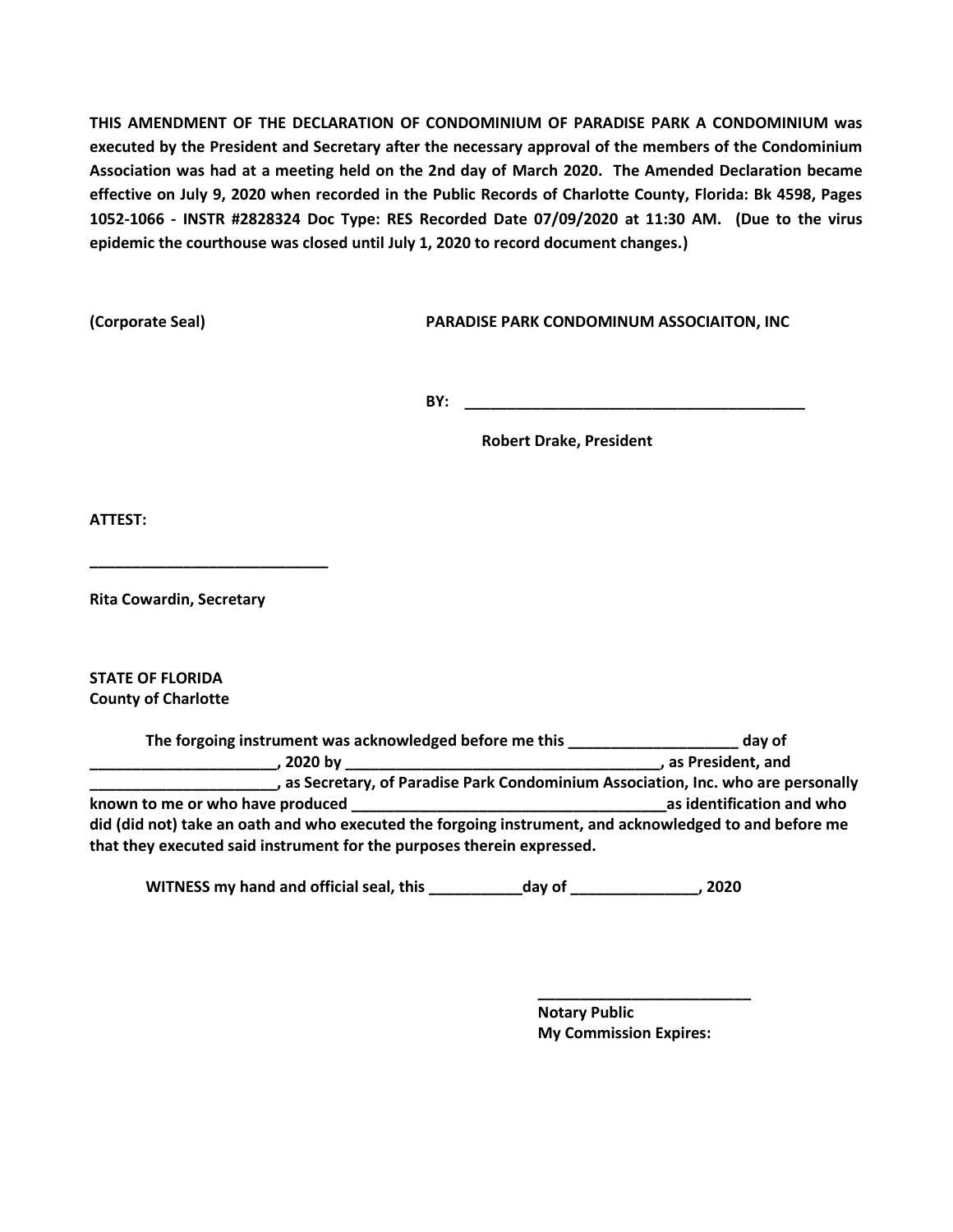**THIS AMENDMENT OF THE DECLARATION OF CONDOMINIUM OF PARADISE PARK A CONDOMINIUM was executed by the President and Secretary after the necessary approval of the members of the Condominium Association was had at a meeting held on the 2nd day of March 2020. The Amended Declaration became effective on July 9, 2020 when recorded in the Public Records of Charlotte County, Florida: Bk 4598, Pages 1052-1066 - INSTR #2828324 Doc Type: RES Recorded Date 07/09/2020 at 11:30 AM. (Due to the virus epidemic the courthouse was closed until July 1, 2020 to record document changes.)**

**(Corporate Seal) PARADISE PARK CONDOMINUM ASSOCIAITON, INC**

**BY:**  $\blacksquare$ 

**Robert Drake, President**

**ATTEST:**

**Rita Cowardin, Secretary**

**\_\_\_\_\_\_\_\_\_\_\_\_\_\_\_\_\_\_\_\_\_\_\_\_\_\_\_\_**

**STATE OF FLORIDA County of Charlotte**

**The forgoing instrument was acknowledged before me this \_\_\_\_\_\_\_\_\_\_\_\_\_\_\_\_\_\_\_\_ day of \_\_\_\_\_\_\_\_\_\_\_\_\_\_\_\_\_\_\_\_\_\_, 2020 by \_\_\_\_\_\_\_\_\_\_\_\_\_\_\_\_\_\_\_\_\_\_\_\_\_\_\_\_\_\_\_\_\_\_\_\_\_, as President, and \_\_\_\_\_\_\_\_\_\_\_\_\_\_\_\_\_\_\_\_\_\_, as Secretary, of Paradise Park Condominium Association, Inc. who are personally known to me or who have produced example 20 as identification and who as identification and who did (did not) take an oath and who executed the forgoing instrument, and acknowledged to and before me that they executed said instrument for the purposes therein expressed.**

**WITNESS my hand and official seal, this \_\_\_\_\_\_\_\_\_\_\_day of \_\_\_\_\_\_\_\_\_\_\_\_\_\_\_, 2020**

**Notary Public My Commission Expires:**

**\_\_\_\_\_\_\_\_\_\_\_\_\_\_\_\_\_\_\_\_\_\_\_\_\_**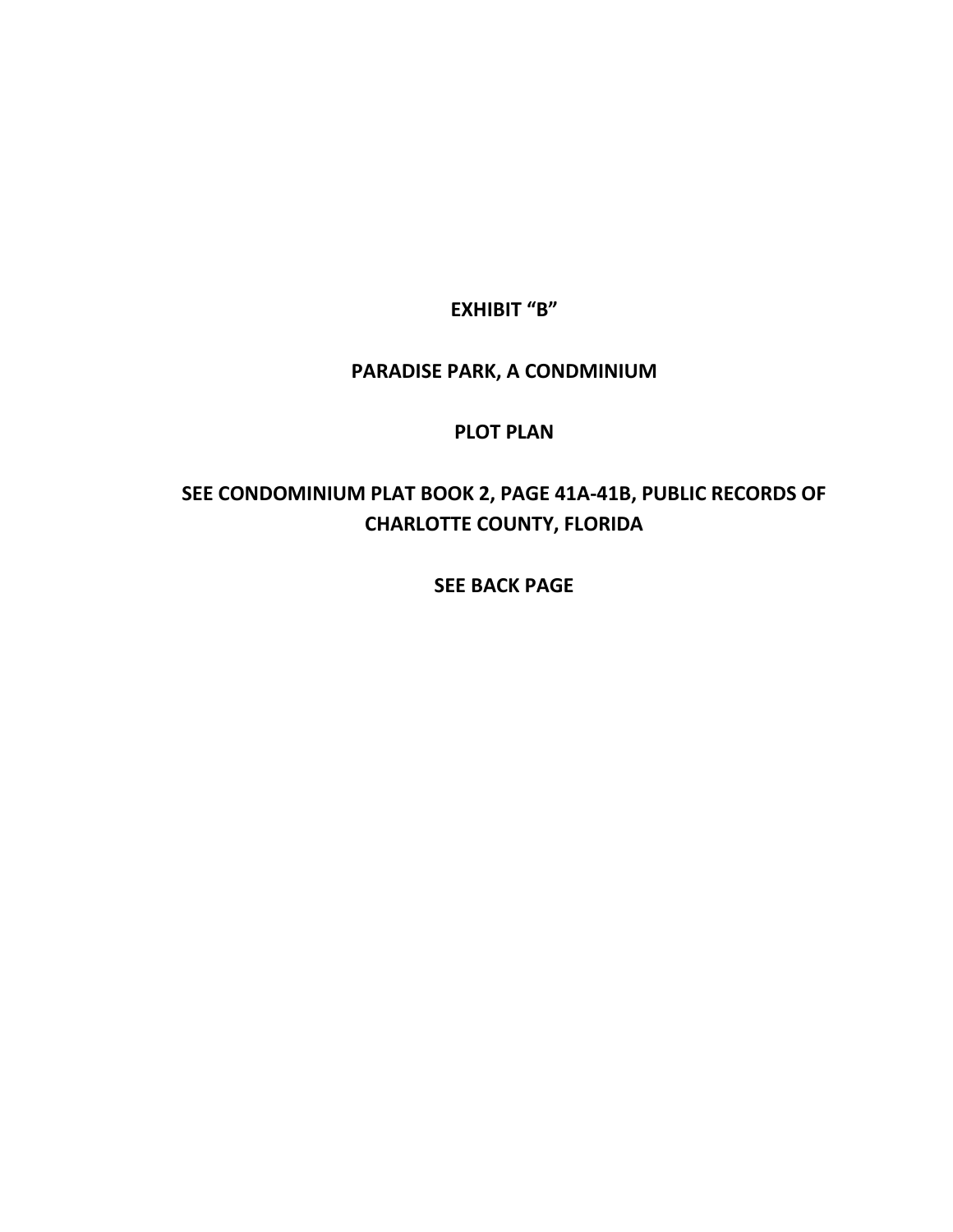**EXHIBIT "B"**

# **PARADISE PARK, A CONDMINIUM**

# **PLOT PLAN**

# **SEE CONDOMINIUM PLAT BOOK 2, PAGE 41A-41B, PUBLIC RECORDS OF CHARLOTTE COUNTY, FLORIDA**

**SEE BACK PAGE**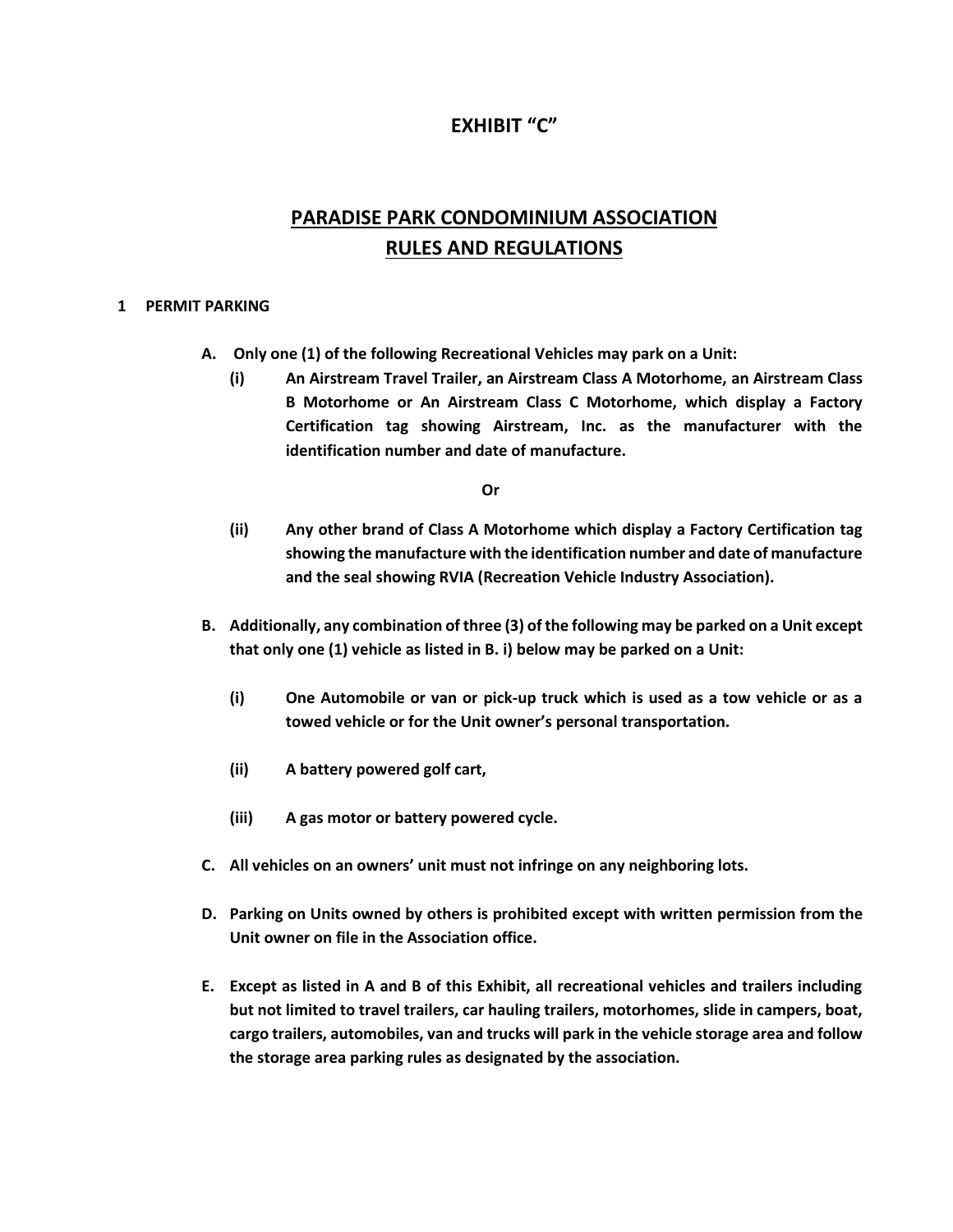### **EXHIBIT "C"**

# **PARADISE PARK CONDOMINIUM ASSOCIATION RULES AND REGULATIONS**

#### **1 PERMIT PARKING**

- **A. Only one (1) of the following Recreational Vehicles may park on a Unit:**
	- **(i) An Airstream Travel Trailer, an Airstream Class A Motorhome, an Airstream Class B Motorhome or An Airstream Class C Motorhome, which display a Factory Certification tag showing Airstream, Inc. as the manufacturer with the identification number and date of manufacture.**

**Or**

- **(ii) Any other brand of Class A Motorhome which display a Factory Certification tag showing the manufacture with the identification number and date of manufacture and the seal showing RVIA (Recreation Vehicle Industry Association).**
- **B. Additionally, any combination of three (3) of the following may be parked on a Unit except that only one (1) vehicle as listed in B. i) below may be parked on a Unit:**
	- **(i) One Automobile or van or pick-up truck which is used as a tow vehicle or as a towed vehicle or for the Unit owner's personal transportation.**
	- **(ii) A battery powered golf cart,**
	- **(iii) A gas motor or battery powered cycle.**
- **C. All vehicles on an owners' unit must not infringe on any neighboring lots.**
- **D. Parking on Units owned by others is prohibited except with written permission from the Unit owner on file in the Association office.**
- **E. Except as listed in A and B of this Exhibit, all recreational vehicles and trailers including but not limited to travel trailers, car hauling trailers, motorhomes, slide in campers, boat, cargo trailers, automobiles, van and trucks will park in the vehicle storage area and follow the storage area parking rules as designated by the association.**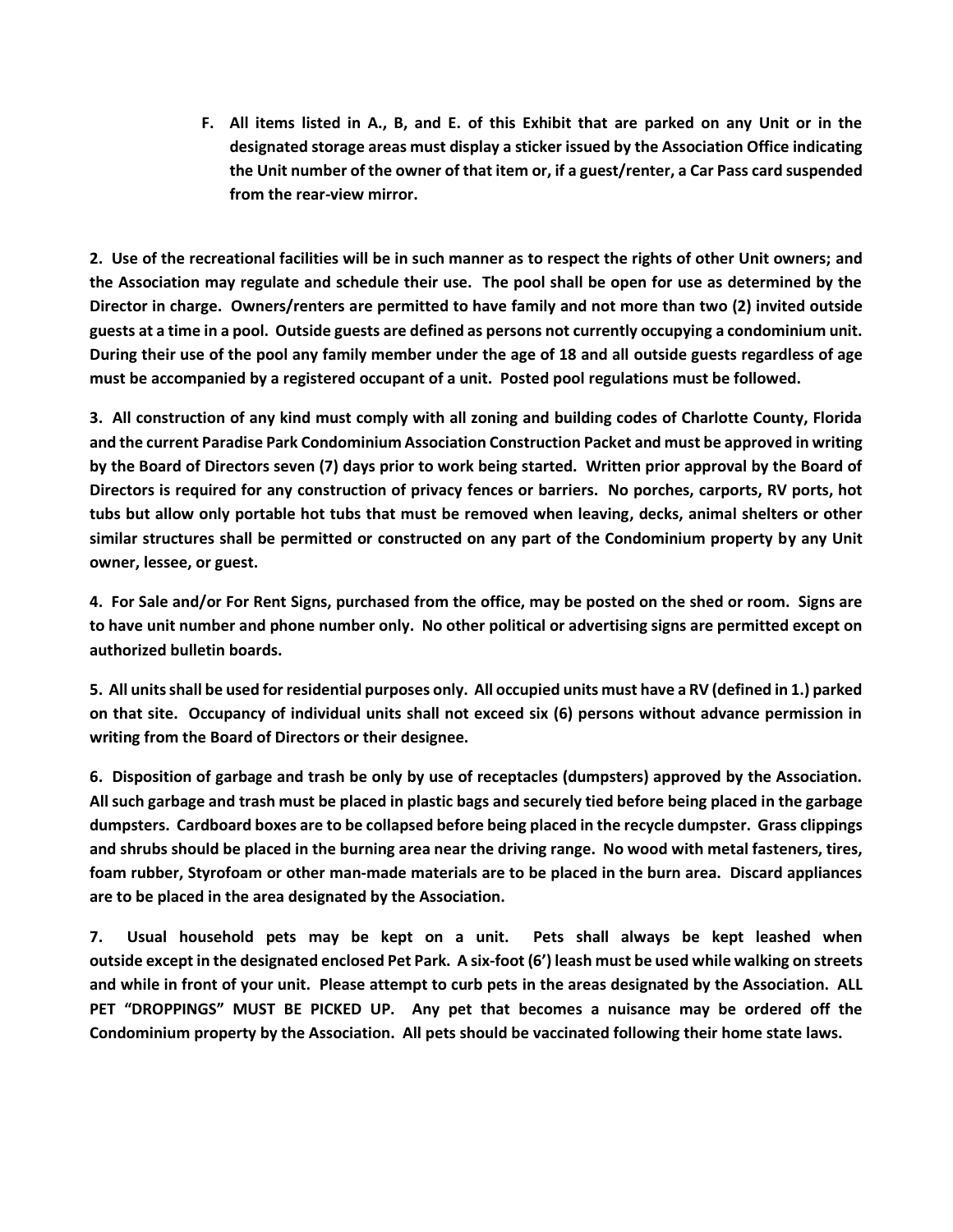**F. All items listed in A., B, and E. of this Exhibit that are parked on any Unit or in the designated storage areas must display a sticker issued by the Association Office indicating the Unit number of the owner of that item or, if a guest/renter, a Car Pass card suspended from the rear-view mirror.**

**2. Use of the recreational facilities will be in such manner as to respect the rights of other Unit owners; and the Association may regulate and schedule their use. The pool shall be open for use as determined by the Director in charge. Owners/renters are permitted to have family and not more than two (2) invited outside guests at a time in a pool. Outside guests are defined as persons not currently occupying a condominium unit. During their use of the pool any family member under the age of 18 and all outside guests regardless of age must be accompanied by a registered occupant of a unit. Posted pool regulations must be followed.**

**3. All construction of any kind must comply with all zoning and building codes of Charlotte County, Florida and the current Paradise Park Condominium Association Construction Packet and must be approved in writing by the Board of Directors seven (7) days prior to work being started. Written prior approval by the Board of Directors is required for any construction of privacy fences or barriers. No porches, carports, RV ports, hot tubs but allow only portable hot tubs that must be removed when leaving, decks, animal shelters or other similar structures shall be permitted or constructed on any part of the Condominium property by any Unit owner, lessee, or guest.**

**4. For Sale and/or For Rent Signs, purchased from the office, may be posted on the shed or room. Signs are to have unit number and phone number only. No other political or advertising signs are permitted except on authorized bulletin boards.** 

**5. All units shall be used for residential purposes only. All occupied units must have a RV (defined in 1.) parked on that site. Occupancy of individual units shall not exceed six (6) persons without advance permission in writing from the Board of Directors or their designee.**

**6. Disposition of garbage and trash be only by use of receptacles (dumpsters) approved by the Association. All such garbage and trash must be placed in plastic bags and securely tied before being placed in the garbage dumpsters. Cardboard boxes are to be collapsed before being placed in the recycle dumpster. Grass clippings and shrubs should be placed in the burning area near the driving range. No wood with metal fasteners, tires, foam rubber, Styrofoam or other man-made materials are to be placed in the burn area. Discard appliances are to be placed in the area designated by the Association.**

**7. Usual household pets may be kept on a unit. Pets shall always be kept leashed when outside except in the designated enclosed Pet Park. A six-foot (6') leash must be used while walking on streets and while in front of your unit. Please attempt to curb pets in the areas designated by the Association. ALL PET "DROPPINGS" MUST BE PICKED UP. Any pet that becomes a nuisance may be ordered off the Condominium property by the Association. All pets should be vaccinated following their home state laws.**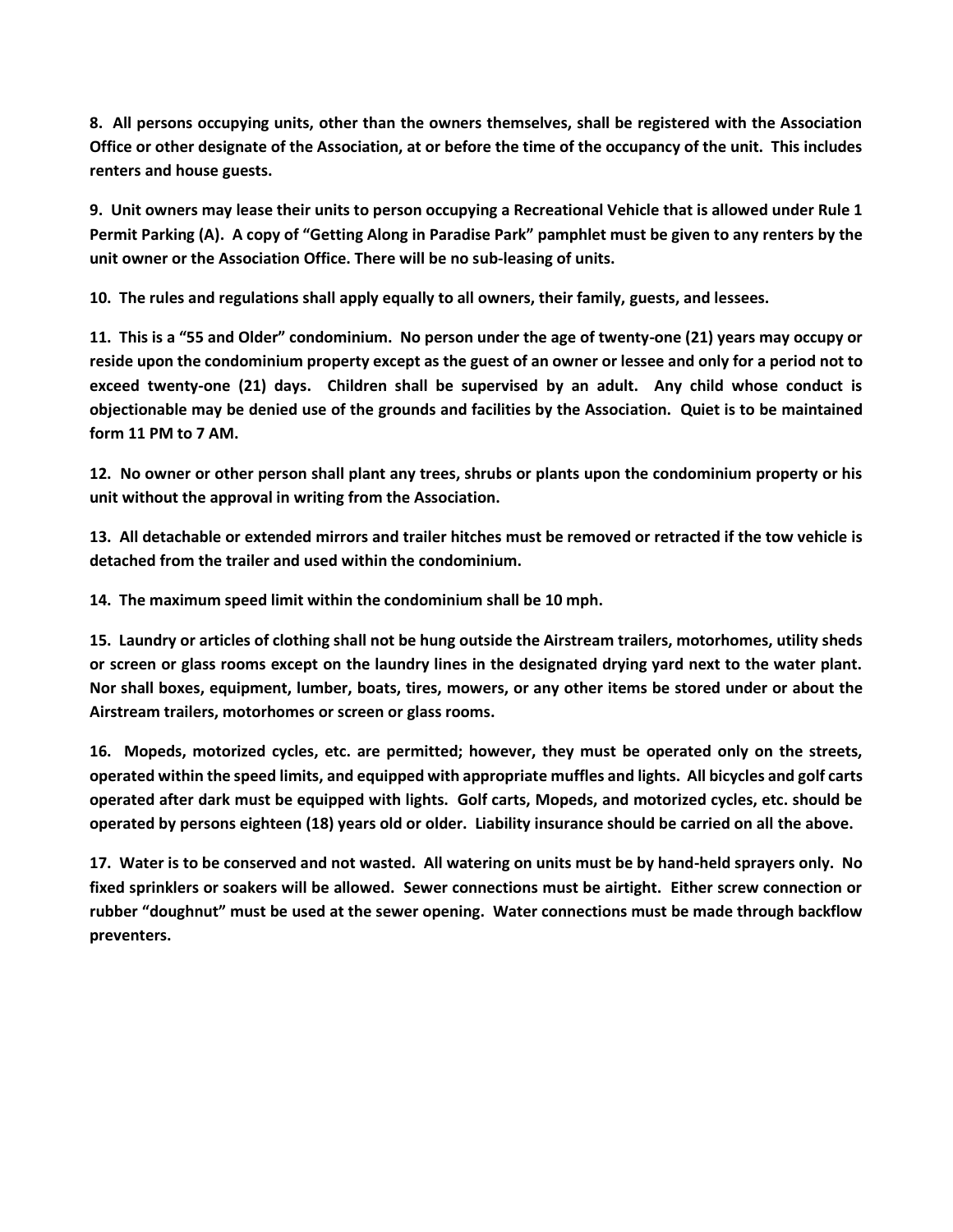**8. All persons occupying units, other than the owners themselves, shall be registered with the Association Office or other designate of the Association, at or before the time of the occupancy of the unit. This includes renters and house guests.**

**9. Unit owners may lease their units to person occupying a Recreational Vehicle that is allowed under Rule 1 Permit Parking (A). A copy of "Getting Along in Paradise Park" pamphlet must be given to any renters by the unit owner or the Association Office. There will be no sub-leasing of units.**

**10. The rules and regulations shall apply equally to all owners, their family, guests, and lessees.**

**11. This is a "55 and Older" condominium. No person under the age of twenty-one (21) years may occupy or reside upon the condominium property except as the guest of an owner or lessee and only for a period not to exceed twenty-one (21) days. Children shall be supervised by an adult. Any child whose conduct is objectionable may be denied use of the grounds and facilities by the Association. Quiet is to be maintained form 11 PM to 7 AM.**

**12. No owner or other person shall plant any trees, shrubs or plants upon the condominium property or his unit without the approval in writing from the Association.**

**13. All detachable or extended mirrors and trailer hitches must be removed or retracted if the tow vehicle is detached from the trailer and used within the condominium.**

**14. The maximum speed limit within the condominium shall be 10 mph.**

**15. Laundry or articles of clothing shall not be hung outside the Airstream trailers, motorhomes, utility sheds or screen or glass rooms except on the laundry lines in the designated drying yard next to the water plant. Nor shall boxes, equipment, lumber, boats, tires, mowers, or any other items be stored under or about the Airstream trailers, motorhomes or screen or glass rooms.**

**16. Mopeds, motorized cycles, etc. are permitted; however, they must be operated only on the streets, operated within the speed limits, and equipped with appropriate muffles and lights. All bicycles and golf carts operated after dark must be equipped with lights. Golf carts, Mopeds, and motorized cycles, etc. should be operated by persons eighteen (18) years old or older. Liability insurance should be carried on all the above.**

**17. Water is to be conserved and not wasted. All watering on units must be by hand-held sprayers only. No fixed sprinklers or soakers will be allowed. Sewer connections must be airtight. Either screw connection or rubber "doughnut" must be used at the sewer opening. Water connections must be made through backflow preventers.**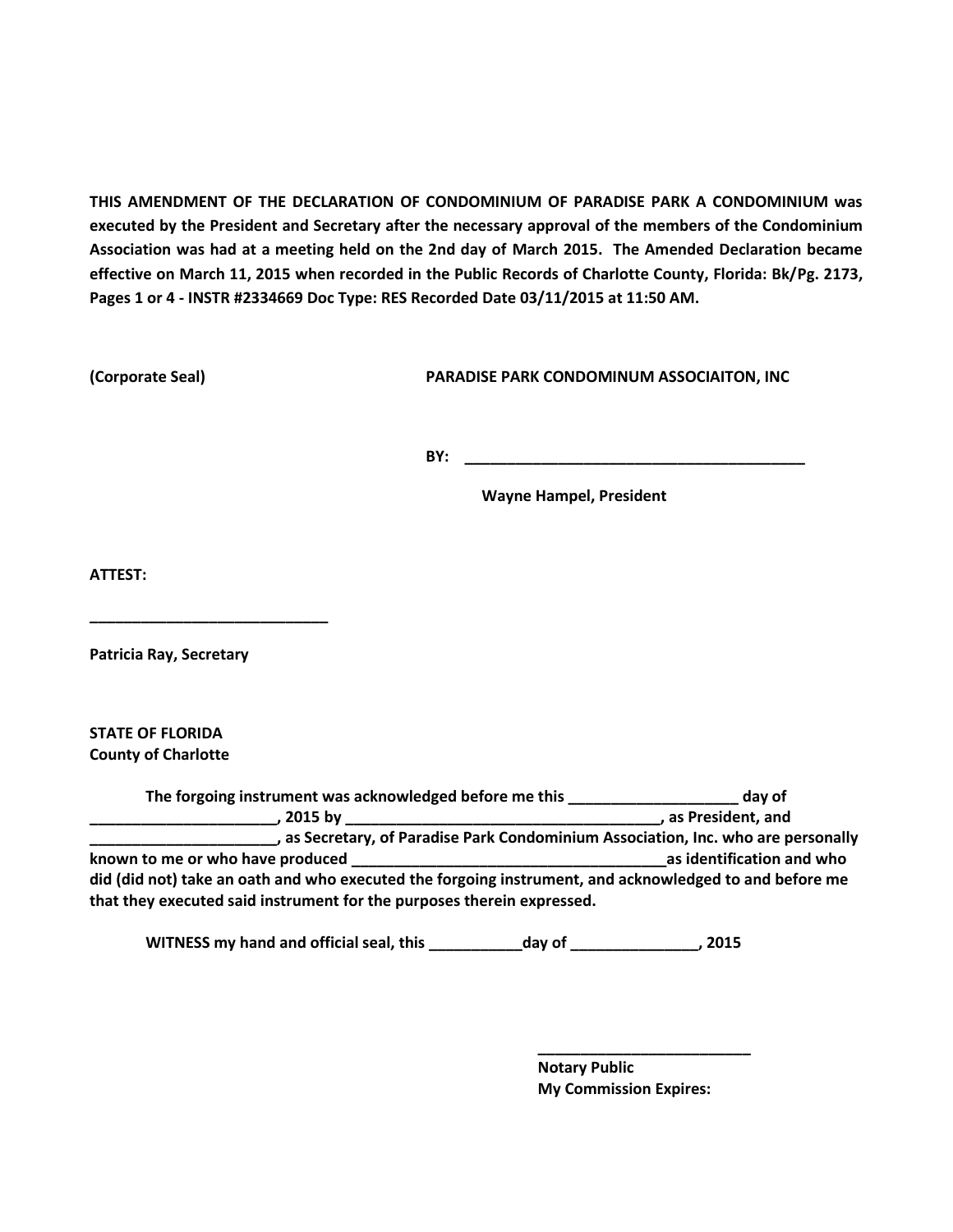**THIS AMENDMENT OF THE DECLARATION OF CONDOMINIUM OF PARADISE PARK A CONDOMINIUM was executed by the President and Secretary after the necessary approval of the members of the Condominium Association was had at a meeting held on the 2nd day of March 2015. The Amended Declaration became effective on March 11, 2015 when recorded in the Public Records of Charlotte County, Florida: Bk/Pg. 2173, Pages 1 or 4 - INSTR #2334669 Doc Type: RES Recorded Date 03/11/2015 at 11:50 AM.**

**(Corporate Seal) PARADISE PARK CONDOMINUM ASSOCIAITON, INC**

**BY: \_\_\_\_\_\_\_\_\_\_\_\_\_\_\_\_\_\_\_\_\_\_\_\_\_\_\_\_\_\_\_\_\_\_\_\_\_\_\_\_**

**Wayne Hampel, President** 

**ATTEST:**

**Patricia Ray, Secretary**

**\_\_\_\_\_\_\_\_\_\_\_\_\_\_\_\_\_\_\_\_\_\_\_\_\_\_\_\_**

**STATE OF FLORIDA County of Charlotte**

**The forgoing instrument was acknowledged before me this \_\_\_\_\_\_\_\_\_\_\_\_\_\_\_\_\_\_\_\_ day of \_\_\_\_\_\_\_\_\_\_\_\_\_\_\_\_\_\_\_\_\_\_, 2015 by \_\_\_\_\_\_\_\_\_\_\_\_\_\_\_\_\_\_\_\_\_\_\_\_\_\_\_\_\_\_\_\_\_\_\_\_\_, as President, and \_\_\_\_\_\_\_\_\_\_\_\_\_\_\_\_\_\_\_\_\_\_, as Secretary, of Paradise Park Condominium Association, Inc. who are personally known to me or who have produced example the set of the set of the set of the set of the set of the set of the set of the set of the set of the set of the set of the set of the set of the set of the set of the set of the did (did not) take an oath and who executed the forgoing instrument, and acknowledged to and before me that they executed said instrument for the purposes therein expressed.**

**WITNESS my hand and official seal, this \_\_\_\_\_\_\_\_\_\_\_day of \_\_\_\_\_\_\_\_\_\_\_\_\_\_\_, 2015**

**Notary Public My Commission Expires:**

**\_\_\_\_\_\_\_\_\_\_\_\_\_\_\_\_\_\_\_\_\_\_\_\_\_**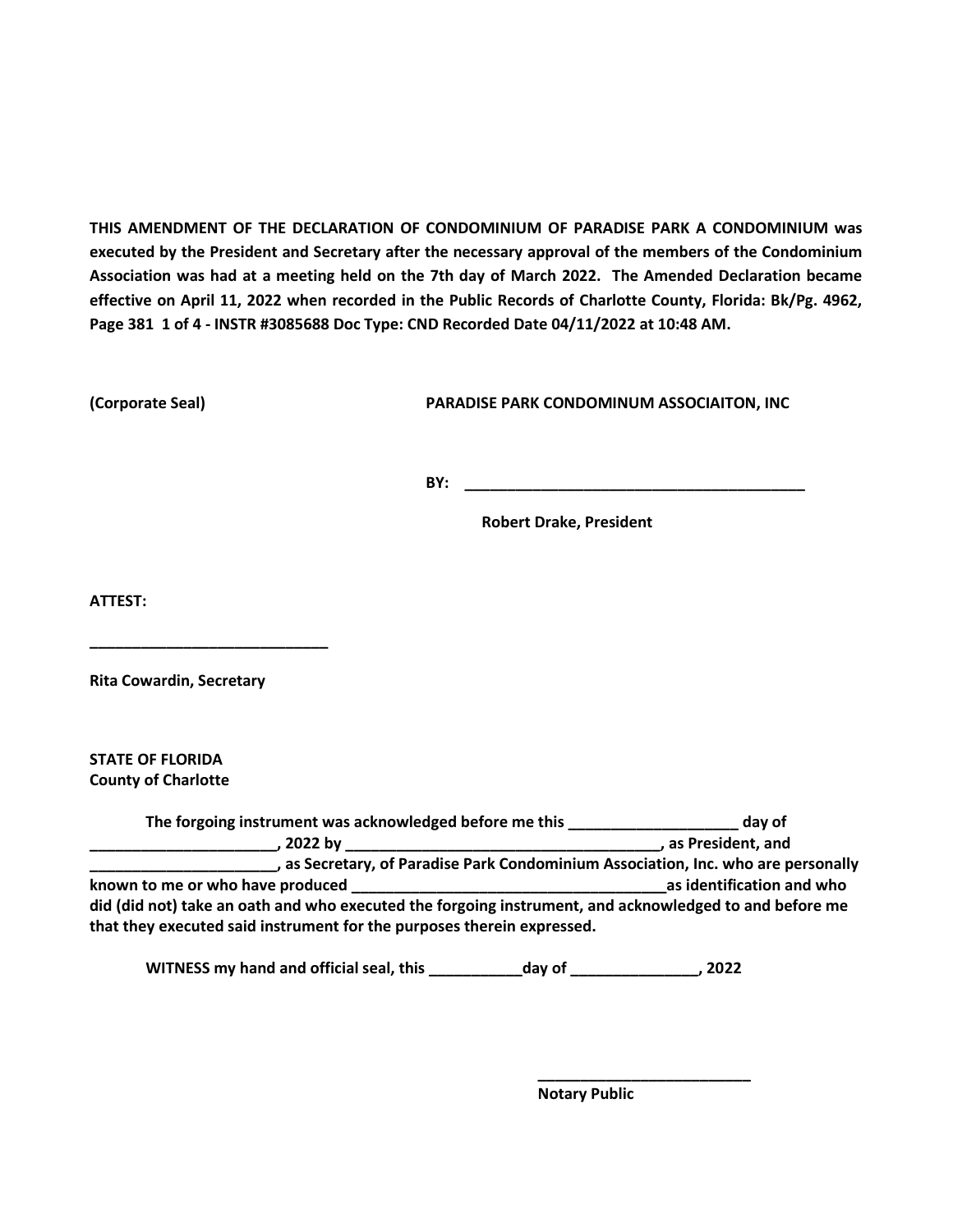**THIS AMENDMENT OF THE DECLARATION OF CONDOMINIUM OF PARADISE PARK A CONDOMINIUM was executed by the President and Secretary after the necessary approval of the members of the Condominium Association was had at a meeting held on the 7th day of March 2022. The Amended Declaration became effective on April 11, 2022 when recorded in the Public Records of Charlotte County, Florida: Bk/Pg. 4962, Page 381 1 of 4 - INSTR #3085688 Doc Type: CND Recorded Date 04/11/2022 at 10:48 AM.**

**(Corporate Seal) PARADISE PARK CONDOMINUM ASSOCIAITON, INC**

**BY:**  $\blacksquare$ 

**Robert Drake, President** 

**ATTEST:**

**Rita Cowardin, Secretary**

**\_\_\_\_\_\_\_\_\_\_\_\_\_\_\_\_\_\_\_\_\_\_\_\_\_\_\_\_**

**STATE OF FLORIDA County of Charlotte**

**The forgoing instrument was acknowledged before me this \_\_\_\_\_\_\_\_\_\_\_\_\_\_\_\_\_\_\_\_ day of \_\_\_\_\_\_\_\_\_\_\_\_\_\_\_\_\_\_\_\_\_\_, 2022 by \_\_\_\_\_\_\_\_\_\_\_\_\_\_\_\_\_\_\_\_\_\_\_\_\_\_\_\_\_\_\_\_\_\_\_\_\_, as President, and \_\_\_\_\_\_\_\_\_\_\_\_\_\_\_\_\_\_\_\_\_\_, as Secretary, of Paradise Park Condominium Association, Inc. who are personally known to me or who have produced example the set of the set of the set of the set of the set of the set of the set of the set of the set of the set of the set of the set of the set of the set of the set of the set of the did (did not) take an oath and who executed the forgoing instrument, and acknowledged to and before me that they executed said instrument for the purposes therein expressed.**

**WITNESS my hand and official seal, this \_\_\_\_\_\_\_\_\_\_\_day of \_\_\_\_\_\_\_\_\_\_\_\_\_\_\_, 2022**

**Notary Public**

**\_\_\_\_\_\_\_\_\_\_\_\_\_\_\_\_\_\_\_\_\_\_\_\_\_**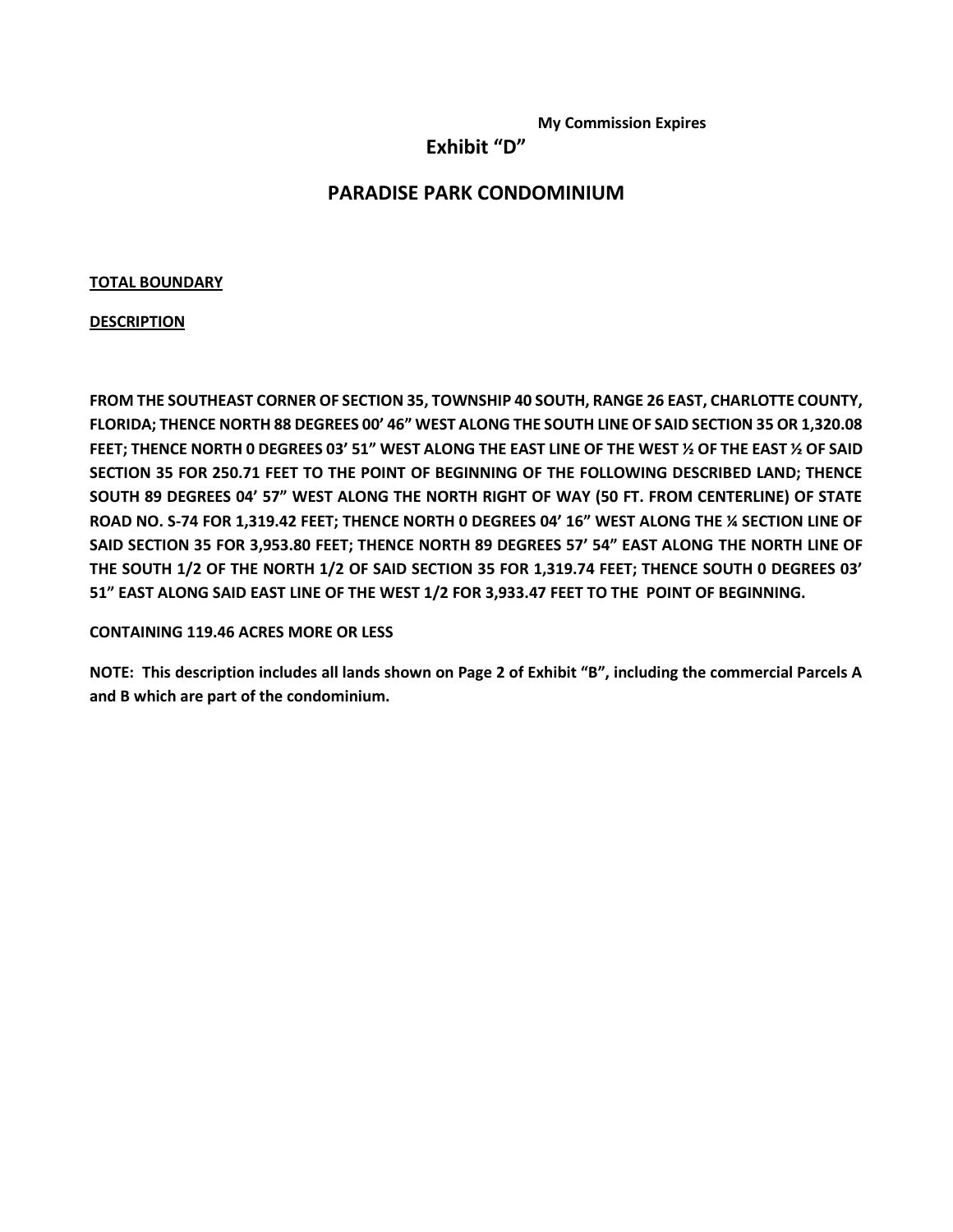**My Commission Expires**

**Exhibit "D"**

### **PARADISE PARK CONDOMINIUM**

### **TOTAL BOUNDARY**

#### **DESCRIPTION**

**FROM THE SOUTHEAST CORNER OF SECTION 35, TOWNSHIP 40 SOUTH, RANGE 26 EAST, CHARLOTTE COUNTY, FLORIDA; THENCE NORTH 88 DEGREES 00' 46" WEST ALONG THE SOUTH LINE OF SAID SECTION 35 OR 1,320.08 FEET; THENCE NORTH 0 DEGREES 03' 51" WEST ALONG THE EAST LINE OF THE WEST ½ OF THE EAST ½ OF SAID SECTION 35 FOR 250.71 FEET TO THE POINT OF BEGINNING OF THE FOLLOWING DESCRIBED LAND; THENCE SOUTH 89 DEGREES 04' 57" WEST ALONG THE NORTH RIGHT OF WAY (50 FT. FROM CENTERLINE) OF STATE ROAD NO. S-74 FOR 1,319.42 FEET; THENCE NORTH 0 DEGREES 04' 16" WEST ALONG THE ¼ SECTION LINE OF SAID SECTION 35 FOR 3,953.80 FEET; THENCE NORTH 89 DEGREES 57' 54" EAST ALONG THE NORTH LINE OF THE SOUTH 1/2 OF THE NORTH 1/2 OF SAID SECTION 35 FOR 1,319.74 FEET; THENCE SOUTH 0 DEGREES 03' 51" EAST ALONG SAID EAST LINE OF THE WEST 1/2 FOR 3,933.47 FEET TO THE POINT OF BEGINNING.**

**CONTAINING 119.46 ACRES MORE OR LESS**

**NOTE: This description includes all lands shown on Page 2 of Exhibit "B", including the commercial Parcels A and B which are part of the condominium.**